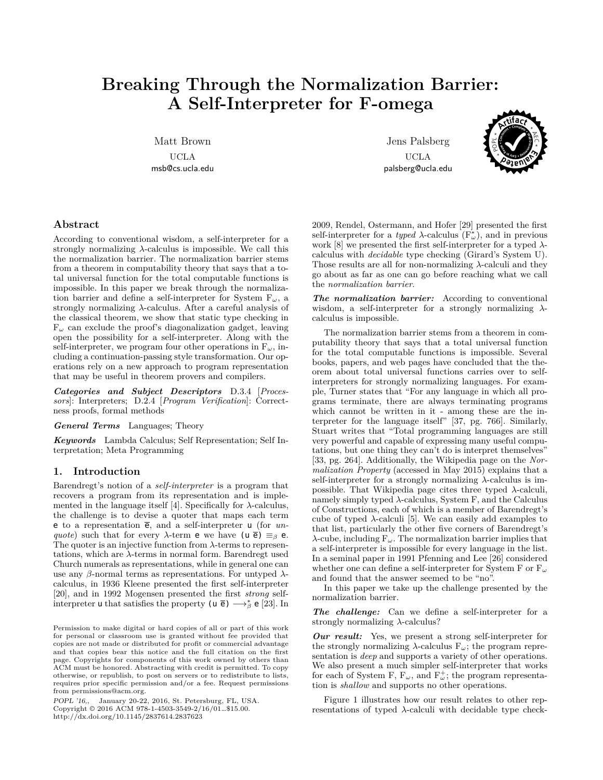# **Breaking Through the Normalization Barrier: A Self-Interpreter for F-omega**

Matt Brown

UCLA msb@cs.ucla.edu

Jens Palsberg UCLA palsberg@ucla.edu



# **Abstract**

According to conventional wisdom, a self-interpreter for a strongly normalizing *λ*-calculus is impossible. We call this the normalization barrier. The normalization barrier stems from a theorem in computability theory that says that a total universal function for the total computable functions is impossible. In this paper we break through the normalization barrier and define a self-interpreter for System F*ω*, a strongly normalizing *λ*-calculus. After a careful analysis of the classical theorem, we show that static type checking in F*<sup>ω</sup>* can exclude the proof's diagonalization gadget, leaving open the possibility for a self-interpreter. Along with the self-interpreter, we program four other operations in  $F_{\omega}$ , including a continuation-passing style transformation. Our operations rely on a new approach to program representation that may be useful in theorem provers and compilers.

*Categories and Subject Descriptors* D.3.4 [*Processors*]: Interpreters; D.2.4 [*Program Verification*]: Correctness proofs, formal methods

*General Terms* Languages; Theory

*Keywords* Lambda Calculus; Self Representation; Self Interpretation; Meta Programming

## **1. Introduction**

Barendregt's notion of a *self-interpreter* is a program that recovers a program from its representation and is implemented in the language itself  $[4]$ . Specifically for  $\lambda$ -calculus, the challenge is to devise a quoter that maps each term e to a representation  $\bar{e}$ , and a self-interpreter  $\bf{u}$  (for *unquote*) such that for every  $\lambda$ -term **e** we have (**u**  $\overline{e}$ )  $\equiv$ <sub>*β*</sub> **e**. The quoter is an injective function from *λ*-terms to representations, which are  $\lambda$ -terms in normal form. Barendregt used Church numerals as representations, while in general one can use any *β*-normal terms as representations. For untyped *λ*calculus, in 1936 Kleene presented the first self-interpreter [20], and in 1992 Mogensen presented the first *strong* selfinterpreter **u** that satisfies the property (**u**  $\bar{e}$ )  $\longrightarrow_{\beta}^{*}$  **e** [23]. In

*POPL '16,*, January 20-22, 2016, St. Petersburg, FL, USA. Copyright © 2016 ACM 978-1-4503-3549-2/16/01…\$15.00. http://dx.doi.org/10.1145/2837614.2837623

2009, Rendel, Ostermann, and Hofer [29] presented the first self-interpreter for a *typed*  $\lambda$ -calculus ( $F^*_{\omega}$ ), and in previous work [8] we presented the first self-interpreter for a typed *λ*calculus with *decidable* type checking (Girard's System U). Those results are all for non-normalizing *λ*-calculi and they go about as far as one can go before reaching what we call the *normalization barrier*.

*The normalization barrier:* According to conventional wisdom, a self-interpreter for a strongly normalizing *λ*calculus is impossible.

The normalization barrier stems from a theorem in computability theory that says that a total universal function for the total computable functions is impossible. Several books, papers, and web pages have concluded that the theorem about total universal functions carries over to selfinterpreters for strongly normalizing languages. For example, Turner states that "For any language in which all programs terminate, there are always terminating programs which cannot be written in it - among these are the interpreter for the language itself" [37, pg. 766]. Similarly, Stuart writes that "Total programming languages are still very powerful and capable of expressing many useful computations, but one thing they can't do is interpret themselves" [33, pg. 264]. Additionally, the Wikipedia page on the *Normalization Property* (accessed in May 2015) explains that a self-interpreter for a strongly normalizing *λ*-calculus is impossible. That Wikipedia page cites three typed *λ*-calculi, namely simply typed  $\lambda$ -calculus, System F, and the Calculus of Constructions, each of which is a member of Barendregt's cube of typed  $λ$ -calculi [5]. We can easily add examples to that list, particularly the other five corners of Barendregt's *λ*-cube, including F*ω*. The normalization barrier implies that a self-interpreter is impossible for every language in the list. In a seminal paper in 1991 Pfenning and Lee [26] considered whether one can define a self-interpreter for System F or F*<sup>ω</sup>* and found that the answer seemed to be "no".

In this paper we take up the challenge presented by the normalization barrier.

*The challenge:* Can we define a self-interpreter for a strongly normalizing *λ*-calculus?

*Our result:* Yes, we present a strong self-interpreter for the strongly normalizing  $\lambda$ -calculus  $F_{\omega}$ ; the program representation is *deep* and supports a variety of other operations. We also present a much simpler self-interpreter that works for each of System F,  $F_{\omega}$ , and  $F_{\omega}^{+}$ ; the program representation is *shallow* and supports no other operations.

Figure 1 illustrates how our result relates to other representations of typed *λ*-calculi with decidable type check-

Permission to make digital or hard copies of all or part of this work for personal or classroom use is granted without fee provided that copies are not made or distributed for profit or commercial advantage and that copies bear this notice and the full citation on the first page. Copyrights for components of this work owned by others than ACM must be honored. Abstracting with credit is permitted. To copy otherwise, or republish, to post on servers or to redistribute to lists, requires prior specific permission and/or a fee. Request permissions from permissions@acm.org.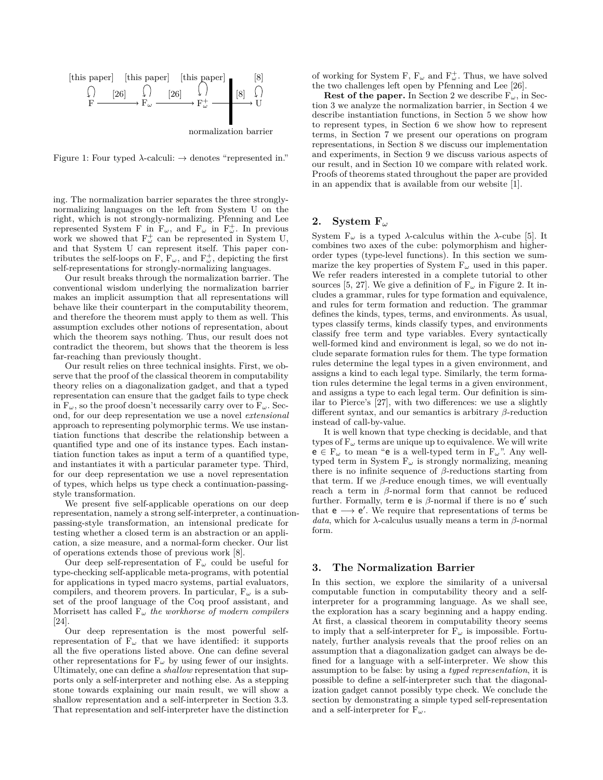

Figure 1: Four typed *λ*-calculi: *→* denotes "represented in."

ing. The normalization barrier separates the three stronglynormalizing languages on the left from System U on the right, which is not strongly-normalizing. Pfenning and Lee represented System F in  $F_{\omega}$ , and  $F_{\omega}$  in  $F_{\omega}^+$ . In previous work we showed that  $F^{\dagger}_{\omega}$  can be represented in System U, and that System U can represent itself. This paper contributes the self-loops on F,  $F_{\omega}$ , and  $F_{\omega}^{+}$ , depicting the first self-representations for strongly-normalizing languages.

Our result breaks through the normalization barrier. The conventional wisdom underlying the normalization barrier makes an implicit assumption that all representations will behave like their counterpart in the computability theorem, and therefore the theorem must apply to them as well. This assumption excludes other notions of representation, about which the theorem says nothing. Thus, our result does not contradict the theorem, but shows that the theorem is less far-reaching than previously thought.

Our result relies on three technical insights. First, we observe that the proof of the classical theorem in computability theory relies on a diagonalization gadget, and that a typed representation can ensure that the gadget fails to type check in  $F_\omega$ , so the proof doesn't necessarily carry over to  $F_\omega$ . Second, for our deep representation we use a novel *extensional* approach to representing polymorphic terms. We use instantiation functions that describe the relationship between a quantified type and one of its instance types. Each instantiation function takes as input a term of a quantified type, and instantiates it with a particular parameter type. Third, for our deep representation we use a novel representation of types, which helps us type check a continuation-passingstyle transformation.

We present five self-applicable operations on our deep representation, namely a strong self-interpreter, a continuationpassing-style transformation, an intensional predicate for testing whether a closed term is an abstraction or an application, a size measure, and a normal-form checker. Our list of operations extends those of previous work [8].

Our deep self-representation of F*<sup>ω</sup>* could be useful for type-checking self-applicable meta-programs, with potential for applications in typed macro systems, partial evaluators, compilers, and theorem provers. In particular,  $F_{\omega}$  is a subset of the proof language of the Coq proof assistant, and Morrisett has called F*<sup>ω</sup> the workhorse of modern compilers* [24].

Our deep representation is the most powerful selfrepresentation of  $F_\omega$  that we have identified: it supports all the five operations listed above. One can define several other representations for  $F_\omega$  by using fewer of our insights. Ultimately, one can define a *shallow* representation that supports only a self-interpreter and nothing else. As a stepping stone towards explaining our main result, we will show a shallow representation and a self-interpreter in Section 3.3. That representation and self-interpreter have the distinction

of working for System F,  $F_{\omega}$  and  $F_{\omega}^{\dagger}$ . Thus, we have solved the two challenges left open by Pfenning and Lee [26].

**Rest of the paper.** In Section 2 we describe  $F_\omega$ , in Section 3 we analyze the normalization barrier, in Section 4 we describe instantiation functions, in Section 5 we show how to represent types, in Section 6 we show how to represent terms, in Section 7 we present our operations on program representations, in Section 8 we discuss our implementation and experiments, in Section 9 we discuss various aspects of our result, and in Section 10 we compare with related work. Proofs of theorems stated throughout the paper are provided in an appendix that is available from our website [1].

# **2. System F***<sup>ω</sup>*

System  $F<sub>ω</sub>$  is a typed *λ*-calculus within the *λ*-cube [5]. It combines two axes of the cube: polymorphism and higherorder types (type-level functions). In this section we summarize the key properties of System  $F_\omega$  used in this paper. We refer readers interested in a complete tutorial to other sources [5, 27]. We give a definition of  $F_\omega$  in Figure 2. It includes a grammar, rules for type formation and equivalence, and rules for term formation and reduction. The grammar defines the kinds, types, terms, and environments. As usual, types classify terms, kinds classify types, and environments classify free term and type variables. Every syntactically well-formed kind and environment is legal, so we do not include separate formation rules for them. The type formation rules determine the legal types in a given environment, and assigns a kind to each legal type. Similarly, the term formation rules determine the legal terms in a given environment, and assigns a type to each legal term. Our definition is similar to Pierce's [27], with two differences: we use a slightly different syntax, and our semantics is arbitrary *β*-reduction instead of call-by-value.

It is well known that type checking is decidable, and that types of F*<sup>ω</sup>* terms are unique up to equivalence. We will write e *∈* F*<sup>ω</sup>* to mean "e is a well-typed term in F*ω*". Any welltyped term in System F*<sup>ω</sup>* is strongly normalizing, meaning there is no infinite sequence of *β*-reductions starting from that term. If we  $\beta$ -reduce enough times, we will eventually reach a term in *β*-normal form that cannot be reduced further. Formally, term e is *β*-normal if there is no e *′* such that e *−→* e *′* . We require that representations of terms be *data*, which for *λ*-calculus usually means a term in *β*-normal form.

## **3. The Normalization Barrier**

In this section, we explore the similarity of a universal computable function in computability theory and a selfinterpreter for a programming language. As we shall see, the exploration has a scary beginning and a happy ending. At first, a classical theorem in computability theory seems to imply that a self-interpreter for  $F_\omega$  is impossible. Fortunately, further analysis reveals that the proof relies on an assumption that a diagonalization gadget can always be defined for a language with a self-interpreter. We show this assumption to be false: by using a *typed representation*, it is possible to define a self-interpreter such that the diagonalization gadget cannot possibly type check. We conclude the section by demonstrating a simple typed self-representation and a self-interpreter for F*ω*.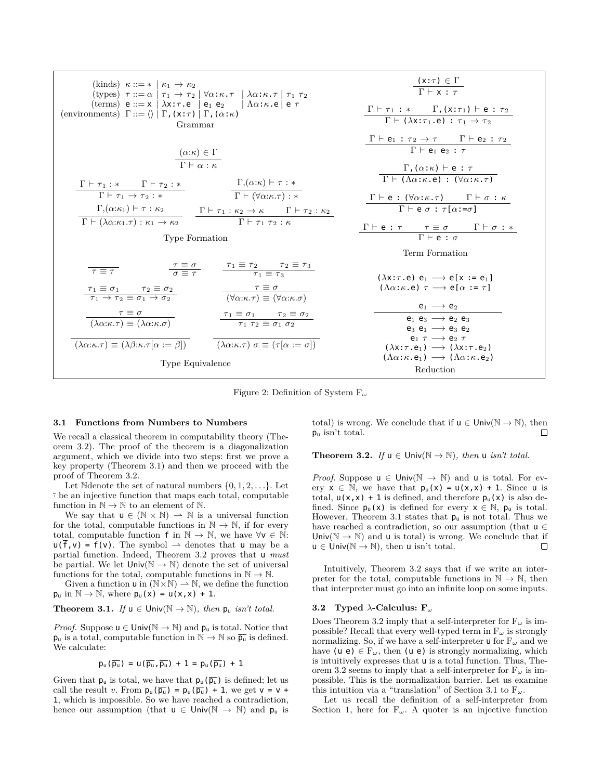| (kinds) $\kappa ::= *   \kappa_1 \rightarrow \kappa_2$<br>(types) $\tau ::= \alpha   \tau_1 \rightarrow \tau_2   \forall \alpha : \kappa . \tau   \lambda \alpha : \kappa . \tau   \tau_1 \tau_2$<br>(terms) $e ::= x \mid \lambda x : \tau \cdot e \mid e_1 \cdot e_2 \mid \Lambda \alpha : \kappa \cdot e \mid e \tau$<br>(environments) $\Gamma ::= \langle \rangle   \Gamma$ , $(x:\tau)   \Gamma$ , $(\alpha:\kappa)$<br>Grammar                                                   | $\frac{(\mathsf{x}:\tau) \in \Gamma}{\Gamma \vdash \mathsf{x} : \tau}$<br>$\frac{\Gamma \vdash \tau_1 : * \quad \Gamma, (x:\tau_1) \vdash e : \tau_2}{\Gamma \vdash (\lambda x:\tau_1.e) : \tau_1 \rightarrow \tau_2}$              |
|-----------------------------------------------------------------------------------------------------------------------------------------------------------------------------------------------------------------------------------------------------------------------------------------------------------------------------------------------------------------------------------------------------------------------------------------------------------------------------------------|-------------------------------------------------------------------------------------------------------------------------------------------------------------------------------------------------------------------------------------|
| $\frac{(\alpha:\kappa) \in \Gamma}{\Gamma \vdash \alpha : \kappa}$                                                                                                                                                                                                                                                                                                                                                                                                                      | $\frac{\Gamma \vdash e_1 : \tau_2 \rightarrow \tau \qquad \Gamma \vdash e_2 : \tau_2}{\Gamma \vdash e_1 e_2 : \tau}$<br>$\Gamma$ , $(\alpha:\kappa)$ $\vdash$ e : $\tau$                                                            |
| $\frac{\Gamma \vdash \tau_1 : * \qquad \Gamma \vdash \tau_2 : *}{\Gamma \vdash \tau_1 \rightarrow \tau_2 : *}$ $\frac{\Gamma, (\alpha:\kappa) \vdash \tau : *}{\Gamma \vdash (\forall \alpha:\kappa.\tau) : *}$<br>$\frac{\Gamma, (\alpha:\kappa_1) \vdash \tau : \kappa_2}{\Gamma \vdash (\lambda \alpha:\kappa_1.\tau) : \kappa_1 \to \kappa_2} \quad \frac{\Gamma \vdash \tau_1 : \kappa_2 \to \kappa \qquad \Gamma \vdash \tau_2 : \kappa_2}{\Gamma \vdash \tau_1 \tau_2 : \kappa}$ | $\Gamma \vdash (\Lambda \alpha : \kappa \cdot e) : (\forall \alpha : \kappa \cdot \tau)$<br>$\Gamma \vdash e : (\forall \alpha : \kappa . \tau)$ $\Gamma \vdash \sigma : \kappa$<br>$\Gamma \vdash e \sigma : \tau[\alpha:=\sigma]$ |
| <b>Type Formation</b>                                                                                                                                                                                                                                                                                                                                                                                                                                                                   | $\frac{\Gamma \vdash e : \tau \qquad \tau \equiv \sigma \qquad \Gamma \vdash \sigma : *}{\Gamma \vdash e : \sigma}$<br>Term Formation                                                                                               |
| $\frac{\tau \equiv \sigma}{\sigma \equiv \tau}$ $\frac{\tau_1 \equiv \tau_2 \quad \tau_2 \equiv \tau_3}{\tau_1 \equiv \tau_3}$<br>$\overline{\tau \equiv \tau}$<br>$\frac{\tau_1 \equiv \sigma_1 \qquad \tau_2 \equiv \sigma_2}{\tau_1 \to \tau_2 \equiv \sigma_1 \to \sigma_2}$ $\frac{\tau \equiv \sigma}{(\forall \alpha:\kappa.\tau) \equiv (\forall \alpha:\kappa.\sigma)}$                                                                                                        | $(\lambda x : \tau . e) e_1 \longrightarrow e[x := e_1]$<br>$(\Lambda \alpha; \kappa, e) \tau \longrightarrow e[\alpha; = \tau]$                                                                                                    |
| $\frac{\tau \equiv \sigma}{(\lambda \alpha:\kappa.\tau)} \equiv \frac{\tau_1 \equiv \sigma_1 \qquad \tau_2 \equiv \sigma_2}{\tau_1 \tau_2 \equiv \sigma_1 \sigma_2}$                                                                                                                                                                                                                                                                                                                    | $e_1 \longrightarrow e_2$<br>$e_1$ $e_3 \rightarrow e_2$ $e_3$<br>$e_3$ $e_1 \longrightarrow e_3$ $e_2$<br>$e_1 \tau \rightarrow e_2 \tau$                                                                                          |
| $(\lambda \alpha:\kappa.\tau) \equiv (\lambda \beta:\kappa.\tau[\alpha := \beta])$ $(\lambda \alpha:\kappa.\tau) \sigma \equiv (\tau[\alpha := \sigma])$<br>Type Equivalence                                                                                                                                                                                                                                                                                                            | $(\lambda x : \tau \cdot e_1) \longrightarrow (\lambda x : \tau \cdot e_2)$<br>$(\Lambda \alpha : \kappa \cdot e_1) \longrightarrow (\Lambda \alpha : \kappa \cdot e_2)$<br>Reduction                                               |

Figure 2: Definition of System F*<sup>ω</sup>*

#### **3.1 Functions from Numbers to Numbers**

We recall a classical theorem in computability theory (Theorem 3.2). The proof of the theorem is a diagonalization argument, which we divide into two steps: first we prove a key property (Theorem 3.1) and then we proceed with the proof of Theorem 3.2.

Let Ndenote the set of natural numbers  $\{0, 1, 2, \ldots\}$ . Let *·* be an injective function that maps each total, computable function in  $\mathbb{N} \to \mathbb{N}$  to an element of  $\mathbb{N}$ .

We say that  $u \in (\mathbb{N} \times \mathbb{N}) \to \mathbb{N}$  is a universal function for the total, computable functions in  $\mathbb{N} \to \mathbb{N}$ , if for every total, computable function f in  $\mathbb{N} \to \mathbb{N}$ , we have  $\forall v \in \mathbb{N}$ :  $\mathsf{u}(\overline{\mathsf{f}},\mathsf{v}) = \mathsf{f}(\mathsf{v}).$  The symbol  $\rightharpoonup$  denotes that  $\mathsf{u}$  may be a partial function. Indeed, Theorem 3.2 proves that u *must* be partial. We let  $Univ(\mathbb{N} \to \mathbb{N})$  denote the set of universal functions for the total, computable functions in  $\mathbb{N} \to \mathbb{N}$ .

Given a function  $u$  in  $(N \times N) \rightarrow N$ , we define the function  $p_u$  in  $\mathbb{N} \to \mathbb{N}$ , where  $p_u(x) = u(x, x) + 1$ .

**Theorem 3.1.** If 
$$
u \in \text{Univ}(\mathbb{N} \to \mathbb{N})
$$
, then  $p_u$  isn't total.

*Proof.* Suppose  $u \in \text{Univ}(\mathbb{N} \to \mathbb{N})$  and  $p_u$  is total. Notice that  $p_u$  is a total, computable function in  $\mathbb{N} \to \mathbb{N}$  so  $\overline{p_u}$  is defined. We calculate:

$$
p_u(\overline{p_u}) = u(\overline{p_u}, \overline{p_u}) + 1 = p_u(\overline{p_u}) + 1
$$

Given that  $p_u$  is total, we have that  $p_u(\overline{p_u})$  is defined; let us call the result *v*. From  $p_u(\overline{p_u}) = p_u(\overline{p_u}) + 1$ , we get  $v = v +$ 1, which is impossible. So we have reached a contradiction, hence our assumption (that  $u \in \text{Univ}(\mathbb{N} \to \mathbb{N})$  and  $p_u$  is total) is wrong. We conclude that if  $u \in \text{Univ}(\mathbb{N} \to \mathbb{N})$ , then p<sup>u</sup> isn't total. П

**Theorem 3.2.** *If*  $u \in \text{Univ}(\mathbb{N} \to \mathbb{N})$ *, then*  $u$  *isn't total.* 

*Proof.* Suppose  $u \in \text{Univ}(\mathbb{N} \to \mathbb{N})$  and u is total. For every  $x \in \mathbb{N}$ , we have that  $p_u(x) = u(x,x) + 1$ . Since u is total,  $u(x, x) + 1$  is defined, and therefore  $p_u(x)$  is also defined. Since  $p_u(x)$  is defined for every  $x \in \mathbb{N}$ ,  $p_u$  is total. However, Theorem 3.1 states that  $p_u$  is not total. Thus we have reached a contradiction, so our assumption (that u *∈* Univ( $\mathbb{N} \to \mathbb{N}$ ) and **u** is total) is wrong. We conclude that if  $\mathbf{u} \in \mathsf{Univ}(\mathbb{N} \to \mathbb{N})$ , then **u** isn't total.  $\Box$ u *∈* Univ(N *→* N), then u isn't total.

Intuitively, Theorem 3.2 says that if we write an interpreter for the total, computable functions in  $\mathbb{N} \to \mathbb{N}$ , then that interpreter must go into an infinite loop on some inputs.

#### **3.2 Typed** *λ***-Calculus: F***<sup>ω</sup>*

Does Theorem 3.2 imply that a self-interpreter for F*<sup>ω</sup>* is impossible? Recall that every well-typed term in F*<sup>ω</sup>* is strongly normalizing. So, if we have a self-interpreter u for F*<sup>ω</sup>* and we have (u e)  $\in$  F<sub>ω</sub>, then (u e) is strongly normalizing, which is intuitively expresses that u is a total function. Thus, Theorem 3.2 seems to imply that a self-interpreter for  $F_\omega$  is impossible. This is the normalization barrier. Let us examine this intuition via a "translation" of Section 3.1 to  $F_{\omega}$ .

Let us recall the definition of a self-interpreter from Section 1, here for  $F_{\omega}$ . A quoter is an injective function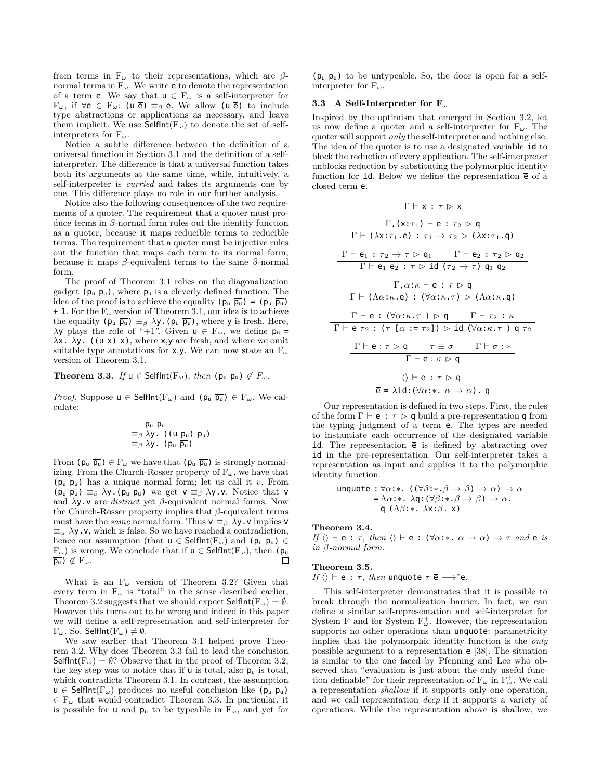from terms in F*<sup>ω</sup>* to their representations, which are *β*normal terms in  $F_{\omega}$ . We write  $\bar{e}$  to denote the representation of a term **e**. We say that  $u \in F_\omega$  is a self-interpreter for F*ω*, if *∀*e *∈* F*ω*: (u e) *≡<sup>β</sup>* e. We allow (u e) to include type abstractions or applications as necessary, and leave them implicit. We use  $\overline{\mathsf{SelfInt}}(F_\omega)$  to denote the set of selfinterpreters for F*ω*.

Notice a subtle difference between the definition of a universal function in Section 3.1 and the definition of a selfinterpreter. The difference is that a universal function takes both its arguments at the same time, while, intuitively, a self-interpreter is *curried* and takes its arguments one by one. This difference plays no role in our further analysis.

Notice also the following consequences of the two requirements of a quoter. The requirement that a quoter must produce terms in *β*-normal form rules out the identity function as a quoter, because it maps reducible terms to reducible terms. The requirement that a quoter must be injective rules out the function that maps each term to its normal form, because it maps *β*-equivalent terms to the same *β*-normal form.

The proof of Theorem 3.1 relies on the diagonalization gadget  $(p_u \overline{p_u})$ , where  $p_u$  is a cleverly defined function. The idea of the proof is to achieve the equality  $(p_u \overline{p_u}) = (p_u \overline{p_u})$  $+ 1$ . For the  $F_\omega$  version of Theorem 3.1, our idea is to achieve the equality  $(p_u \overline{p_u}) \equiv_\beta \lambda y$ .  $(p_u \overline{p_u})$ , where y is fresh. Here, *λ*y plays the role of "+1". Given **u**  $∈$  **F**<sub>ω</sub>, we define  $p$ <sub>**u**</sub> =  $λx. λy.$  ((u x) x), where x, y are fresh, and where we omit suitable type annotations for x,y. We can now state an F*<sup>ω</sup>* version of Theorem 3.1.

**Theorem 3.3.** *If*  $u \in \mathsf{SelfInt}(F_\omega)$ *, then*  $(\mathsf{p}_u \ \overline{\mathsf{p}_u}) \notin F_\omega$ *.* 

*Proof.* Suppose  $u \in \text{SelfInt}(F_\omega)$  and  $(p_u \overline{p_u}) \in F_\omega$ . We calculate:

$$
\frac{p_{u} \overline{p_{u}}}{\equiv_{\beta} \lambda y}. (\text{ } (\text{ } \frac{\overline{p_{u}}}{p_{u}}) \overline{p_{u}})
$$
  

$$
\equiv_{\beta} \lambda y. (\text{ } p_{u} \overline{p_{u}})
$$

From  $(\mathbf{p}_\mathbf{u} \ \overline{\mathbf{p}_\mathbf{u}}) \in \mathbf{F}_\omega$  we have that  $(\mathbf{p}_\mathbf{u} \ \overline{\mathbf{p}_\mathbf{u}})$  is strongly normalizing. From the Church-Rosser property of  $F_\omega$ , we have that  $(p_u \overline{p_u})$  has a unique normal form; let us call it *v*. From  $(p_u \overline{p_u}) \equiv_\beta \lambda y$ .  $(p_u \overline{p_u})$  we get  $v \equiv_\beta \lambda y$ . V. Notice that v and *λ*y.v are *distinct* yet *β*-equivalent normal forms. Now the Church-Rosser property implies that *β*-equivalent terms must have the *same* normal form. Thus  $v \equiv_{\beta} \lambda y$ . v implies v *≡<sup>α</sup> λ*y.v, which is false. So we have reached a contradiction, hence our assumption (that  $u \in \mathsf{SelfInt}(F_\omega)$  and  $(p_u \overline{p_u}) \in$  $F_{\omega}$ ) is wrong. We conclude that if  $u \in \mathsf{SelfInt}(F_{\omega})$ , then (p<sub>u</sub>  $\overline{p_u}$ )  $\notin$   $F_\omega$ . П

What is an  $F_{\omega}$  version of Theorem 3.2? Given that every term in  $F_{\omega}$  is "total" in the sense described earlier, Theorem 3.2 suggests that we should expect  $\mathsf{SelfInt}(\mathbb{F}_{\omega}) = \emptyset$ . However this turns out to be wrong and indeed in this paper we will define a self-representation and self-interpreter for  $F_{\omega}$ . So, SelfInt( $F_{\omega}$ )  $\neq \emptyset$ .

We saw earlier that Theorem 3.1 helped prove Theorem 3.2. Why does Theorem 3.3 fail to lead the conclusion Selflnt( $F_\omega$ ) =  $\emptyset$ ? Observe that in the proof of Theorem 3.2, the key step was to notice that if  $\mathsf{u}$  is total, also  $\mathsf{p}_{\mathsf{u}}$  is total, which contradicts Theorem 3.1. In contrast, the assumption u ∈ Selflnt( $F_{\omega}$ ) produces no useful conclusion like ( $p_{\mu}$   $\overline{p_{\mu}}$ ) *∈* F*<sup>ω</sup>* that would contradict Theorem 3.3. In particular, it is possible for **u** and  $p_u$  to be typeable in  $F_\omega$ , and yet for

 $(p_u \overline{p_u})$  to be untypeable. So, the door is open for a selfinterpreter for F*ω*.

## **3.3 A Self-Interpreter for F***<sup>ω</sup>*

Inspired by the optimism that emerged in Section 3.2, let us now define a quoter and a self-interpreter for F*ω*. The quoter will support *only* the self-interpreter and nothing else. The idea of the quoter is to use a designated variable id to block the reduction of every application. The self-interpreter unblocks reduction by substituting the polymorphic identity function for id. Below we define the representation  $\bar{e}$  of a closed term e.

$$
\Gamma \vdash \mathsf{x} : \tau \vartriangleright \mathsf{x}
$$

$$
\frac{\Gamma_{1}(x:\tau_{1}) \vdash e : \tau_{2} \rhd q}{\Gamma \vdash (\lambda x:\tau_{1}.e) : \tau_{1} \rightarrow \tau_{2} \rhd (\lambda x:\tau_{1}.q)}
$$
\n
$$
\frac{\Gamma \vdash e_{1} : \tau_{2} \rightarrow \tau \rhd q_{1} \qquad \Gamma \vdash e_{2} : \tau_{2} \rhd q_{2}}{\Gamma \vdash e_{1} e_{2} : \tau \rhd id (\tau_{2} \rightarrow \tau) q_{1} q_{2}}
$$
\n
$$
\frac{\Gamma_{1} \alpha:\kappa \vdash e : \tau \rhd q}{\Gamma \vdash (\lambda \alpha:\kappa.e) : (\forall \alpha:\kappa.\tau) \rhd (\lambda \alpha:\kappa.q)}
$$
\n
$$
\Gamma \vdash e : (\forall \alpha:\kappa.\tau_{1}) \rhd q \qquad \Gamma \vdash \tau_{2} : \kappa
$$
\n
$$
\Gamma \vdash e \tau_{2} : (\tau_{1}[\alpha := \tau_{2}]) \rhd id (\forall \alpha:\kappa.\tau_{1}) q \tau_{2}
$$
\n
$$
\frac{\Gamma \vdash e : \tau \rhd q \qquad \tau \equiv \sigma \qquad \Gamma \vdash \sigma : *}{\Gamma \vdash e : \sigma \rhd q}
$$
\n
$$
\langle \rangle \vdash e : \tau \rhd q
$$
\n
$$
\frac{\langle \rangle \vdash e : \tau \rhd q}{\overline{e} = \lambda id : (\forall \alpha:\kappa \ldots \alpha \rightarrow \alpha). q}
$$

Our representation is defined in two steps. First, the rules of the form  $\Gamma \vdash e : \tau \triangleright q$  build a pre-representation q from the typing judgment of a term e. The types are needed to instantiate each occurrence of the designated variable id. The representation  $\bar{e}$  is defined by abstracting over id in the pre-representation. Our self-interpreter takes a representation as input and applies it to the polymorphic identity function:

$$
\begin{array}{ll}\n\text{unquote}: \forall \alpha: * \quad (\forall \beta: * \quad \beta \to \beta) \to \alpha) \to \alpha \\
&= \Lambda \alpha: * \quad \lambda \mathsf{q}: (\forall \beta: * \quad \beta \to \beta) \to \alpha \\
&\quad \mathsf{q} \quad (\Lambda \beta: * \quad \lambda \times: \beta \quad \times)\n\end{array}
$$

#### **Theorem 3.4.**

*If*  $\langle \rangle \vdash e : \tau, \text{ then } \langle \rangle \vdash \overline{e} : (\forall \alpha : * \ldots \alpha \rightarrow \alpha) \rightarrow \tau \text{ and } \overline{e} \text{ is }$ *in β-normal form.*

#### **Theorem 3.5.**

*If*  $\langle \rangle \vdash e : \tau$ *, then* unquote  $\tau \in \longrightarrow^*e$ *.* 

This self-interpreter demonstrates that it is possible to break through the normalization barrier. In fact, we can define a similar self-representation and self-interpreter for System F and for System F<sup>+</sup><sub>ω</sub>. However, the representation supports no other operations than unquote: parametricity implies that the polymorphic identity function is the *only* possible argument to a representation  $\bar{e}$  [38]. The situation is similar to the one faced by Pfenning and Lee who observed that "evaluation is just about the only useful function definable" for their representation of  $F_{\omega}$  in  $F_{\omega}^{+}$ . We call a representation *shallow* if it supports only one operation, and we call representation *deep* if it supports a variety of operations. While the representation above is shallow, we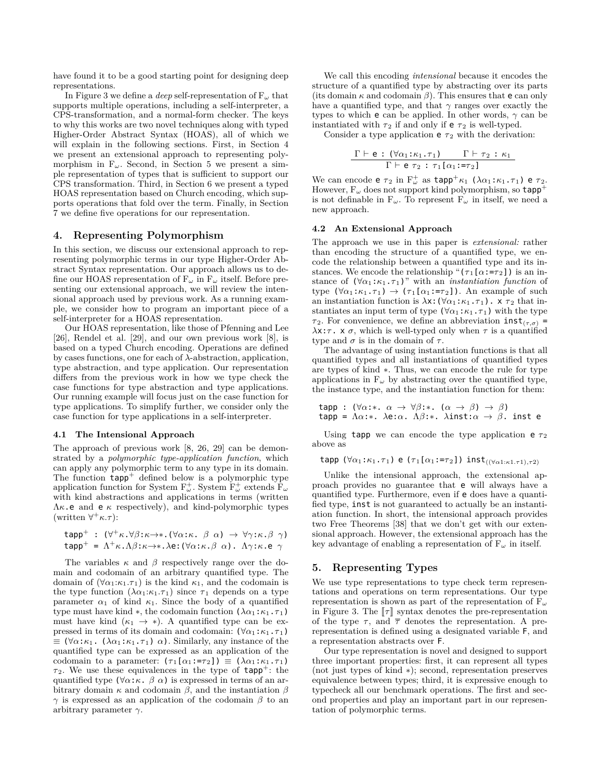have found it to be a good starting point for designing deep representations.

In Figure 3 we define a *deep* self-representation of F*<sup>ω</sup>* that supports multiple operations, including a self-interpreter, a CPS-transformation, and a normal-form checker. The keys to why this works are two novel techniques along with typed Higher-Order Abstract Syntax (HOAS), all of which we will explain in the following sections. First, in Section 4 we present an extensional approach to representing polymorphism in  $F_{\omega}$ . Second, in Section 5 we present a simple representation of types that is sufficient to support our CPS transformation. Third, in Section 6 we present a typed HOAS representation based on Church encoding, which supports operations that fold over the term. Finally, in Section 7 we define five operations for our representation.

## **4. Representing Polymorphism**

In this section, we discuss our extensional approach to representing polymorphic terms in our type Higher-Order Abstract Syntax representation. Our approach allows us to define our HOAS representation of  $F_{\omega}$  in  $F_{\omega}$  itself. Before presenting our extensional approach, we will review the intensional approach used by previous work. As a running example, we consider how to program an important piece of a self-interpreter for a HOAS representation.

Our HOAS representation, like those of Pfenning and Lee [26], Rendel et al. [29], and our own previous work [8], is based on a typed Church encoding. Operations are defined by cases functions, one for each of *λ*-abstraction, application, type abstraction, and type application. Our representation differs from the previous work in how we type check the case functions for type abstraction and type applications. Our running example will focus just on the case function for type applications. To simplify further, we consider only the case function for type applications in a self-interpreter.

#### **4.1 The Intensional Approach**

The approach of previous work [8, 26, 29] can be demonstrated by a *polymorphic type-application function*, which can apply any polymorphic term to any type in its domain. The function  $\text{tapp}^+$  defined below is a polymorphic type application function for System  $F_{\omega}^+$ . System  $F_{\omega}^+$  extends  $F_{\omega}$ with kind abstractions and applications in terms (written  $\Lambda \kappa$ .e and e  $\kappa$  respectively), and kind-polymorphic types  $(\text{written } \forall^+ \kappa.\tau)$ :

$$
\begin{array}{l}\n\text{tapp}^+ : (\forall^+ \kappa. \forall \beta: \kappa \to * . (\forall \alpha: \kappa. \ \beta \ \alpha) \to \forall \gamma: \kappa. \beta \ \gamma) \\
\text{tapp}^+ = \Lambda^+ \kappa. \Lambda \beta: \kappa \to * . \lambda \mathbf{e}: (\forall \alpha: \kappa. \beta \ \alpha). \ \Lambda \gamma: \kappa. \mathbf{e} \ \gamma\n\end{array}
$$

The variables  $\kappa$  and  $\beta$  respectively range over the domain and codomain of an arbitrary quantified type. The domain of  $(\forall \alpha_1:\kappa_1.\tau_1)$  is the kind  $\kappa_1$ , and the codomain is the type function  $(\lambda \alpha_1:\kappa_1.\tau_1)$  since  $\tau_1$  depends on a type parameter  $\alpha_1$  of kind  $\kappa_1$ . Since the body of a quantified type must have kind  $*$ , the codomain function  $(\lambda \alpha_1 : \kappa_1 \cdot \tau_1)$ must have kind  $(\kappa_1 \rightarrow *)$ . A quantified type can be expressed in terms of its domain and codomain:  $(\forall \alpha_1 : \kappa_1 . \tau_1)$ *≡* (*∀α*:*κ*1. (*λα*1:*κ*1.*τ* <sup>1</sup>) *α*). Similarly, any instance of the quantified type can be expressed as an application of the codomain to a parameter:  $(\tau_1[\alpha_1:=\tau_2]) \equiv (\lambda \alpha_1:\kappa_1.\tau_1)$  $\tau_2$ . We use these equivalences in the type of  $\tt{tapp}^+$ : the quantified type  $(\forall \alpha : \kappa \cdot \beta \alpha)$  is expressed in terms of an arbitrary domain *κ* and codomain *β*, and the instantiation *β γ* is expressed as an application of the codomain *β* to an arbitrary parameter *γ*.

We call this encoding *intensional* because it encodes the structure of a quantified type by abstracting over its parts (its domain  $\kappa$  and codomain  $\beta$ ). This ensures that **e** can only have a quantified type, and that  $\gamma$  ranges over exactly the types to which e can be applied. In other words, *γ* can be instantiated with  $\tau_2$  if and only if  $e \tau_2$  is well-typed.

Consider a type application  $e \tau_2$  with the derivation:

$$
\frac{\Gamma \vdash e : (\forall \alpha_1 : \kappa_1 . \tau_1) \qquad \Gamma \vdash \tau_2 : \kappa_1}{\Gamma \vdash e \ \tau_2 : \ \tau_1 [\alpha_1 : = \tau_2]}
$$

We can encode **e**  $\tau_2$  in  $F^+_{\omega}$  as  $\textsf{tapp}^+ \kappa_1$  ( $\lambda \alpha_1 : \kappa_1 . \tau_1$ ) **e**  $\tau_2$ . However,  $F_{\omega}$  does not support kind polymorphism, so  $\tt{tapp}^+$ is not definable in  $F_{\omega}$ . To represent  $F_{\omega}$  in itself, we need a new approach.

#### **4.2 An Extensional Approach**

The approach we use in this paper is *extensional:* rather than encoding the structure of a quantified type, we encode the relationship between a quantified type and its instances. We encode the relationship " $(\tau_1[\alpha:-\tau_2])$  is an instance of  $(\forall \alpha_1 : \kappa_1 . \tau_1)$ " with an *instantiation function* of type  $(\forall \alpha_1 : \kappa_1 \cdot \tau_1) \rightarrow (\tau_1[\alpha_1 : = \tau_2])$ . An example of such an instantiation function is  $\lambda$ x: ( $\forall \alpha_1 : \kappa_1 . \tau_1$ ). x  $\tau_2$  that instantiates an input term of type  $(\forall \alpha_1 : \kappa_1 \cdot \tau_1)$  with the type *τ*<sub>2</sub>. For convenience, we define an abbreviation  $int_{(\tau,\sigma)}$  =  $λx:\tau$ . x  $\sigma$ , which is well-typed only when  $\tau$  is a quantified type and  $\sigma$  is in the domain of  $\tau$ .

The advantage of using instantiation functions is that all quantified types and all instantiations of quantified types are types of kind *∗*. Thus, we can encode the rule for type applications in  $F_\omega$  by abstracting over the quantified type, the instance type, and the instantiation function for them:

$$
\begin{array}{l}\n\texttt{tapp : } (\forall \alpha : * \alpha \rightarrow \forall \beta : * \quad (\alpha \rightarrow \beta) \rightarrow \beta) \\
\texttt{tapp = } \Lambda \alpha : * \quad \lambda \mathbf{e} : \alpha. \quad \Lambda \beta : * \quad \lambda \text{inst} : \alpha \rightarrow \beta. \quad \text{inst } \mathbf{e}\n\end{array}
$$

Using tapp we can encode the type application  $e \tau_2$ above as

tapp  $(\forall \alpha_1 : \kappa_1 . \tau_1)$  e  $(\tau_1[\alpha_1 := \tau_2])$  inst $(\forall \alpha_1 : \kappa_1 . \tau_1) . \tau_2$ 

Unlike the intensional approach, the extensional approach provides no guarantee that e will always have a quantified type. Furthermore, even if e does have a quantified type, inst is not guaranteed to actually be an instantiation function. In short, the intensional approach provides two Free Theorems [38] that we don't get with our extensional approach. However, the extensional approach has the key advantage of enabling a representation of F*<sup>ω</sup>* in itself.

## **5. Representing Types**

We use type representations to type check term representations and operations on term representations. Our type representation is shown as part of the representation of F*<sup>ω</sup>* in Figure 3. The  $\llbracket \tau \rrbracket$  syntax denotes the pre-representation of the type  $\tau$ , and  $\bar{\tau}$  denotes the representation. A prerepresentation is defined using a designated variable F, and a representation abstracts over F.

Our type representation is novel and designed to support three important properties: first, it can represent all types (not just types of kind *∗*); second, representation preserves equivalence between types; third, it is expressive enough to typecheck all our benchmark operations. The first and second properties and play an important part in our representation of polymorphic terms.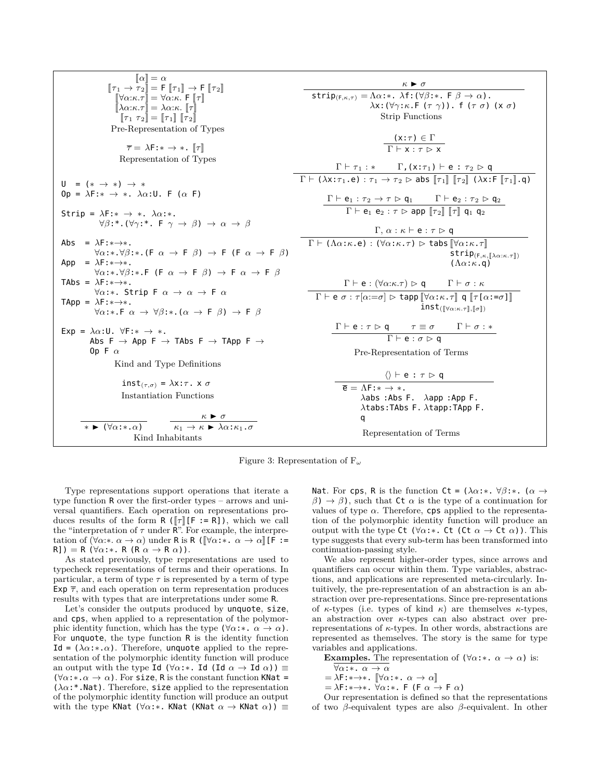| $[n_1 \rightarrow \pi_2] = F$                                                                                                                                                                                                                                                                                                                                                                                                                                                                                                                                                                                                                                                                                                                                                                                                                      | $[n_1 \rightarrow F   \pi_2]$ | $\kappa \rhd \sigma$ |
|----------------------------------------------------------------------------------------------------------------------------------------------------------------------------------------------------------------------------------------------------------------------------------------------------------------------------------------------------------------------------------------------------------------------------------------------------------------------------------------------------------------------------------------------------------------------------------------------------------------------------------------------------------------------------------------------------------------------------------------------------------------------------------------------------------------------------------------------------|-------------------------------|----------------------|
| $[n_1 \rightarrow \pi_2] = F$                                                                                                                                                                                                                                                                                                                                                                                                                                                                                                                                                                                                                                                                                                                                                                                                                      | $\kappa \rhd \tau$            | $\kappa \rhd \sigma$ |
| $[n_1 \rightarrow \pi_2] = \forall \alpha: \kappa, F   \pi_1]$                                                                                                                                                                                                                                                                                                                                                                                                                                                                                                                                                                                                                                                                                                                                                                                     | $\kappa \rhd \sigma$          |                      |
| $[n_1 \rightarrow \pi_2] = \forall \alpha: \kappa, F   \pi_1]$                                                                                                                                                                                                                                                                                                                                                                                                                                                                                                                                                                                                                                                                                                                                                                                     | $\kappa \rhd \tau$            | $\kappa \rhd \tau$   |
| $[n_1 \rightarrow \pi_1] = [n_1 \land \pi_1] = [n_1 \land \pi_1] = [n_1 \land \pi_1] = [n_1 \land \pi_1] = [n_1 \land \pi_1] = [n_1 \land \pi_1] = [n_1 \land \pi_1] = [n_1 \land \pi_1] = [n_1 \land \pi_1] = [n_1 \land \pi_1] = [n_1 \land \pi_1] = [n_1 \land \pi_1] = [n_1 \land \pi_1] = [n_1 \land \pi_1] = [n_1 \land \pi_1] = [n_1 \land \pi_1] = [n_1 \land \pi_1] = [n_1 \land \pi_1] = [n_1 \land \pi_1] = [n_1 \land \pi_1] = [n_1 \land \pi_1] = [n_1 \land \pi_1] = [n_1 \land \pi_1] = [n_1 \land \pi_1] = [n_1 \land \pi_1] = [n_1 \land \pi_1] = [n_1 \land \pi_1] = [n_1 \land \pi_1] = [n_1 \land \pi_1] = [n_1 \land \pi_1] = [n_1 \land \pi_1] = [n_1 \land \pi_1] = [n_1 \land \pi_1] = [n_1 \land \pi_1] = [n_1 \land \pi_1] = [n_1 \land \pi_1] = [n_1 \land \pi_1] = [n_1 \land \pi_1] = [n_1 \land \pi_1] = [n_1 \land$ |                               |                      |

Figure 3: Representation of F*<sup>ω</sup>*

Type representations support operations that iterate a type function R over the first-order types – arrows and universal quantifiers. Each operation on representations produces results of the form  $R([\tau][F := R]),$  which we call the "interpretation of  $\tau$  under  $\mathbb{R}^n$ . For example, the interpretation of  $(\forall \alpha: \alpha \rightarrow \alpha)$  under R is R  $([\forall \alpha: \alpha \rightarrow \alpha]$  [F :=  $R$ ]) = R ( $\forall \alpha$ :\*. R ( $R \alpha \rightarrow R \alpha$ )).

As stated previously, type representations are used to typecheck representations of terms and their operations. In particular, a term of type  $\tau$  is represented by a term of type Exp  $\bar{\tau}$ , and each operation on term representation produces results with types that are interpretations under some R.

Let's consider the outputs produced by unquote, size, and cps, when applied to a representation of the polymorphic identity function, which has the type  $(\forall \alpha : * \alpha \rightarrow \alpha)$ . For unquote, the type function R is the identity function Id =  $(\lambda \alpha : \alpha)$ . Therefore, unquote applied to the representation of the polymorphic identity function will produce an output with the type Id ( $\forall \alpha$ :\*. Id (Id  $\alpha \rightarrow$  Id  $\alpha$ ))  $\equiv$  $(\forall \alpha : * \alpha \rightarrow \alpha)$ . For size, R is the constant function KNat = (*λα*:\*.Nat). Therefore, size applied to the representation of the polymorphic identity function will produce an output with the type KNat ( $\forall \alpha$ :\*. KNat (KNat  $\alpha \rightarrow$  KNat  $\alpha$ ))  $\equiv$ 

Nat. For cps, R is the function Ct =  $(\lambda \alpha : * \cdot \ \forall \beta : * \cdot \alpha \rightarrow$  $β)$   $\rightarrow$  *β*), such that Ct *α* is the type of a continuation for values of type  $\alpha$ . Therefore, cps applied to the representation of the polymorphic identity function will produce an output with the type Ct ( $\forall \alpha$ :\*. Ct (Ct  $\alpha \rightarrow$  Ct  $\alpha$ )). This type suggests that every sub-term has been transformed into continuation-passing style.

We also represent higher-order types, since arrows and quantifiers can occur within them. Type variables, abstractions, and applications are represented meta-circularly. Intuitively, the pre-representation of an abstraction is an abstraction over pre-representations. Since pre-representations of  $\kappa$ -types (i.e. types of kind  $\kappa$ ) are themselves  $\kappa$ -types, an abstraction over *κ*-types can also abstract over prerepresentations of *κ*-types. In other words, abstractions are represented as themselves. The story is the same for type variables and applications.

**Examples.** The representation of  $(\forall \alpha : * \alpha \rightarrow \alpha)$  is:

$$
\forall \alpha : * \quad \alpha \to \alpha
$$

$$
= \lambda \mathbf{F} : * \to * \quad [\nabla \alpha : * \quad \alpha \to \alpha]
$$

<sup>=</sup> *<sup>λ</sup>*F:*∗→∗*. <sup>J</sup>*∀α*:*∗*. *<sup>α</sup> <sup>→</sup> <sup>α</sup>*<sup>K</sup> = *λ*F:*∗→∗*. *∀α*:*∗*. F (F *α →* F *α*)

Our representation is defined so that the representations of two *β*-equivalent types are also *β*-equivalent. In other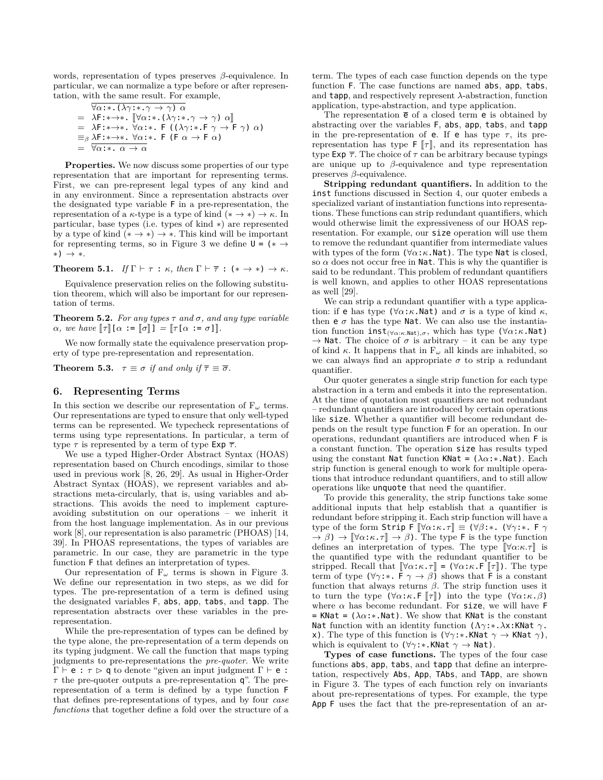words, representation of types preserves *β*-equivalence. In particular, we can normalize a type before or after representation, with the same result. For example,

$$
\begin{array}{rcl}\n\overline{\forall \alpha \colon \pi. (\lambda \gamma \colon \pi. \gamma \to \gamma) \ \alpha} \\
= & \lambda \mathsf{F} \colon \pi \to \pi. [\forall \alpha \colon \pi. (\lambda \gamma \colon \pi. \gamma \to \gamma) \ \alpha] \\
= & \lambda \mathsf{F} \colon \pi \to \pi. \ \forall \alpha \colon \pi. \ \mathsf{F} \ (\lambda \gamma \colon \pi. \mathsf{F} \ \gamma \to \mathsf{F} \ \gamma) \ \alpha) \\
= & \beta \lambda \mathsf{F} \colon \pi \to \pi. \ \forall \alpha \colon \pi. \ \mathsf{F} \ (\mathsf{F} \ \alpha \to \mathsf{F} \ \alpha) \\
= & \overline{\forall \alpha \colon \pi. \ \alpha \to \alpha}\n\end{array}
$$

**Properties.** We now discuss some properties of our type representation that are important for representing terms. First, we can pre-represent legal types of any kind and in any environment. Since a representation abstracts over the designated type variable F in a pre-representation, the representation of a  $\kappa$ -type is a type of kind ( $*\rightarrow *\rightarrow \kappa$ . In particular, base types (i.e. types of kind *∗*) are represented by a type of kind  $(* \rightarrow *) \rightarrow *$ . This kind will be important for representing terms, so in Figure 3 we define  $U = (* \rightarrow$ *∗*) *→ ∗*.

**Theorem 5.1.** *If*  $\Gamma \vdash \tau : \kappa$ *, then*  $\Gamma \vdash \overline{\tau} : (* \rightarrow *) \rightarrow \kappa$ *.* 

Equivalence preservation relies on the following substitution theorem, which will also be important for our representation of terms.

**Theorem 5.2.** *For any types*  $\tau$  *and*  $\sigma$ *, and any type variable*  $\alpha$ *, we have*  $\llbracket \tau \rrbracket [\alpha := \llbracket \sigma \rrbracket ] = \llbracket \tau [\alpha := \sigma] \rrbracket$ *.* 

We now formally state the equivalence preservation property of type pre-representation and representation.

**Theorem 5.3.**  $\tau \equiv \sigma$  *if and only if*  $\overline{\tau} \equiv \overline{\sigma}$ *.* 

## **6. Representing Terms**

In this section we describe our representation of  $F_\omega$  terms. Our representations are typed to ensure that only well-typed terms can be represented. We typecheck representations of terms using type representations. In particular, a term of type  $\tau$  is represented by a term of type Exp  $\overline{\tau}$ .

We use a typed Higher-Order Abstract Syntax (HOAS) representation based on Church encodings, similar to those used in previous work [8, 26, 29]. As usual in Higher-Order Abstract Syntax (HOAS), we represent variables and abstractions meta-circularly, that is, using variables and abstractions. This avoids the need to implement captureavoiding substitution on our operations – we inherit it from the host language implementation. As in our previous work [8], our representation is also parametric (PHOAS) [14, 39]. In PHOAS representations, the types of variables are parametric. In our case, they are parametric in the type function F that defines an interpretation of types.

Our representation of  $F_\omega$  terms is shown in Figure 3. We define our representation in two steps, as we did for types. The pre-representation of a term is defined using the designated variables F, abs, app, tabs, and tapp. The representation abstracts over these variables in the prerepresentation.

While the pre-representation of types can be defined by the type alone, the pre-representation of a term depends on its typing judgment. We call the function that maps typing judgments to pre-representations the *pre-quoter*. We write <sup>Γ</sup> *<sup>⊢</sup>* e : *<sup>τ</sup>* <sup>q</sup> to denote "given an input judgment <sup>Γ</sup> *<sup>⊢</sup>* e : *τ* the pre-quoter outputs a pre-representation q". The prerepresentation of a term is defined by a type function F that defines pre-representations of types, and by four *case functions* that together define a fold over the structure of a

term. The types of each case function depends on the type function F. The case functions are named abs, app, tabs, and tapp, and respectively represent *λ*-abstraction, function application, type-abstraction, and type application.

The representation  $\bar{e}$  of a closed term **e** is obtained by abstracting over the variables F, abs, app, tabs, and tapp in the pre-representation of **e**. If **e** has type  $\tau$ , its prerepresentation has type  $\mathsf{F}[\![\tau]\!]$ , and its representation has type Exp  $\bar{\tau}$ . The choice of  $\tau$  can be arbitrary because typings are unique up to *β*-equivalence and type representation preserves *β*-equivalence.

**Stripping redundant quantifiers.** In addition to the inst functions discussed in Section 4, our quoter embeds a specialized variant of instantiation functions into representations. These functions can strip redundant quantifiers, which would otherwise limit the expressiveness of our HOAS representation. For example, our size operation will use them to remove the redundant quantifier from intermediate values with types of the form  $(\forall \alpha : \kappa \cdot \text{Nat})$ . The type Nat is closed, so  $\alpha$  does not occur free in Nat. This is why the quantifier is said to be redundant. This problem of redundant quantifiers is well known, and applies to other HOAS representations as well [29].

We can strip a redundant quantifier with a type application: if **e** has type  $(\forall \alpha : \kappa \cdot \text{Nat})$  and  $\sigma$  is a type of kind  $\kappa$ , then  $e \, \sigma$  has the type Nat. We can also use the instantiation function inst(*∀α*:*κ.*Nat)*,σ*, which has type (*∀α*:*κ*.Nat)  $\rightarrow$  **Nat.** The choice of  $\sigma$  is arbitrary – it can be any type of kind  $\kappa$ . It happens that in  $F_{\omega}$  all kinds are inhabited, so we can always find an appropriate  $\sigma$  to strip a redundant quantifier.

Our quoter generates a single strip function for each type abstraction in a term and embeds it into the representation. At the time of quotation most quantifiers are not redundant – redundant quantifiers are introduced by certain operations like size. Whether a quantifier will become redundant depends on the result type function F for an operation. In our operations, redundant quantifiers are introduced when F is a constant function. The operation size has results typed using the constant Nat function KNat = (*λα*:*∗*.Nat). Each strip function is general enough to work for multiple operations that introduce redundant quantifiers, and to still allow operations like unquote that need the quantifier.

To provide this generality, the strip functions take some additional inputs that help establish that a quantifier is redundant before stripping it. Each strip function will have a type of the form Strip F  $\llbracket \forall \alpha : \kappa . \tau \rrbracket \equiv (\forall \beta : * \mathbf{.} (\forall \gamma : * \mathbf{.} F \gamma)$  $\rightarrow \beta$ )  $\rightarrow$   $[\forall \alpha : \kappa \cdot \tau] \rightarrow \beta$ ). The type F is the type function defines an interpretation of types. The type  $[\![\forall \alpha:\kappa.\tau]\!]$  is the quantified type with the redundant quantifier to be stripped. Recall that  $[\nabla \alpha : \kappa \cdot \tau] = (\nabla \alpha : \kappa \cdot \mathsf{F} | \tau])$ . The type term of type  $(\forall \gamma : * \in \mathsf{F} \land \rightarrow \beta)$  shows that F is a constant function that always returns *β*. The strip function uses it to turn the type  $(\forall \alpha : \kappa \cdot F \notin \mathcal{T}]$ ) into the type  $(\forall \alpha : \kappa \cdot \beta)$ where  $\alpha$  has become redundant. For size, we will have F = KNat =  $(\lambda \alpha : * . \text{Nat})$ . We show that KNat is the constant Nat function with an identity function (Λ*γ*:*∗*.*λ*x:KNat *γ*. x). The type of this function is  $(\forall \gamma : * .$ KNat  $\gamma \rightarrow$  KNat  $\gamma$ ), which is equivalent to (*∀γ*:*∗*.KNat *γ →* Nat).

**Types of case functions.** The types of the four case functions abs, app, tabs, and tapp that define an interpretation, respectively Abs, App, TAbs, and TApp, are shown in Figure 3. The types of each function rely on invariants about pre-representations of types. For example, the type App F uses the fact that the pre-representation of an ar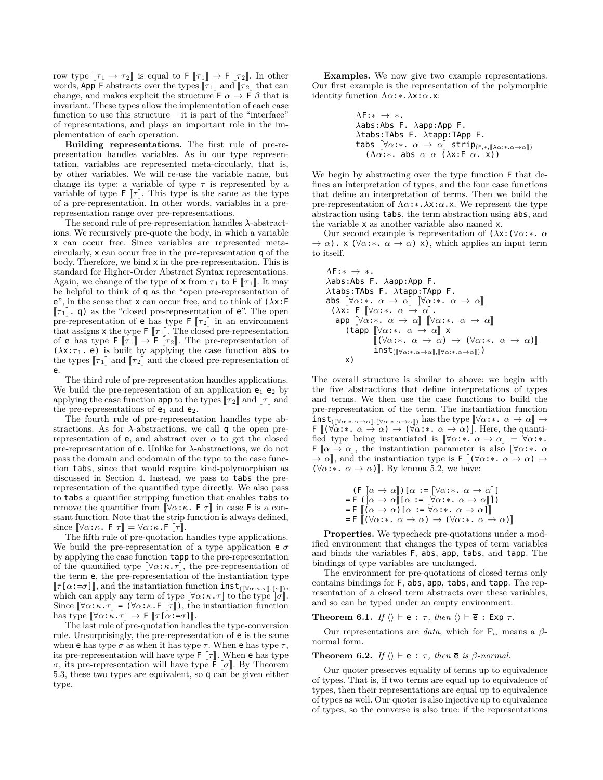row type  $[\![\tau_1 \to \tau_2]\!]$  is equal to  $\mathsf{F} [\![\tau_1]\!] \to \mathsf{F} [\![\tau_2]\!]$ . In other words, App F abstracts over the types  $\llbracket \tau_1 \rrbracket$  and  $\llbracket \tau_2 \rrbracket$  that can change, and makes explicit the structure  $\mathsf{F} \alpha \to \mathsf{F} \beta$  that is invariant. These types allow the implementation of each case function to use this structure – it is part of the "interface" of representations, and plays an important role in the implementation of each operation.

**Building representations.** The first rule of pre-representation handles variables. As in our type representation, variables are represented meta-circularly, that is, by other variables. We will re-use the variable name, but change its type: a variable of type  $\tau$  is represented by a variable of type  $\mathbb{F}[\![\tau]\!]$ . This type is the same as the type of a pre-representation. In other words, variables in a prerepresentation range over pre-representations.

The second rule of pre-representation handles *λ*-abstractions. We recursively pre-quote the body, in which a variable x can occur free. Since variables are represented metacircularly, x can occur free in the pre-representation q of the body. Therefore, we bind x in the pre-representation. This is standard for Higher-Order Abstract Syntax representations. Again, we change of the type of  $x$  from  $\tau_1$  to  $\mathsf{F}[\![\tau_1]\!]$ . It may be helpful to think of q as the "open pre-representation of e", in the sense that x can occur free, and to think of (*λ*x:F  $\llbracket \tau_1 \rrbracket$ . q) as the "closed pre-representation of e". The open pre-representation of **e** has type  $\mathsf{F} [\![\tau_2]\!]$  in an environment that assigns  $x$  the type  $\lceil \lceil \tau_1 \rceil$ . The closed pre-representation of **e** has type  $\mathsf{F}[\![\tau_1]\!] \to \mathsf{F}[\![\tau_2]\!]$ . The pre-representation of  $(\lambda x:\tau_1$ . e) is built by applying the case function abs to the types  $\llbracket \tau_1 \rrbracket$  and  $\llbracket \tau_2 \rrbracket$  and the closed pre-representation of e.

The third rule of pre-representation handles applications. We build the pre-representation of an application  $e_1$   $e_2$  by applying the case function **app** to the types  $\llbracket \tau_2 \rrbracket$  and  $\llbracket \tau \rrbracket$  and the pre-representations of  $e_1$  and  $e_2$ .

The fourth rule of pre-representation handles type abstractions. As for *λ*-abstractions, we call q the open prerepresentation of **e**, and abstract over  $\alpha$  to get the closed pre-representation of e. Unlike for *λ*-abstractions, we do not pass the domain and codomain of the type to the case function tabs, since that would require kind-polymorphism as discussed in Section 4. Instead, we pass to tabs the prerepresentation of the quantified type directly. We also pass to tabs a quantifier stripping function that enables tabs to remove the quantifier from  $[\forall \alpha : \kappa$ . F  $\tau]$  in case F is a constant function. Note that the strip function is always defined, since  $[\nabla \alpha : \kappa \cdot \mathsf{F} \tau] = \nabla \alpha : \kappa \cdot \mathsf{F} \tau].$ 

The fifth rule of pre-quotation handles type applications. We build the pre-representation of a type application  $e \sigma$ by applying the case function tapp to the pre-representation of the quantified type  $[\forall \alpha : \kappa \cdot \tau]$ , the pre-representation of the term e, the pre-representation of the instantiation type  $\llbracket \tau[\alpha:=\sigma] \rrbracket$ , and the instantiation function  $\text{inst}_{(\llbracket \forall \alpha:\kappa.\tau \rrbracket, \llbracket \sigma \rrbracket)}$ , which can apply any term of type  $[\![\forall \alpha:\kappa.\tau]\!]$  to the type  $[\![\sigma]\!]$ . Since  $\llbracket \forall \alpha : \kappa \cdot \tau \rrbracket = (\forall \alpha : \kappa \cdot \mathsf{F} \parallel \tau \rrbracket)$ , the instantiation function has type  $[\forall \alpha : \kappa \cdot \tau] \rightarrow F [\tau[\alpha : = \sigma]]$ .

The last rule of pre-quotation handles the type-conversion rule. Unsurprisingly, the pre-representation of e is the same when **e** has type  $\sigma$  as when it has type  $\tau$ . When **e** has type  $\tau$ , its pre-representation will have type  $\mathsf{F} \left[ \mathcal{T} \right]$ . When **e** has type *σ*, its pre-representation will have type  $\bar{F}$   $\sigma$ . By Theorem 5.3, these two types are equivalent, so q can be given either type.

**Examples.** We now give two example representations. Our first example is the representation of the polymorphic identity function Λ*α*:*∗*.*λ*x:*α*.x:

$$
ΛF:∗ → *.
$$
  
\nλabs:Abs F. λapp:App F.  
\nλtabs:TAbs F. λtapp:TApp F.  
\ntabs []∀α:∗. α → α]] strip(F,∗, [λα:∗.α→α]])  
\n(Λα:∗. abs α α (λx:F α. x))

We begin by abstracting over the type function F that defines an interpretation of types, and the four case functions that define an interpretation of terms. Then we build the pre-representation of Λ*α*:*∗*.*λ*x:*α*.x. We represent the type abstraction using tabs, the term abstraction using abs, and the variable x as another variable also named x.

Our second example is representation of (*λ*x:(*∀α*:*∗*. *α*  $\rightarrow \alpha$ ). x ( $\forall \alpha$ :\*.  $\alpha \rightarrow \alpha$ ) x), which applies an input term to itself.

$$
\begin{array}{l} \Lambda\mathsf{F}{:}\ast\;\to\;\ast.\quad\\ \lambda\mathsf{abs}{:}\mathsf{Abs}\;\mathsf{F}.\;\;\lambda\mathsf{app}{:}\mathsf{App}\;\mathsf{F}.\quad\\ \lambda\mathsf{tabs}{:}\mathsf{TAbs}\;\mathsf{F}.\;\;\lambda\mathsf{tapp}{:}\mathsf{TApp}\;\mathsf{F}.\quad\\ \text{abs}\;\;\left[\![\forall\alpha{:}\ast\;.\;\alpha\;\to\;\alpha]\! \right]\;\left[\![\forall\alpha{:}\ast\;.\;\alpha\;\to\;\alpha]\! \right]\\\;\left(\lambda\mathsf{x}{:}\;\mathsf{F}\;\left[\![\forall\alpha{:}\ast\;.\;\alpha\;\to\;\alpha]\! \right]\right.\quad\\\;\text{app}\;\left[\![\forall\alpha{:}\ast\;.\;\alpha\;\to\;\alpha]\! \right]\;\mathsf{x}\\\;\left(\text{tapp}\;\left[\![\forall\alpha{:}\ast\;.\;\alpha\;\to\;\alpha]\!\right]\;\times\\\;\left[\![\forall\alpha{:}\ast\;.\;\alpha\;\to\;\alpha]\right.\to\;\left(\forall\alpha{:}\ast\;.\;\alpha\;\to\;\alpha\right)]\right]\\\;\text{inst}(\textcolor{red}{\lbrack\![\forall\alpha{:}\ast\;.\alpha\!\to\!\alpha]\!],\left[\![\forall\alpha{:}\ast\;.\alpha\!\to\!\alpha]\! \right])}\\\;\text{x)}\end{array}
$$

The overall structure is similar to above: we begin with the five abstractions that define interpretations of types and terms. We then use the case functions to build the pre-representation of the term. The instantiation function  $\text{inst}_{([\forall \alpha:*,\alpha \to \alpha], [\forall \alpha:*,\alpha \to \alpha])}$  has the type  $[\forall \alpha:*, \alpha \to \alpha] \to$  $\mathsf{F} \left[ (\forall \alpha : * \alpha \rightarrow \alpha) \rightarrow (\forall \alpha : * \alpha \rightarrow \alpha) \right]$ . Here, the quantified type being instantiated is  $[\nabla \alpha : * \alpha \rightarrow \alpha] = \forall \alpha : *$ . **F**  $[\alpha \rightarrow \alpha],$  the instantiation parameter is also  $[\forall \alpha : \cdot \alpha]$  $\rightarrow \alpha$ , and the instantiation type is  $\mathsf{F} \left[ (\forall \alpha : * \alpha \rightarrow \alpha) \rightarrow \alpha \right]$  $(\forall \alpha : * \alpha \rightarrow \alpha)$ . By lemma 5.2, we have:

$$
(\mathsf{F} \left[ \alpha \to \alpha \right]) [\alpha := \left[ \forall \alpha : \ast \alpha \to \alpha \right]]
$$
\n
$$
= \mathsf{F} \left( \left[ \alpha \to \alpha \right] \left[ \alpha : \ast \left[ \forall \alpha : \ast \alpha \to \alpha \right] \right] \right)
$$
\n
$$
= \mathsf{F} \left[ (\alpha \to \alpha) \left[ \alpha : \ast \alpha \to \alpha \to \alpha \right] \right]
$$
\n
$$
= \mathsf{F} \left[ \left( \forall \alpha : \ast \alpha \to \alpha \right) \to \left( \forall \alpha : \ast \alpha \to \alpha \right) \right]
$$

**Properties.** We typecheck pre-quotations under a modified environment that changes the types of term variables and binds the variables F, abs, app, tabs, and tapp. The bindings of type variables are unchanged.

The environment for pre-quotations of closed terms only contains bindings for F, abs, app, tabs, and tapp. The representation of a closed term abstracts over these variables, and so can be typed under an empty environment.

**Theorem 6.1.** *If*  $\langle \rangle \vdash e : \tau$ , *then*  $\langle \rangle \vdash \overline{e} : E \times p \overline{\tau}$ *.* 

Our representations are *data*, which for F*<sup>ω</sup>* means a *β*normal form.

**Theorem 6.2.** *If*  $\langle \rangle \vdash e : \tau$ *, then*  $\overline{e}$  *is*  $\beta$ *-normal.* 

Our quoter preserves equality of terms up to equivalence of types. That is, if two terms are equal up to equivalence of types, then their representations are equal up to equivalence of types as well. Our quoter is also injective up to equivalence of types, so the converse is also true: if the representations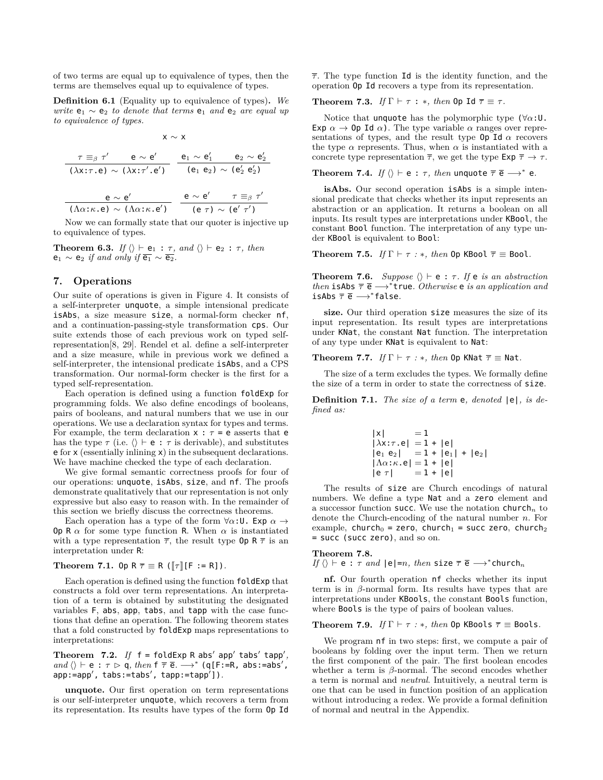of two terms are equal up to equivalence of types, then the terms are themselves equal up to equivalence of types.

**Definition 6.1** (Equality up to equivalence of types)**.** *We write*  $e_1 \sim e_2$  *to denote that terms*  $e_1$  *and*  $e_2$  *are equal up to equivalence of types.*

$$
x \sim x
$$
\n
$$
\frac{\tau \equiv_{\beta} \tau' \qquad e \sim e' \qquad e_1 \sim e_1' \qquad e_2 \sim e_2'}{(\lambda x: \tau \cdot e) \sim (\lambda x: \tau' \cdot e') \qquad (e_1 \ e_2) \sim (e_2' \ e_2')}
$$
\n
$$
\frac{e \sim e'}{(\Lambda \alpha: \kappa \cdot e) \sim (\Lambda \alpha: \kappa \cdot e')} \qquad \frac{e \sim e'}{(\epsilon \tau) \sim (e' \ \tau')}
$$

Now we can formally state that our quoter is injective up to equivalence of types.

**Theorem 6.3.** *If*  $\langle \rangle \vdash e_1 : \tau$ , and  $\langle \rangle \vdash e_2 : \tau$ , then  $e_1 \sim e_2$  *if and only if*  $\overline{e_1} \sim \overline{e_2}$ .

# **7. Operations**

Our suite of operations is given in Figure 4. It consists of a self-interpreter unquote, a simple intensional predicate isAbs, a size measure size, a normal-form checker nf, and a continuation-passing-style transformation cps. Our suite extends those of each previous work on typed selfrepresentation[8, 29]. Rendel et al. define a self-interpreter and a size measure, while in previous work we defined a self-interpreter, the intensional predicate isAbs, and a CPS transformation. Our normal-form checker is the first for a typed self-representation.

Each operation is defined using a function foldExp for programming folds. We also define encodings of booleans, pairs of booleans, and natural numbers that we use in our operations. We use a declaration syntax for types and terms. For example, the term declaration  $x : \tau = e$  asserts that  $e$ has the type  $\tau$  (i.e.  $\langle \rangle \vdash e : \tau$  is derivable), and substitutes e for x (essentially inlining x) in the subsequent declarations. We have machine checked the type of each declaration.

We give formal semantic correctness proofs for four of our operations: unquote, isAbs, size, and nf. The proofs demonstrate qualitatively that our representation is not only expressive but also easy to reason with. In the remainder of this section we briefly discuss the correctness theorems.

Each operation has a type of the form  $\forall \alpha : U$ . Exp  $\alpha \rightarrow$ **Op** R  $\alpha$  for some type function R. When  $\alpha$  is instantiated with a type representation  $\overline{\tau}$ , the result type **Op**  $R \overline{\tau}$  is an interpretation under R:

**Theorem 7.1.** Op  $R \bar{\tau} \equiv R (\lceil \tau \rceil [F := R])$ *.* 

Each operation is defined using the function foldExp that constructs a fold over term representations. An interpretation of a term is obtained by substituting the designated variables F, abs, app, tabs, and tapp with the case functions that define an operation. The following theorem states that a fold constructed by foldExp maps representations to interpretations:

**Theorem 7.2.** If  $f = f$ oldExp R abs' app' tabs' tapp',  $\langle \rangle$   $\vdash$  e :  $\tau$   $\triangleright$  q, then  $f \overline{\tau}$  e  $\rightarrow$ <sup>\*</sup> (q[F:=R, abs:=abs<sup>'</sup>, app:=app*′* , tabs:=tabs*′* , tapp:=tapp*′* ])*.*

**unquote.** Our first operation on term representations is our self-interpreter unquote, which recovers a term from its representation. Its results have types of the form Op Id

*τ* . The type function Id is the identity function, and the operation Op Id recovers a type from its representation.

**Theorem 7.3.** *If*  $\Gamma \vdash \tau : *$ *, then* 0p Id  $\overline{\tau} \equiv \tau$ *.* 

Notice that unquote has the polymorphic type  $(\forall \alpha)$ :U. Exp  $\alpha \rightarrow 0$  **p** Id  $\alpha$ ). The type variable  $\alpha$  ranges over representations of types, and the result type  $\mathbf{0}$   $\mathbf{I}$  d  $\alpha$  recovers the type  $\alpha$  represents. Thus, when  $\alpha$  is instantiated with a concrete type representation  $\overline{\tau}$ , we get the type  $\text{Exp } \overline{\tau} \to \tau$ .

**Theorem 7.4.** *If*  $\langle \rangle \vdash e : \tau$ *, then* <code>unquote  $\overline{\tau} \in \longrightarrow^* e$ *.*</code>

**isAbs.** Our second operation isAbs is a simple intensional predicate that checks whether its input represents an abstraction or an application. It returns a boolean on all inputs. Its result types are interpretations under KBool, the constant Bool function. The interpretation of any type under KBool is equivalent to Bool:

**Theorem 7.5.** *If*  $\Gamma \vdash \tau : *$ *, then* 0p KBool  $\overline{\tau} \equiv$  Bool.

**Theorem 7.6.** *Suppose*  $\langle \rangle \vdash e : \tau$ *. If*  $e$  *is an abstraction then* isAbs  $\bar{\tau}$  **e** →  $*$  true. *Otherwise* **e** *is an application and* isAbs *τ* e *−→<sup>∗</sup>* false*.*

**size.** Our third operation size measures the size of its input representation. Its result types are interpretations under KNat, the constant Nat function. The interpretation of any type under KNat is equivalent to Nat:

**Theorem 7.7.** *If*  $\Gamma \vdash \tau : *$ *, then* 0p KNat  $\overline{\tau} \equiv$  Nat.

The size of a term excludes the types. We formally define the size of a term in order to state the correctness of size.

**Definition 7.1.** *The size of a term* e*, denoted* |e|*, is defined as:*

$$
|x| = 1\n|\lambda x:\tau.e| = 1 + |e|\n|e_1 e_2| = 1 + |e_1| + |e_2|\n|\Lambda \alpha:\kappa.e| = 1 + |e|\n|e \tau| = 1 + |e|
$$

The results of size are Church encodings of natural numbers. We define a type Nat and a zero element and a successor function  ${\sf succ}.$  We use the notation  ${\sf church}_n$  to denote the Church-encoding of the natural number *n*. For example, church<sub>0</sub> = zero, church<sub>1</sub> = succ zero, church<sub>2</sub> = succ (succ zero), and so on.

## **Theorem 7.8.**

If 
$$
\langle \rangle \vdash e : \tau
$$
 and  $|e|=n$ , then size  $\overline{\tau} \overline{e} \longrightarrow^*$  church<sub>n</sub>

**nf.** Our fourth operation nf checks whether its input term is in  $\beta$ -normal form. Its results have types that are interpretations under KBools, the constant Bools function, where Bools is the type of pairs of boolean values.

#### **Theorem 7.9.** *If*  $\Gamma \vdash \tau : *$ *, then* 0p KBools  $\overline{\tau} \equiv$  Bools.

We program nf in two steps: first, we compute a pair of booleans by folding over the input term. Then we return the first component of the pair. The first boolean encodes whether a term is *β*-normal. The second encodes whether a term is normal and *neutral*. Intuitively, a neutral term is one that can be used in function position of an application without introducing a redex. We provide a formal definition of normal and neutral in the Appendix.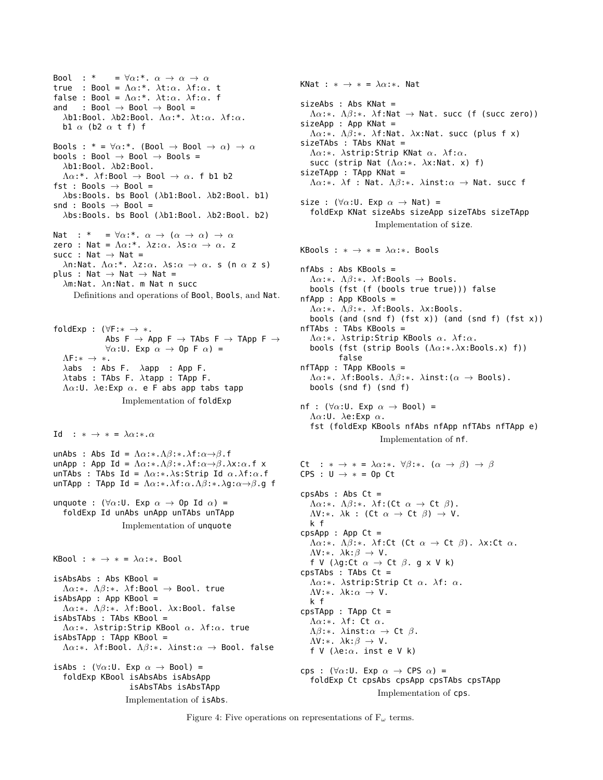Bool : \* =  $\forall \alpha$ :\*.  $\alpha \rightarrow \alpha \rightarrow \alpha$ true : Bool = Λ*α*:\*. *λ*t:*α*. *λ*f:*α*. t false : Bool = Λ*α*:\*. *λ*t:*α*. *λ*f:*α*. f and : Bool *→* Bool *→* Bool = *λ*b1:Bool. *λ*b2:Bool. Λ*α*:\*. *λ*t:*α*. *λ*f:*α*. b1 *α* (b2 *α* t f) f Bools : \* =  $\forall \alpha$ :\*. (Bool  $\rightarrow$  Bool  $\rightarrow \alpha$ )  $\rightarrow \alpha$ bools : Bool *→* Bool *→* Bools = *λ*b1:Bool. *λ*b2:Bool. Λ*α*:\*. *λ*f:Bool *→* Bool *→ α*. f b1 b2 fst : Bools *→* Bool = *λ*bs:Bools. bs Bool (*λ*b1:Bool. *λ*b2:Bool. b1) snd : Bools *→* Bool = *λ*bs:Bools. bs Bool (*λ*b1:Bool. *λ*b2:Bool. b2) Nat : \* = *∀α*:\*. *α →* (*α → α*) *→ α* zero : Nat = Λ*α*:\*. *λ*z:*α*. *λ*s:*α → α*. z succ : Nat *→* Nat = *λ*n:Nat. Λ*α*:\*. *λ*z:*α*. *λ*s:*α → α*. s (n *α* z s) plus : Nat *→* Nat *→* Nat = *λ*m:Nat. *λ*n:Nat. m Nat n succ Definitions and operations of Bool, Bools, and Nat. foldExp : (*∀*F:*∗ → ∗*. Abs F *→* App F *→* TAbs F *→* TApp F *→ ∀α*:U. Exp *α →* Op F *α*) = ΛF:*∗ → ∗*. *λ*abs : Abs F. *λ*app : App F.

*λ*tabs : TAbs F. *λ*tapp : TApp F. Λ*α*:U. *λ*e:Exp *α*. e F abs app tabs tapp

Implementation of foldExp

Id :  $* \rightarrow * = \lambda \alpha : * \alpha$ 

unAbs : Abs Id = Λ*α*:*∗*.Λ*β*:*∗*.*λ*f:*α→β*.f unApp : App Id = Λ*α*:*∗*.Λ*β*:*∗*.*λ*f:*α→β*.*λ*x:*α*.f x unTAbs : TAbs Id = Λ*α*:*∗*.*λ*s:Strip Id *α*.*λ*f:*α*.f unTApp : TApp Id = Λ*α*:*∗*.*λ*f:*α*.Λ*β*:*∗*.*λ*g:*α→β*.g f

unquote : (*∀α*:U. Exp *α →* Op Id *α*) = foldExp Id unAbs unApp unTAbs unTApp Implementation of unquote

KBool : *∗ → ∗* = *λα*:*∗*. Bool

isAbsAbs : Abs KBool = Λ*α*:*∗*. Λ*β*:*∗*. *λ*f:Bool *→* Bool. true isAbsApp : App KBool = Λ*α*:*∗*. Λ*β*:*∗*. *λ*f:Bool. *λ*x:Bool. false isAbsTAbs : TAbs KBool = Λ*α*:*∗*. *λ*strip:Strip KBool *α*. *λ*f:*α*. true isAbsTApp : TApp KBool = Λ*α*:*∗*. *λ*f:Bool. Λ*β*:*∗*. *λ*inst:*α →* Bool. false isAbs : ( $\forall \alpha : \mathsf{U}$ . Exp  $\alpha \rightarrow \mathsf{Bool}$ ) =

foldExp KBool isAbsAbs isAbsApp isAbsTAbs isAbsTApp Implementation of isAbs. KNat : *∗ → ∗* = *λα*:*∗*. Nat sizeAbs : Abs KNat = Λ*α*:*∗*. Λ*β*:*∗*. *λ*f:Nat *→* Nat. succ (f (succ zero)) sizeApp : App KNat = Λ*α*:*∗*. Λ*β*:*∗*. *λ*f:Nat. *λ*x:Nat. succ (plus f x) sizeTAbs : TAbs KNat = Λ*α*:*∗*. *λ*strip:Strip KNat *α*. *λ*f:*α*. succ (strip Nat (Λ*α*:*∗*. *λ*x:Nat. x) f) sizeTApp : TApp KNat = Λ*α*:*∗*. *λ*f : Nat. Λ*β*:*∗*. *λ*inst:*α →* Nat. succ f size : (*∀α*:U. Exp *α →* Nat) = foldExp KNat sizeAbs sizeApp sizeTAbs sizeTApp Implementation of size. KBools :  $* \rightarrow * = \lambda \alpha$ :\*. Bools nfAbs : Abs KBools = Λ*α*:*∗*. Λ*β*:*∗*. *λ*f:Bools *→* Bools. bools (fst (f (bools true true))) false nfApp : App KBools = Λ*α*:*∗*. Λ*β*:*∗*. *λ*f:Bools. *λ*x:Bools. bools (and (snd f) (fst x)) (and (snd f) (fst x)) nfTAbs : TAbs KBools = Λ*α*:*∗*. *λ*strip:Strip KBools *α*. *λ*f:*α*. bools (fst (strip Bools (Λ*α*:*∗*.*λ*x:Bools.x) f)) false nfTApp : TApp KBools = Λ*α*:*∗*. *λ*f:Bools. Λ*β*:*∗*. *λ*inst:(*α →* Bools). bools (snd f) (snd f) nf : (*∀α*:U. Exp *α →* Bool) = Λ*α*:U. *λ*e:Exp *α*. fst (foldExp KBools nfAbs nfApp nfTAbs nfTApp e) Implementation of nf. Ct :  $* \rightarrow * = \lambda \alpha : * \forall \beta : * \alpha \rightarrow \beta$   $\rightarrow \beta$ CPS : U *→ ∗* = Op Ct cpsAbs : Abs Ct = Λ*α*:*∗*. Λ*β*:*∗*. *λ*f:(Ct *α →* Ct *β*). ΛV:*∗*. *λ*k : (Ct *α →* Ct *β*) *→* V. k f  $cpsApp$  : App  $Ct =$ Λ*α*:*∗*. Λ*β*:*∗*. *λ*f:Ct (Ct *α →* Ct *β*). *λ*x:Ct *α*. ΛV:*∗*. *λ*k:*β →* V. f V (*λ*g:Ct *α →* Ct *β*. g x V k) cpsTAbs : TAbs Ct = Λ*α*:*∗*. *λ*strip:Strip Ct *α*. *λ*f: *α*. ΛV:*∗*. *λ*k:*α →* V. k f cpsTApp : TApp Ct = Λ*α*:*∗*. *λ*f: Ct *α*. Λ*β*:*∗*. *λ*inst:*α →* Ct *β*. ΛV:*∗*. *λ*k:*β →* V. f V (*λ*e:*α*. inst e V k) cps : (*∀α*:U. Exp *α →* CPS *α*) = foldExp Ct cpsAbs cpsApp cpsTAbs cpsTApp

Implementation of cps.

Figure 4: Five operations on representations of F*<sup>ω</sup>* terms.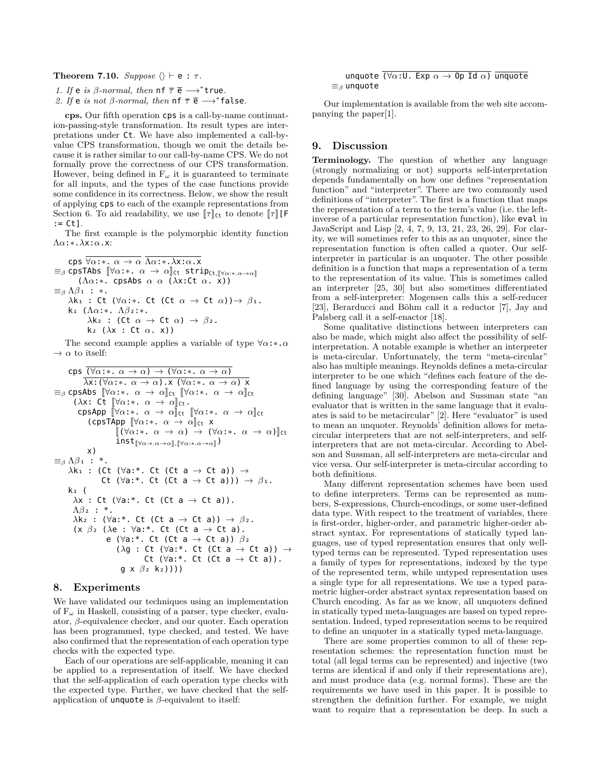## **Theorem 7.10.** *Suppose*  $\langle \rangle \vdash e : \tau$ .

*1. If*  $e$  *is*  $\beta$ *-normal, then*  $nf \overline{e} \rightarrow^*$ true*.* 

2. *If* e *is not*  $\beta$ *-normal, then*  $\mathsf{nf} \ \overline{\tau} \ \overline{\mathsf{e}} \longrightarrow^* \mathsf{false}.$ 

**cps.** Our fifth operation cps is a call-by-name continuation-passing-style transformation. Its result types are interpretations under Ct. We have also implemented a call-byvalue CPS transformation, though we omit the details because it is rather similar to our call-by-name CPS. We do not formally prove the correctness of our CPS transformation. However, being defined in  $F_\omega$  it is guaranteed to terminate for all inputs, and the types of the case functions provide some confidence in its correctness. Below, we show the result of applying cps to each of the example representations from Section 6. To aid readability, we use  $\llbracket \tau \rrbracket_{\mathsf{C}^{\mathsf{t}}}$  to denote  $\llbracket \tau \rrbracket [\mathsf{F}]$  $:=$  Ct<sub>1</sub>.

The first example is the polymorphic identity function Λ*α*:*∗*.*λ*x:*α*.x:

cps *∀α*:*∗*. *α → α* Λ*α*:*∗*.*λ*x:*α*.x  $\equiv$ *β* cpsTAbs  $[\forall \alpha : * \alpha \rightarrow \alpha]$ <sub>Ct</sub> strip<sub>Ct, $[\forall \alpha : * \alpha \rightarrow \alpha]$ </sub> (Λ*α*:*∗*. cpsAbs *α α* (*λ*x:Ct *α*. x)) *≡<sup>β</sup>* Λ*β*₁ : *∗*. *λ*kı : Ct (∀*α*:\*. Ct (Ct *α* → Ct *α*))→ *β*<sub>1</sub>. k₁ (Λ*α*:*∗*. Λ*β*₂:*∗*. *λ***k**</u> : (Ct  $\alpha \rightarrow$  Ct  $\alpha$ )  $\rightarrow \beta$ <sub>2</sub>. k₂ (*λ*x : Ct *α*. x))

The second example applies a variable of type *∀α*:*∗*.*α*  $\rightarrow \alpha$  to itself:

```
cps (\forall \alpha : * \alpha \rightarrow \alpha) \rightarrow (\forall \alpha : * \alpha \rightarrow \alpha)λx:(∀α:∗. α → α).x (∀α:∗. α → α) x
\equivβ cpsAbs \lbrack \lbrack \forall \alpha : * \cdot \alpha \rightarrow \alpha \rbrackct \lbrack \lbrack \forall \alpha : * \cdot \alpha \rightarrow \alpha \rbrackct
        (\lambdax: Ct \lbrack \forall \alpha : * \cdot \alpha \rightarrow \alpha \rbrack<sub>Ct</sub>.
          \mathsf{cpsApp} \; [\![\forall \alpha{:}*, \; \alpha \; \rightarrow \; \alpha]\!]_{\mathsf{C} \mathsf{t}} \; [\![\forall \alpha{:}*, \; \alpha \; \rightarrow \; \alpha]\!]_{\mathsf{C} \mathsf{t}}(\cosh x) \forall \alpha:*. \alpha \rightarrow \alpha<sub>ct</sub> x
                           [(\forall \alpha : * \alpha \rightarrow \alpha) \rightarrow (\forall \alpha : * \alpha \rightarrow \alpha)]ct
                           \text{inst}_{\llbracket \forall \alpha: * \ldots \alpha \to \alpha \rrbracket, \llbracket \forall \alpha: * \ldots \to \alpha \rrbracket})
              x)
≡β Λβ₁ : *.
     λk₁ : (Ct (∀a:*. Ct (Ct a → Ct a)) →
                     Ct (∀a:*. Ct (Ct a → Ct a))) → β₁.
      k₁ (
       λx : Ct (∀a:*. Ct (Ct a → Ct a)).
        Λβ₂ : *.
        λk₂ : (∀a:*. Ct (Ct a → Ct a)) → β₂.
        (x β₂ (λe : ∀a:*. Ct (Ct a → Ct a).
                       e (∀a:*. Ct (Ct a → Ct a)) β₂
                           (λg : Ct (∀a:*. Ct (Ct a → Ct a)) →
                                       Ct (∀a:*. Ct (Ct a → Ct a)).
                             g x β₂ k₂))))
```
# **8. Experiments**

We have validated our techniques using an implementation of F*<sup>ω</sup>* in Haskell, consisting of a parser, type checker, evaluator, *β*-equivalence checker, and our quoter. Each operation has been programmed, type checked, and tested. We have also confirmed that the representation of each operation type checks with the expected type.

Each of our operations are self-applicable, meaning it can be applied to a representation of itself. We have checked that the self-application of each operation type checks with the expected type. Further, we have checked that the selfapplication of unquote is *β*-equivalent to itself:

$$
\begin{array}{c}\n\text{unquote } (\forall \alpha : \mathsf{U.} \text{ Exp } \alpha \to \mathsf{Op} \text{ Id } \alpha) \text{ } \overline{\text{unquote}} \\
\equiv_{\beta} \text{unquote}\n\end{array}
$$

Our implementation is available from the web site accompanying the paper[1].

# **9. Discussion**

**Terminology.** The question of whether any language (strongly normalizing or not) supports self-interpretation depends fundamentally on how one defines "representation function" and "interpreter". There are two commonly used definitions of "interpreter". The first is a function that maps the representation of a term to the term's value (i.e. the leftinverse of a particular representation function), like eval in JavaScript and Lisp [2, 4, 7, 9, 13, 21, 23, 26, 29]. For clarity, we will sometimes refer to this as an unquoter, since the representation function is often called a quoter. Our selfinterpreter in particular is an unquoter. The other possible definition is a function that maps a representation of a term to the representation of its value. This is sometimes called an interpreter [25, 30] but also sometimes differentiated from a self-interpreter: Mogensen calls this a self-reducer [23], Berarducci and Böhm call it a reductor [7], Jay and Palsberg call it a self-enactor [18].

Some qualitative distinctions between interpreters can also be made, which might also affect the possibility of selfinterpretation. A notable example is whether an interpreter is meta-circular. Unfortunately, the term "meta-circular" also has multiple meanings. Reynolds defines a meta-circular interpreter to be one which "defines each feature of the defined language by using the corresponding feature of the defining language" [30]. Abelson and Sussman state "an evaluator that is written in the same language that it evaluates is said to be metacircular" [2]. Here "evaluator" is used to mean an unquoter. Reynolds' definition allows for metacircular interpreters that are not self-interpreters, and selfinterpreters that are not meta-circular. According to Abelson and Sussman, all self-interpreters are meta-circular and vice versa. Our self-interpreter is meta-circular according to both definitions.

Many different representation schemes have been used to define interpreters. Terms can be represented as numbers, S-expressions, Church-encodings, or some user-defined data type. With respect to the treatment of variables, there is first-order, higher-order, and parametric higher-order abstract syntax. For representations of statically typed languages, use of typed representation ensures that only welltyped terms can be represented. Typed representation uses a family of types for representations, indexed by the type of the represented term, while untyped representation uses a single type for all representations. We use a typed parametric higher-order abstract syntax representation based on Church encoding. As far as we know, all unquoters defined in statically typed meta-languages are based on typed representation. Indeed, typed representation seems to be required to define an unquoter in a statically typed meta-language.

There are some properties common to all of these representation schemes: the representation function must be total (all legal terms can be represented) and injective (two terms are identical if and only if their representations are), and must produce data (e.g. normal forms). These are the requirements we have used in this paper. It is possible to strengthen the definition further. For example, we might want to require that a representation be deep. In such a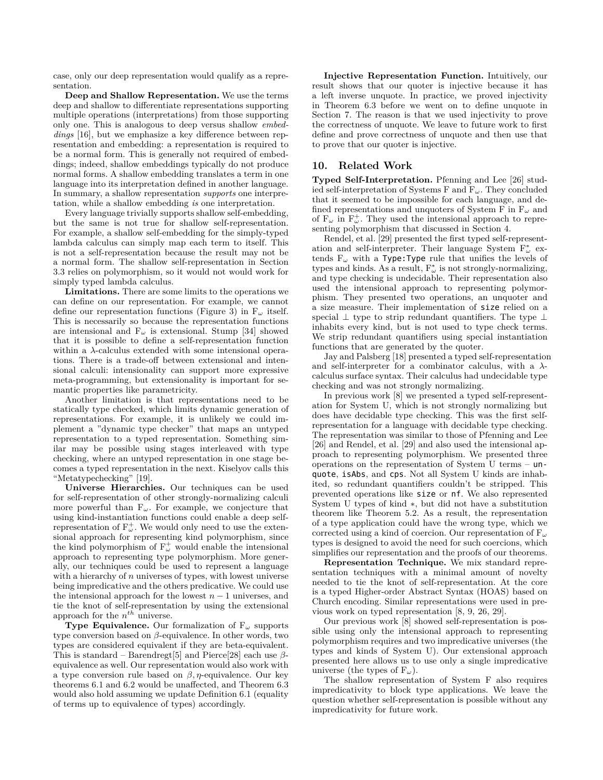case, only our deep representation would qualify as a representation.

**Deep and Shallow Representation.** We use the terms deep and shallow to differentiate representations supporting multiple operations (interpretations) from those supporting only one. This is analogous to deep versus shallow *embeddings* [16], but we emphasize a key difference between representation and embedding: a representation is required to be a normal form. This is generally not required of embeddings; indeed, shallow embeddings typically do not produce normal forms. A shallow embedding translates a term in one language into its interpretation defined in another language. In summary, a shallow representation *supports* one interpretation, while a shallow embedding *is* one interpretation.

Every language trivially supports shallow self-embedding, but the same is not true for shallow self-representation. For example, a shallow self-embedding for the simply-typed lambda calculus can simply map each term to itself. This is not a self-representation because the result may not be a normal form. The shallow self-representation in Section 3.3 relies on polymorphism, so it would not would work for simply typed lambda calculus.

**Limitations.** There are some limits to the operations we can define on our representation. For example, we cannot define our representation functions (Figure 3) in F*<sup>ω</sup>* itself. This is necessarily so because the representation functions are intensional and  $F_{\omega}$  is extensional. Stump [34] showed that it is possible to define a self-representation function within a *λ*-calculus extended with some intensional operations. There is a trade-off between extensional and intensional calculi: intensionality can support more expressive meta-programming, but extensionality is important for semantic properties like parametricity.

Another limitation is that representations need to be statically type checked, which limits dynamic generation of representations. For example, it is unlikely we could implement a "dynamic type checker" that maps an untyped representation to a typed representation. Something similar may be possible using stages interleaved with type checking, where an untyped representation in one stage becomes a typed representation in the next. Kiselyov calls this "Metatypechecking" [19].

**Universe Hierarchies.** Our techniques can be used for self-representation of other strongly-normalizing calculi more powerful than  $F_{\omega}$ . For example, we conjecture that using kind-instantiation functions could enable a deep selfrepresentation of  $F_{\omega}^{+}$ . We would only need to use the extensional approach for representing kind polymorphism, since the kind polymorphism of  $F_{\omega}^{+}$  would enable the intensional approach to representing type polymorphism. More generally, our techniques could be used to represent a language with a hierarchy of *n* universes of types, with lowest universe being impredicative and the others predicative. We could use the intensional approach for the lowest  $n-1$  universes, and tie the knot of self-representation by using the extensional approach for the  $n^{th}$  universe.

**Type Equivalence.** Our formalization of F*<sup>ω</sup>* supports type conversion based on *β*-equivalence. In other words, two types are considered equivalent if they are beta-equivalent. This is standard – Barendregt[5] and Pierce[28] each use *β*equivalence as well. Our representation would also work with a type conversion rule based on  $\beta$ , *η*-equivalence. Our key theorems 6.1 and 6.2 would be unaffected, and Theorem 6.3 would also hold assuming we update Definition 6.1 (equality of terms up to equivalence of types) accordingly.

**Injective Representation Function.** Intuitively, our result shows that our quoter is injective because it has a left inverse unquote. In practice, we proved injectivity in Theorem 6.3 before we went on to define unquote in Section 7. The reason is that we used injectivity to prove the correctness of unquote. We leave to future work to first define and prove correctness of unquote and then use that to prove that our quoter is injective.

# **10. Related Work**

**Typed Self-Interpretation.** Pfenning and Lee [26] studied self-interpretation of Systems F and F*ω*. They concluded that it seemed to be impossible for each language, and defined representations and unquoters of System F in  $F_\omega$  and of  $F_{\omega}$  in  $F_{\omega}^{+}$ . They used the intensional approach to representing polymorphism that discussed in Section 4.

Rendel, et al. [29] presented the first typed self-representation and self-interpreter. Their language System F*<sup>∗</sup> <sup>ω</sup>* extends F*<sup>ω</sup>* with a Type:Type rule that unifies the levels of types and kinds. As a result, F*<sup>∗</sup> <sup>ω</sup>* is not strongly-normalizing, and type checking is undecidable. Their representation also used the intensional approach to representing polymorphism. They presented two operations, an unquoter and a size measure. Their implementation of size relied on a special *⊥* type to strip redundant quantifiers. The type *⊥* inhabits every kind, but is not used to type check terms. We strip redundant quantifiers using special instantiation functions that are generated by the quoter.

Jay and Palsberg [18] presented a typed self-representation and self-interpreter for a combinator calculus, with a *λ*calculus surface syntax. Their calculus had undecidable type checking and was not strongly normalizing.

In previous work [8] we presented a typed self-representation for System U, which is not strongly normalizing but does have decidable type checking. This was the first selfrepresentation for a language with decidable type checking. The representation was similar to those of Pfenning and Lee [26] and Rendel, et al. [29] and also used the intensional approach to representing polymorphism. We presented three operations on the representation of System U terms – unquote, isAbs, and cps. Not all System U kinds are inhabited, so redundant quantifiers couldn't be stripped. This prevented operations like size or nf. We also represented System U types of kind *∗*, but did not have a substitution theorem like Theorem 5.2. As a result, the representation of a type application could have the wrong type, which we corrected using a kind of coercion. Our representation of F*<sup>ω</sup>* types is designed to avoid the need for such coercions, which simplifies our representation and the proofs of our theorems.

**Representation Technique.** We mix standard representation techniques with a minimal amount of novelty needed to tie the knot of self-representation. At the core is a typed Higher-order Abstract Syntax (HOAS) based on Church encoding. Similar representations were used in previous work on typed representation [8, 9, 26, 29].

Our previous work [8] showed self-representation is possible using only the intensional approach to representing polymorphism requires and two impredicative universes (the types and kinds of System U). Our extensional approach presented here allows us to use only a single impredicative universe (the types of  $F_\omega$ ).

The shallow representation of System F also requires impredicativity to block type applications. We leave the question whether self-representation is possible without any impredicativity for future work.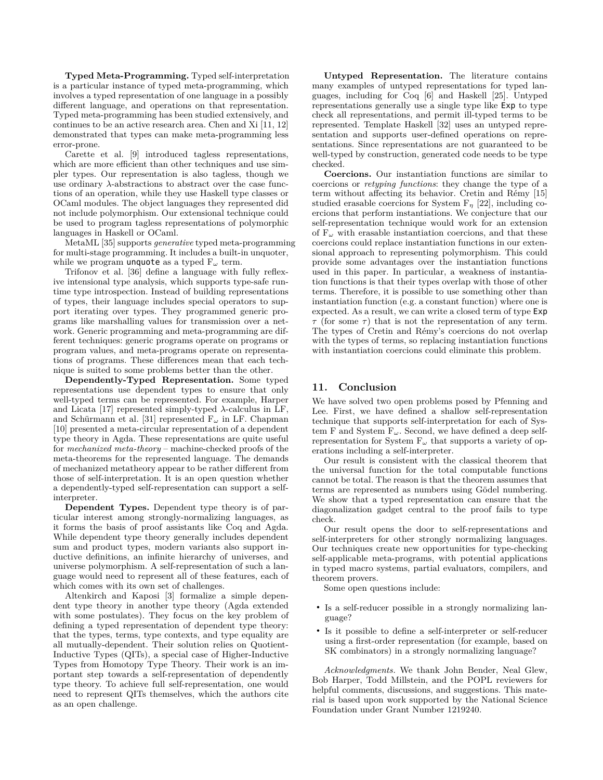**Typed Meta-Programming.** Typed self-interpretation is a particular instance of typed meta-programming, which involves a typed representation of one language in a possibly different language, and operations on that representation. Typed meta-programming has been studied extensively, and continues to be an active research area. Chen and Xi [11, 12] demonstrated that types can make meta-programming less error-prone.

Carette et al. [9] introduced tagless representations, which are more efficient than other techniques and use simpler types. Our representation is also tagless, though we use ordinary *λ*-abstractions to abstract over the case functions of an operation, while they use Haskell type classes or OCaml modules. The object languages they represented did not include polymorphism. Our extensional technique could be used to program tagless representations of polymorphic languages in Haskell or OCaml.

MetaML [35] supports *generative* typed meta-programming for multi-stage programming. It includes a built-in unquoter, while we program unquote as a typed F*<sup>ω</sup>* term.

Trifonov et al. [36] define a language with fully reflexive intensional type analysis, which supports type-safe runtime type introspection. Instead of building representations of types, their language includes special operators to support iterating over types. They programmed generic programs like marshalling values for transmission over a network. Generic programming and meta-programming are different techniques: generic programs operate on programs or program values, and meta-programs operate on representations of programs. These differences mean that each technique is suited to some problems better than the other.

**Dependently-Typed Representation.** Some typed representations use dependent types to ensure that only well-typed terms can be represented. For example, Harper and Licata [17] represented simply-typed *λ*-calculus in LF, and Schürmann et al. [31] represented F*<sup>ω</sup>* in LF. Chapman [10] presented a meta-circular representation of a dependent type theory in Agda. These representations are quite useful for *mechanized meta-theory* – machine-checked proofs of the meta-theorems for the represented language. The demands of mechanized metatheory appear to be rather different from those of self-interpretation. It is an open question whether a dependently-typed self-representation can support a selfinterpreter.

**Dependent Types.** Dependent type theory is of particular interest among strongly-normalizing languages, as it forms the basis of proof assistants like Coq and Agda. While dependent type theory generally includes dependent sum and product types, modern variants also support inductive definitions, an infinite hierarchy of universes, and universe polymorphism. A self-representation of such a language would need to represent all of these features, each of which comes with its own set of challenges.

Altenkirch and Kaposi [3] formalize a simple dependent type theory in another type theory (Agda extended with some postulates). They focus on the key problem of defining a typed representation of dependent type theory: that the types, terms, type contexts, and type equality are all mutually-dependent. Their solution relies on Quotient-Inductive Types (QITs), a special case of Higher-Inductive Types from Homotopy Type Theory. Their work is an important step towards a self-representation of dependently type theory. To achieve full self-representation, one would need to represent QITs themselves, which the authors cite as an open challenge.

**Untyped Representation.** The literature contains many examples of untyped representations for typed languages, including for Coq [6] and Haskell [25]. Untyped representations generally use a single type like Exp to type check all representations, and permit ill-typed terms to be represented. Template Haskell [32] uses an untyped representation and supports user-defined operations on representations. Since representations are not guaranteed to be well-typed by construction, generated code needs to be type checked.

**Coercions.** Our instantiation functions are similar to coercions or *retyping functions*: they change the type of a term without affecting its behavior. Cretin and Rémy [15] studied erasable coercions for System  $F_n$  [22], including coercions that perform instantiations. We conjecture that our self-representation technique would work for an extension of F*<sup>ω</sup>* with erasable instantiation coercions, and that these coercions could replace instantiation functions in our extensional approach to representing polymorphism. This could provide some advantages over the instantiation functions used in this paper. In particular, a weakness of instantiation functions is that their types overlap with those of other terms. Therefore, it is possible to use something other than instantiation function (e.g. a constant function) where one is expected. As a result, we can write a closed term of type Exp *τ* (for some *τ*) that is not the representation of any term. The types of Cretin and Rémy's coercions do not overlap with the types of terms, so replacing instantiation functions with instantiation coercions could eliminate this problem.

# **11. Conclusion**

We have solved two open problems posed by Pfenning and Lee. First, we have defined a shallow self-representation technique that supports self-interpretation for each of System F and System  $F_{\omega}$ . Second, we have defined a deep selfrepresentation for System  $F_{\omega}$  that supports a variety of operations including a self-interpreter.

Our result is consistent with the classical theorem that the universal function for the total computable functions cannot be total. The reason is that the theorem assumes that terms are represented as numbers using Gödel numbering. We show that a typed representation can ensure that the diagonalization gadget central to the proof fails to type check.

Our result opens the door to self-representations and self-interpreters for other strongly normalizing languages. Our techniques create new opportunities for type-checking self-applicable meta-programs, with potential applications in typed macro systems, partial evaluators, compilers, and theorem provers.

Some open questions include:

- Is a self-reducer possible in a strongly normalizing language?
- Is it possible to define a self-interpreter or self-reducer using a first-order representation (for example, based on SK combinators) in a strongly normalizing language?

*Acknowledgments.* We thank John Bender, Neal Glew, Bob Harper, Todd Millstein, and the POPL reviewers for helpful comments, discussions, and suggestions. This material is based upon work supported by the National Science Foundation under Grant Number 1219240.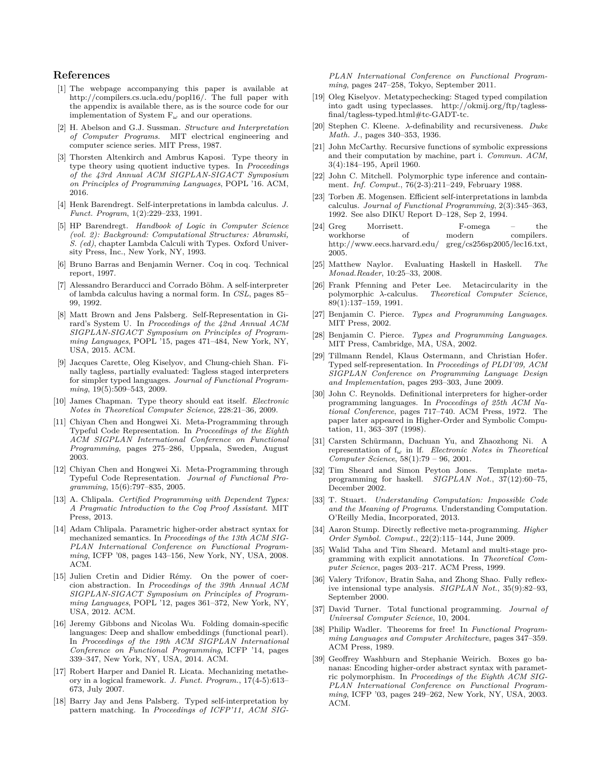# **References**

- [1] The webpage accompanying this paper is available at http://compilers.cs.ucla.edu/popl16/. The full paper with the appendix is available there, as is the source code for our implementation of System F*<sup>ω</sup>* and our operations.
- [2] H. Abelson and G.J. Sussman. *Structure and Interpretation of Computer Programs*. MIT electrical engineering and computer science series. MIT Press, 1987.
- [3] Thorsten Altenkirch and Ambrus Kaposi. Type theory in type theory using quotient inductive types. In *Proceedings of the 43rd Annual ACM SIGPLAN-SIGACT Symposium on Principles of Programming Languages*, POPL '16. ACM, 2016.
- [4] Henk Barendregt. Self-interpretations in lambda calculus. *J. Funct. Program*, 1(2):229–233, 1991.
- [5] HP Barendregt. *Handbook of Logic in Computer Science (vol. 2): Background: Computational Structures: Abramski, S. (ed)*, chapter Lambda Calculi with Types. Oxford University Press, Inc., New York, NY, 1993.
- [6] Bruno Barras and Benjamin Werner. Coq in coq. Technical report, 1997.
- [7] Alessandro Berarducci and Corrado Böhm. A self-interpreter of lambda calculus having a normal form. In *CSL*, pages 85– 99, 1992.
- [8] Matt Brown and Jens Palsberg. Self-Representation in Girard's System U. In *Proceedings of the 42nd Annual ACM SIGPLAN-SIGACT Symposium on Principles of Programming Languages*, POPL '15, pages 471–484, New York, NY, USA, 2015. ACM.
- [9] Jacques Carette, Oleg Kiselyov, and Chung-chieh Shan. Finally tagless, partially evaluated: Tagless staged interpreters for simpler typed languages. *Journal of Functional Programming*, 19(5):509–543, 2009.
- [10] James Chapman. Type theory should eat itself. *Electronic Notes in Theoretical Computer Science*, 228:21–36, 2009.
- [11] Chiyan Chen and Hongwei Xi. Meta-Programming through Typeful Code Representation. In *Proceedings of the Eighth ACM SIGPLAN International Conference on Functional Programming*, pages 275–286, Uppsala, Sweden, August 2003.
- [12] Chiyan Chen and Hongwei Xi. Meta-Programming through Typeful Code Representation. *Journal of Functional Programming*, 15(6):797–835, 2005.
- [13] A. Chlipala. *Certified Programming with Dependent Types: A Pragmatic Introduction to the Coq Proof Assistant*. MIT Press, 2013.
- [14] Adam Chlipala. Parametric higher-order abstract syntax for mechanized semantics. In *Proceedings of the 13th ACM SIG-PLAN International Conference on Functional Programming*, ICFP '08, pages 143–156, New York, NY, USA, 2008. ACM.
- [15] Julien Cretin and Didier Rémy. On the power of coercion abstraction. In *Proceedings of the 39th Annual ACM SIGPLAN-SIGACT Symposium on Principles of Programming Languages*, POPL '12, pages 361–372, New York, NY, USA, 2012. ACM.
- [16] Jeremy Gibbons and Nicolas Wu. Folding domain-specific languages: Deep and shallow embeddings (functional pearl). In *Proceedings of the 19th ACM SIGPLAN International Conference on Functional Programming*, ICFP '14, pages 339–347, New York, NY, USA, 2014. ACM.
- [17] Robert Harper and Daniel R. Licata. Mechanizing metatheory in a logical framework. *J. Funct. Program.*, 17(4-5):613– 673, July 2007.
- [18] Barry Jay and Jens Palsberg. Typed self-interpretation by pattern matching. In *Proceedings of ICFP'11, ACM SIG-*

*PLAN International Conference on Functional Programming*, pages 247–258, Tokyo, September 2011.

- [19] Oleg Kiselyov. Metatypechecking: Staged typed compilation into gadt using typeclasses. http://okmij.org/ftp/taglessfinal/tagless-typed.html#tc-GADT-tc.
- [20] Stephen C. Kleene. *λ*-definability and recursiveness. *Duke Math. J.*, pages 340–353, 1936.
- [21] John McCarthy. Recursive functions of symbolic expressions and their computation by machine, part i. *Commun. ACM*, 3(4):184–195, April 1960.
- [22] John C. Mitchell. Polymorphic type inference and containment. *Inf. Comput.*, 76(2-3):211–249, February 1988.
- [23] Torben Æ. Mogensen. Efficient self-interpretations in lambda calculus. *Journal of Functional Programming*, 2(3):345–363, 1992. See also DIKU Report D–128, Sep 2, 1994.
- [24] Greg Morrisett. F-omega the workhorse of modern compilers. http://www.eecs.harvard.edu/ greg/cs256sp2005/lec16.txt, 2005.
- [25] Matthew Naylor. Evaluating Haskell in Haskell. *The Monad.Reader*, 10:25–33, 2008.
- [26] Frank Pfenning and Peter Lee. Metacircularity in the polymorphic *λ*-calculus. *Theoretical Computer Science*, 89(1):137–159, 1991.
- [27] Benjamin C. Pierce. *Types and Programming Languages*. MIT Press, 2002.
- [28] Benjamin C. Pierce. *Types and Programming Languages*. MIT Press, Cambridge, MA, USA, 2002.
- [29] Tillmann Rendel, Klaus Ostermann, and Christian Hofer. Typed self-representation. In *Proceedings of PLDI'09, ACM SIGPLAN Conference on Programming Language Design and Implementation*, pages 293–303, June 2009.
- [30] John C. Reynolds. Definitional interpreters for higher-order programming languages. In *Proceedings of 25th ACM National Conference*, pages 717–740. ACM Press, 1972. The paper later appeared in Higher-Order and Symbolic Computation, 11, 363–397 (1998).
- [31] Carsten Schürmann, Dachuan Yu, and Zhaozhong Ni. A representation of f*<sup>ω</sup>* in lf. *Electronic Notes in Theoretical Computer Science*, 58(1):79 – 96, 2001.
- [32] Tim Sheard and Simon Peyton Jones. Template metaprogramming for haskell. *SIGPLAN Not.*, 37(12):60–75, December 2002.
- [33] T. Stuart. *Understanding Computation: Impossible Code and the Meaning of Programs*. Understanding Computation. O'Reilly Media, Incorporated, 2013.
- [34] Aaron Stump. Directly reflective meta-programming. *Higher Order Symbol. Comput.*, 22(2):115–144, June 2009.
- [35] Walid Taha and Tim Sheard. Metaml and multi-stage programming with explicit annotations. In *Theoretical Computer Science*, pages 203–217. ACM Press, 1999.
- [36] Valery Trifonov, Bratin Saha, and Zhong Shao. Fully reflexive intensional type analysis. *SIGPLAN Not.*, 35(9):82–93, September 2000.
- [37] David Turner. Total functional programming. *Journal of Universal Computer Science*, 10, 2004.
- [38] Philip Wadler. Theorems for free! In *Functional Programming Languages and Computer Architecture*, pages 347–359. ACM Press, 1989.
- [39] Geoffrey Washburn and Stephanie Weirich. Boxes go bananas: Encoding higher-order abstract syntax with parametric polymorphism. In *Proceedings of the Eighth ACM SIG-PLAN International Conference on Functional Programming*, ICFP '03, pages 249–262, New York, NY, USA, 2003. ACM.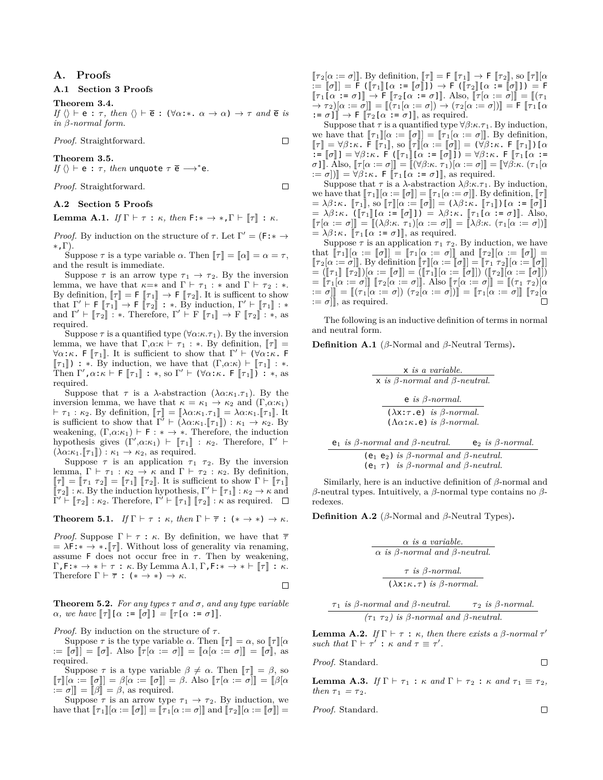# **A. Proofs**

## **A.1 Section 3 Proofs**

#### **Theorem 3.4.**

*If*  $\langle \rangle$  *⊢* e : *τ*, *then*  $\langle \rangle$  *⊢*  $\bar{e}$  : ( $\forall \alpha$ :\*.  $\alpha \to \alpha$ )  $\to \tau$  *and*  $\bar{e}$  *is in β-normal form.*

*Proof.* Straightforward.

## **Theorem 3.5.**

*If*  $\langle \rangle$   $\vdash$  e :  $\tau$ *, then* unquote  $\tau \in \longrightarrow^*$ e*.* 

*Proof.* Straightforward.

## **A.2 Section 5 Proofs**

**Lemma A.1.** *If*  $\Gamma \vdash \tau : \kappa$ *, then*  $\mathsf{F}: \star \to \star, \Gamma \vdash [\tau] : \kappa$ *.* 

*Proof.* By induction on the structure of  $\tau$ . Let  $\Gamma' = (\mathsf{F} : * \to$ *∗*,Γ).

Suppose  $\tau$  is a type variable  $\alpha$ . Then  $\llbracket \tau \rrbracket = \llbracket \alpha \rrbracket = \alpha = \tau$ , and the result is immediate.

Suppose  $\tau$  is an arrow type  $\tau_1 \rightarrow \tau_2$ . By the inversion lemma, we have that  $\kappa = *$  and  $\Gamma \vdash \tau_1 : *$  and  $\Gamma \vdash \tau_2 : *$ . By definition,  $[\![\tau]\!] = \mathsf{F}[\![\tau_1]\!] \to \mathsf{F}[\![\tau_2]\!]$ . It is sufficent to show<br>that  $\Gamma' \vdash \mathsf{F}[\![\tau_1]\!] \to \mathsf{F}[\![\tau_2]\!] : *$ . By induction,  $\Gamma' \vdash [\![\tau_1]\!] : *$ <br>and  $\Gamma' \vdash [\![\tau_1]\!] \to \mathsf{F}[\![\tau_2]\!] \to *$ . Therefore,  $\Gamma' \vdash \math$ and  $\Gamma' \vdash [\![\tau_2]\!] : *$ . Therefore,  $\Gamma' \vdash F [\![\tau_1]\!] \rightarrow F [\![\tau_2]\!] : *$ , as required.

Suppose  $\tau$  is a quantified type ( $\forall \alpha:\kappa.\tau_1$ ). By the inversion lemma, we have that  $\Gamma, \alpha: \kappa \vdash \tau_1 : *$ . By definition,  $\llbracket \tau \rrbracket =$ *∀α*:*κ*. F [*τ*<sub>1</sub>]. It is sufficient to show that Γ'  $\vdash$  (*∀α*:*κ*. F  $[\![\tau_1]\!]$ ) : \*. By induction, we have that  $(\Gamma,\alpha:\kappa) \vdash [\![\tau_1]\!]$  : \*.<br>Then  $\Gamma',\alpha:\kappa \vdash \mathsf{F}[\![\tau_1]\!]$  : \*, so  $\Gamma' \vdash (\forall \alpha:\kappa \cdot \mathsf{F}[\![\tau_1]\!])$  : \*, as required.

Suppose that  $\tau$  is a *λ*-abstraction ( $\lambda \alpha : \kappa_1 \tau_1$ ). By the inversion lemma, we have that  $\kappa = \kappa_1 \rightarrow \kappa_2$  and  $(\Gamma, \alpha; \kappa_1)$  $\vdash \tau_1 : \kappa_2$ *.* By definition,  $\llbracket \tau \rrbracket = \llbracket \lambda \alpha : \kappa_1 \cdot \tau_1 \rrbracket = \lambda \alpha : \kappa_1 \cdot \llbracket \tau_1 \rrbracket$ . It is sufficient to show that  $\Gamma' \vdash (\lambda \alpha : \kappa_1 \cdot [\![\tau_1]\!]) : \kappa_1 \to \kappa_2$ . By weakening,  $(\Gamma, \alpha : \kappa_1) \vdash F : * \rightarrow *$ . Therefore, the induction hypothesis gives  $(\Gamma', \alpha : \kappa_1) \vdash [\![\tau_1]\!] : \kappa_2$ . Therefore,  $\Gamma' \vdash$  $(\lambda \alpha:\kappa_1.\Vert \tau_1\Vert) : \kappa_1 \to \kappa_2$ , as required.

Suppose  $\tau$  is an application  $\tau_1$   $\tau_2$ . By the inversion lemma,  $\Gamma \vdash \tau_1 : \kappa_2 \rightarrow \kappa$  and  $\Gamma \vdash \tau_2 : \kappa_2$ . By definition,  $[\![\tau]\!] = [\![\tau_1 \; \tau_2]\!] = [\![\tau_1]\!]$   $[\![\tau_2]\!]$ . It is sufficient to show  $\Gamma \vdash [\![\tau_1]\!]$  $[\![\tau_2]\!] : \kappa$ . By the induction hypothesis,  $\Gamma' \vdash [\![\tau_1]\!] : \kappa_2 \to \kappa$  and  $\Gamma' \vdash [\![\tau_1]\!] : \kappa_2 \to \kappa$  and  $\Gamma' \vdash [\![\tau_2]\!] : \kappa_2$ . Therefore,  $\Gamma' \vdash [\![\tau_1]\!]$   $[\![\tau_2]\!] : \kappa$  as required.

**Theorem 5.1.** *If*  $\Gamma \vdash \tau : \kappa$ *, then*  $\Gamma \vdash \overline{\tau} : (* \rightarrow *) \rightarrow \kappa$ *.* 

*Proof.* Suppose  $\Gamma \vdash \tau : \kappa$ . By definition, we have that  $\bar{\tau}$  $= \lambda \mathsf{F}: \ast \to \ast \cdot \llbracket \tau \rrbracket$ . Without loss of generality via renaming, assume F does not occur free in  $\tau$ . Then by weakening,  $Γ, F: \star \to \star \vdash \tau : \kappa$ . By Lemma A.1, Γ,  $F: \star \to \star \vdash \llbracket \tau \rrbracket : \kappa$ . Therefore  $\Gamma \vdash \overline{\tau}$  :  $(* \rightarrow *) \rightarrow \kappa$ .

П

**Theorem 5.2.** *For any types*  $\tau$  *and*  $\sigma$ *, and any type variable*  $\alpha$ *, we have*  $\llbracket \tau \rrbracket [\alpha := \llbracket \sigma \rrbracket ] = \llbracket \tau [\alpha := \sigma] \rrbracket$ *.* 

*Proof.* By induction on the structure of  $τ$ .

Suppose  $\tau$  is the type variable  $\alpha$ . Then  $\llbracket \tau \rrbracket = \alpha$ , so  $\llbracket \tau \rrbracket[\alpha]$ :=  $[\![\sigma]\!]$  =  $[\![\sigma]\!]$ . Also  $[\![\tau[\alpha := \sigma]]\!] = [\![\alpha[\alpha := \sigma]]\!] = [\![\sigma]\!]$ , as required.

Suppose  $\tau$  is a type variable  $\beta \neq \alpha$ . Then  $\llbracket \tau \rrbracket = \beta$ , so  $\llbracket \tau \rrbracket[\alpha := \llbracket \sigma \rrbracket = \beta[\alpha := \llbracket \sigma \rrbracket = \beta$ . Also  $\llbracket \tau[\alpha := \sigma] \rrbracket = \llbracket \beta[\alpha]$  $:= \sigma$ ] =  $[\beta] = \beta$ , as required.

Suppose  $\tau$  is an arrow type  $\tau_1 \rightarrow \tau_2$ . By induction, we have that  $[\![\tau_1]\!](\alpha := [\![\sigma]\!]] = [\![\tau_1[\alpha := \sigma]]\!]$  and  $[\![\tau_2]\!](\alpha := [\![\sigma]\!]] =$ 

 $[\![\tau_2[\alpha := \sigma]]\!]$ . By definition,  $[\![\tau]\!] = \mathsf{F}[\![\tau_1]\!] \to \mathsf{F}[\![\tau_2]\!]$ , so  $[\![\tau]\!] [\alpha$  $\mathcal{F} := \llbracket \sigma \rrbracket = \mathcal{F} \left( \llbracket \tau_1 \rrbracket [\alpha := \llbracket \sigma \rrbracket \right) \right) \rightarrow \mathcal{F} \left( \llbracket \tau_2 \rrbracket [\alpha := \llbracket \sigma \rrbracket \right) \right) = \mathcal{F}$  $[\![\tau_1[\alpha := \sigma]]\!] \rightarrow \mathsf{F} [\![\tau_2[\alpha := \sigma]]\!]$ . Also,  $[\![\tau[\alpha := \sigma]]\!] = [\![(\tau_1\)]\!]$  $\stackrel{\sim}{\rightarrow} \tau_2)[\alpha := \bar{\sigma}]$  =  $\llbracket (\bar{\tau}_1[\alpha := \sigma]) \rightarrow (\tau_2[\alpha := \sigma]) \rrbracket = \mathsf{F} \llbracket \tau_1[\alpha]$  $\tau = \sigma$ ]  $\rightarrow$  **F**  $\lbrack \tau_2[\alpha] \rbrack = \sigma$ ]  $\rbrack$ , as required.

Suppose that  $\tau$  is a quantified type  $\forall \beta:\kappa.\tau_1$ . By induction, we have that  $[\![\tau_1]\!] [\alpha := [\![\sigma]\!] = [\![\tau_1]\! [\alpha := \sigma]\!]$ . By definition,  $\llbracket \tau \rrbracket = \forall \beta : \kappa$ . F  $\llbracket \tau_1 \rrbracket$ , so  $\llbracket \tau \rrbracket [\alpha := \llbracket \sigma \rrbracket$  =  $\forall \beta : \kappa$ . F  $\llbracket \tau_1 \rrbracket$   $\}$  [*a*<sub>*x*</sub> =  $\llbracket \tau_2 \rrbracket$ ]  $\mathbf{z} = [\![\sigma]\!] = \forall \beta : \kappa$ . F  $([\![\tau_1]\!] [\alpha := [\![\sigma]\!]]) = \forall \beta : \kappa$ . F  $[\![\tau_1[\alpha := \pi] \!] = \mathbb{E}[\forall \beta : \alpha = \pi]$  $\sigma$ ]]  $\tilde{A}$ lso,  $\llbracket \tau[\alpha := \sigma] \rrbracket = \llbracket (\forall \beta:\kappa, \tau_1 \rrbracket [\alpha := \sigma] \rrbracket = \llbracket \forall \beta:\kappa, (\tau_1[\alpha])$  $:= \sigma$ ] $]$  =  $\forall \beta : \kappa$ . F  $[\![\tau_1[\alpha := \sigma]]\!]$ , as required.

Suppose that  $\tau$  is a  $\lambda$ -abstraction  $\lambda \beta$ : $\kappa$ . $\tau_1$ . By induction, we have that  $[\![\tau_1]\!] [\alpha := [\![\sigma]\!] ] = [\![\tau_1[\alpha := \sigma]] ]$ . By definition,  $[\![\tau]\!]$  $= \lambda \beta : \kappa$ .  $[\![\tau_1]\!]$ , so  $[\![\tau]\!] [\alpha := [\![\sigma]\!] ] = (\lambda \beta : \kappa$ .  $[\![\tau_1]\!]$ ) [ $\alpha := [\![\sigma]\!]$ ]  $= \lambda \beta \cdot \kappa$ .  $(\lbrack \lbrack \tau_1 \rbrack \rbrack \alpha \rbrack := \lbrack \sigma \rbrack \rbrack) = \lambda \beta \cdot \kappa$ .  $\lbrack \lbrack \tau_1 \rbrack \alpha := \sigma \rbrack \rbrack$ . Also,  $\llbracket \tau[\alpha := \sigma] \rrbracket = \llbracket (\lambda \beta : \kappa, \tau_1)[\alpha := \sigma] \rrbracket = \llbracket \lambda \beta : \kappa, (\tau_1[\alpha := \sigma]) \rrbracket$  $= \lambda \beta : \kappa$ .  $\lbrack \lbrack \tau_1 \lbrack \alpha := \sigma \rbrack \rbrack$ , as required.

Suppose  $\tau$  is an application  $\tau_1$   $\tau_2$ . By induction, we have that  $[\![\tau_1]\!][\alpha] := [\![\sigma]\!] = [\![\tau_1[\alpha] := \sigma]\!]$  and  $[\![\tau_2]\!][\alpha] := [\![\sigma]\!] =$  $[\![\tau_2[\alpha := \sigma]]\!]$ . By definition  $[\![\tau]\!] [\alpha := [\![\sigma]]\!] = [\![\tau_1 \ \tau_2]\!] [\alpha := [\![\sigma]]\!]$  $=([\![\tau_1]\!] [\![\tau_2]\!])[\alpha:=[\![\sigma]\!]]=([\![\tau_1]\!][\alpha:=[\![\sigma]\!]])([\![\tau_2]\!][\alpha:=[\![\sigma]\!]])$  $=[\![\tau_1[\alpha:=\sigma]]\!]$   $[\![\tau_2[\alpha:=\sigma]]\!]$ . Also  $[\![\tau[\alpha:=\sigma]]\!] = [\![(\tau_1 \ \tau_2)[\alpha]]\!]$  $\mathcal{F} := \sigma$ ] $\mathbb{I} = \llbracket (\tau_1[\alpha := \sigma]) | (\tau_2[\alpha := \sigma]) \rrbracket = \llbracket \tau_1[\alpha := \sigma] \rrbracket \ \llbracket \tau_2[\alpha]$  $:= \sigma$ ]**[**, as required.

The following is an inductive definition of terms in normal and neutral form.

**Definition A.1** (*β*-Normal and *β*-Neutral Terms)**.**

| X is a variable.                                             |
|--------------------------------------------------------------|
| X is $\beta$ -normal and $\beta$ -neutral.                   |
| $\mathbf{e}$ is $\beta$ -normal.                             |
| $(\lambda x : \tau . \mathbf{e})$ is $\beta$ -normal.        |
| $(\Lambda \alpha : \kappa . \mathbf{e})$ is $\beta$ -normal. |

| $e_1$ is $\beta$ -normal and $\beta$ -neutral.            | $e_2$ is $\beta$ -normal. |
|-----------------------------------------------------------|---------------------------|
| ( $e_1$ $e_2$ ) is $\beta$ -normal and $\beta$ -neutral.  |                           |
| ( $e_1$ $\tau$ ) is $\beta$ -normal and $\beta$ -neutral. |                           |

Similarly, here is an inductive definition of *β*-normal and *β*-neutral types. Intuitively, a *β*-normal type contains no *β*redexes.

**Definition A.2** (*β*-Normal and *β*-Neutral Types)**.**

$$
\frac{\alpha \text{ is a variable.}}{\alpha \text{ is } \beta\text{-normal and } \beta\text{-neutral.}}
$$
  

$$
\tau \text{ is } \beta\text{-normal.}
$$

$$
(\lambda x:\kappa.\tau)
$$
 is  $\beta$ -normal.

$$
\frac{\tau_1 \text{ is } \beta\text{-normal and } \beta\text{-neutral.}}{(\tau_1 \tau_2) \text{ is } \beta\text{-normal and } \beta\text{-neutral.}}
$$

**Lemma A.2.** *If*  $\Gamma \vdash \tau : \kappa$ *, then there exists a β-normal*  $\tau'$ *such that*  $\Gamma \vdash \tau' : \kappa \text{ and } \tau \equiv \tau'.$ 

*Proof.* Standard.

**Lemma A.3.** *If*  $\Gamma \vdash \tau_1 : \kappa$  *and*  $\Gamma \vdash \tau_2 : \kappa$  *and*  $\tau_1 \equiv \tau_2$ *, then*  $\tau_1 = \tau_2$ *.* 

 $\Box$ 

 $\Box$ 

*Proof.* Standard.

□

 $\Box$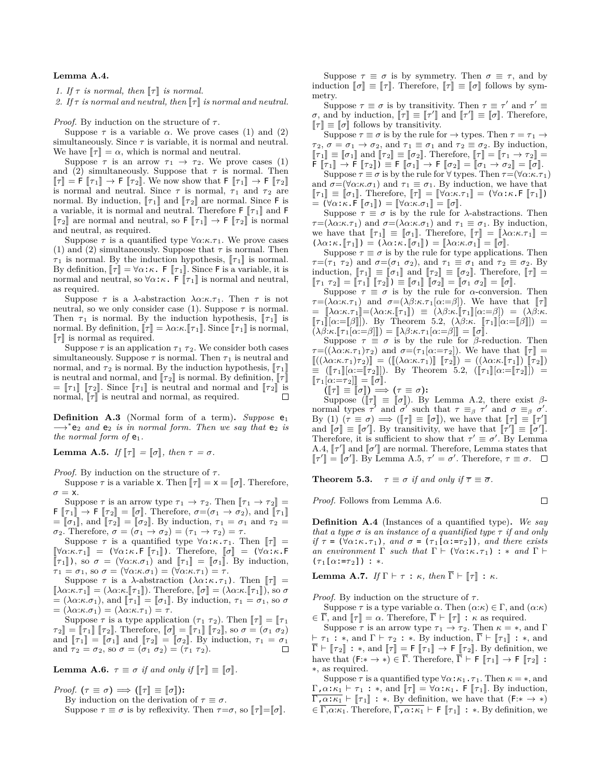## **Lemma A.4.**

*1.* If  $\tau$  is normal, then  $\llbracket \tau \rrbracket$  is normal.

2. If  $\tau$  *is normal and neutral, then*  $\llbracket \tau \rrbracket$  *is normal and neutral.* 

*Proof.* By induction on the structure of  $τ$ .

Suppose  $\tau$  is a variable  $\alpha$ . We prove cases (1) and (2) simultaneously. Since  $\tau$  is variable, it is normal and neutral. We have  $[\![\tau]\!] = \alpha$ , which is normal and neutral.

Suppose  $\tau$  is an arrow  $\tau_1 \rightarrow \tau_2$ . We prove cases (1) and (2) simultaneously. Suppose that  $\tau$  is normal. Then  $\llbracket \tau \rrbracket = \mathsf{F} \rrbracket \tau_1 \rrbracket \to \mathsf{F} \rrbracket \tau_2 \rrbracket$ . We now show that  $\mathsf{F} \rrbracket \tau_1 \rrbracket \to \mathsf{F} \rrbracket \tau_2 \rrbracket$ is normal and neutral. Since  $\tau$  is normal,  $\tau_1$  and  $\tau_2$  are normal. By induction,  $[\![\tau_1]\!]$  and  $[\![\tau_2]\!]$  are normal. Since  ${\sf F}$  is a variable, it is normal and neutral. Therefore  $\mathsf{F} \left[ \tau_1 \right]$  and  $\mathsf{F}$  $[\![\tau_2]\!]$  are normal and neutral, so  $\mathsf{F}[\![\tau_1]\!] \to \mathsf{F}[\![\tau_2]\!]$  is normal and neutral, as required.

Suppose  $\tau$  is a quantified type  $\forall \alpha:\kappa.\tau_1$ . We prove cases (1) and (2) simultaneously. Suppose that  $\tau$  is normal. Then  $\tau_1$  is normal. By the induction hypothesis,  $\llbracket \tau_1 \rrbracket$  is normal. By definition,  $\llbracket \tau \rrbracket = \forall \alpha : \kappa$ . F  $\llbracket \tau_1 \rrbracket$ . Since F is a variable, it is normal and neutral, so  $\forall \alpha : \kappa$ . F  $\llbracket \tau_1 \rrbracket$  is normal and neutral, as required.

Suppose  $\tau$  is a *λ*-abstraction  $\lambda \alpha$ :*κ*.*τ*<sub>1</sub>. Then  $\tau$  is not neutral, so we only consider case (1). Suppose  $\tau$  is normal. Then  $\tau_1$  is normal. By the induction hypothesis,  $\llbracket \tau_1 \rrbracket$  is normal. By definition,  $\llbracket \tau \rrbracket = \lambda \alpha : \kappa \llbracket \tau_1 \rrbracket$ . Since  $\llbracket \tau_1 \rrbracket$  is normal,  $\llbracket \tau \rrbracket$  is normal as required.

Suppose  $\tau$  is an application  $\tau_1$   $\tau_2$ . We consider both cases simultaneously. Suppose  $\tau$  is normal. Then  $\tau_1$  is neutral and normal, and  $\tau_2$  is normal. By the induction hypothesis,  $\llbracket \tau_1 \rrbracket$ is neutral and normal, and  $\llbracket \tau_2 \rrbracket$  is normal. By definition,  $\llbracket \tau \rrbracket$  $=$   $[\![\tau_1]\!]$   $[\![\tau_2]\!]$ . Since  $[\![\tau_1]\!]$  is neutral and normal as required  $\Box$ normal,  $\llbracket \tau \rrbracket$  is neutral and normal, as required.

**Definition A.3** (Normal form of a term). *Suppose*  $e_1$ →<sup>\*</sup> $e_2$  *and*  $e_2$  *is in normal form. Then we say that*  $e_2$  *is the normal form of*  $e_1$ *.* 

**Lemma A.5.** *If*  $\llbracket \tau \rrbracket = \llbracket \sigma \rrbracket$ *, then*  $\tau = \sigma$ *.* 

*Proof.* By induction on the structure of  $τ$ .

Suppose  $\tau$  is a variable x. Then  $\llbracket \tau \rrbracket = \mathsf{x} = \llbracket \sigma \rrbracket$ . Therefore,  $\sigma = x$ .

Suppose  $\tau$  is an arrow type  $\tau_1 \to \tau_2$ . Then  $[\![ \tau_1 \to \tau_2 ]\!] =$ **F**  $[\![\tau_1]\!] \rightarrow \mathsf{F}$   $[\![\tau_2]\!] = [\![\sigma]\!]$ . Therefore,  $\sigma = (\sigma_1 \rightarrow \sigma_2)$ , and  $[\![\tau_1]\!]$  $\sigma = [\sigma_1],$  and  $[\sigma_2] = [\sigma_2].$  By induction,  $\tau_1 = \sigma_1$  and  $\tau_2 =$ *σ*<sub>2</sub>. Therefore,  $σ = (σ<sub>1</sub> → σ<sub>2</sub>) = (τ<sub>1</sub> → τ<sub>2</sub>) = τ$ .

Suppose  $\tau$  is a quantified type  $\forall \alpha : \kappa \cdot \tau_1$ . Then  $\llbracket \tau \rrbracket$  =  $[\nabla \alpha:\kappa.\tau_1]$  = ( $\nabla \alpha:\kappa$ .F  $[\![\tau_1]\!]$ ). Therefore,  $[\![\sigma]\!]$  = ( $\nabla \alpha:\kappa$ .F  $[\![\tau_1]\!]$ ), so  $\sigma = (\forall \alpha:\kappa.\sigma_1)$  and  $[\![\tau_1]\!] = [\![\sigma_1]\!]$ . By induction,  $\tau_1 = \sigma_1$ , so  $\sigma = (\forall \alpha:\kappa \ldotp \sigma_1) = (\forall \alpha:\kappa \ldotp \tau_1) = \tau$ .

Suppose  $\tau$  is a *λ*-abstraction ( $\lambda \alpha : \kappa . \tau_1$ ). Then  $\llbracket \tau \rrbracket$  =  $[\![\lambda \alpha:\kappa.\tau_1]\!] = (\lambda \alpha:\kappa.\llbracket \tau_1\rrbracket)$ . Therefore,  $[\![\sigma]\!] = (\lambda \alpha:\kappa.\llbracket \tau_1\rrbracket)$ , so  $\sigma$  $= (\lambda \alpha : \kappa \mathbf{.} \sigma_1),$  and  $[\![\tau_1]\!] = [\![\sigma_1]\!]$ . By induction,  $\tau_1 = \sigma_1$ , so  $\sigma$  $= (\lambda \alpha \cdot \kappa \cdot \sigma_1) = (\lambda \alpha \cdot \kappa \cdot \tau_1) = \tau.$ 

Suppose  $\tau$  is a type application  $(\tau_1 \tau_2)$ . Then  $\llbracket \tau \rrbracket = \llbracket \tau_1 \rrbracket$  $\sigma$ <sub>*τ*</sub><sup>2</sup> $\mathbf{I}$  =  $\begin{bmatrix} \tau_1 \end{bmatrix}$   $\begin{bmatrix} \tau_2 \end{bmatrix}$ . Therefore,  $\begin{bmatrix} \sigma \end{bmatrix} = \begin{bmatrix} \tau_1 \end{bmatrix}$   $\begin{bmatrix} \tau_2 \end{bmatrix}$ , so  $\sigma = (\sigma_1 \sigma_2)$ and  $[\![\tau_1]\!] = [\![\sigma_1]\!]$  and  $[\![\tau_2]\!] = [\![\sigma_2]\!]$ . By induction,  $\tau_1 = \sigma_1$ <br>and  $\tau_2 = \sigma_2$  so  $\sigma = (\sigma_1, \sigma_2) = (\tau_1, \tau_2)$ and  $\tau_2 = \sigma_2$ , so  $\sigma = (\sigma_1 \sigma_2) = (\tau_1 \tau_2)$ .

**Lemma A.6.**  $\tau \equiv \sigma$  *if and only if*  $\llbracket \tau \rrbracket \equiv \llbracket \sigma \rrbracket$ *.* 

*Proof.*  $(\tau \equiv \sigma) \implies (\llbracket \tau \rrbracket \equiv \llbracket \sigma \rrbracket)$ :

By induction on the derivation of  $\tau \equiv \sigma$ .

Suppose  $\tau \equiv \sigma$  is by reflexivity. Then  $\tau = \sigma$ , so  $[\tau] = [\sigma]$ .

Suppose  $\tau \equiv \sigma$  is by symmetry. Then  $\sigma \equiv \tau$ , and by induction  $\llbracket \sigma \rrbracket \equiv \llbracket \tau \rrbracket$ . Therefore,  $\llbracket \tau \rrbracket \equiv \llbracket \sigma \rrbracket$  follows by symmetry.

Suppose  $\tau \equiv \sigma$  is by transitivity. Then  $\tau \equiv \tau'$  and  $\tau' \equiv$  $\sigma$ , and by induction,  $[\![\tau]\!] \equiv [\![\tau']\!]$  and  $[\![\tau']\!] \equiv [\![\sigma]\!]$ . Therefore,  $\llbracket \tau \rrbracket \equiv \llbracket \sigma \rrbracket$  follows by transitivity.

Suppose  $\tau \equiv \sigma$  is by the rule for  $\rightarrow$  types. Then  $\tau = \tau_1 \rightarrow$  $\tau_2$ ,  $\sigma = \sigma_1 \rightarrow \sigma_2$ , and  $\tau_1 \equiv \sigma_1$  and  $\tau_2 \equiv \sigma_2$ . By induction,  $[\![\tau_1]\!] \equiv [\![\sigma_1]\!]$  and  $[\![\tau_2]\!] \equiv [\![\sigma_2]\!]$ . Therefore,  $[\![\tau]\!] = [\![\tau_1 \to \tau_2]\!] =$  $\overline{\mathsf{F}}$   $\overline{[\overline{\tau}_1]}$   $\rightarrow$   $\overline{\mathsf{F}}$   $\overline{[\overline{\tau}_2]}$   $\overline{\mathsf{F}}$   $\overline{[\overline{\sigma}_1]}$   $\rightarrow$   $\mathsf{F}$   $\overline{[\overline{\sigma}_2]}$   $\overline{[\overline{\sigma}_1}$   $\rightarrow$   $\overline{\sigma}_2$  $\overline{]}$   $\overline{[\overline{\sigma}]}$ . Suppose  $\tau \equiv \sigma$  is by the rule for  $\forall$  types. Then  $\tau = (\forall \alpha : \kappa \cdot \tau_1)$ 

and  $\sigma = (\forall \alpha : \kappa \cdot \sigma_1)$  and  $\tau_1 \equiv \sigma_1$ . By induction, we have that  $[\![\tau_1]\!] \equiv [\![\sigma_1]\!]$ . Therefore,  $[\![\tau]\!] = [\![\forall \alpha:\kappa.\tau_1]\!] = (\forall \alpha:\kappa.\mathsf{F} [\![\tau_1]\!])$  $= (\forall \alpha : \kappa \cdot \mathsf{F} \, \llbracket \sigma_1 \rrbracket) = \llbracket \forall \alpha : \kappa \cdot \sigma_1 \rrbracket = \llbracket \sigma \rrbracket.$ 

Suppose  $\tau \equiv \sigma$  is by the rule for *λ*-abstractions. Then *τ*=( $\lambda \alpha$ :*κ*.*τ*<sub>1</sub>) and *σ*=( $\lambda \alpha$ :*κ*.*σ*<sub>1</sub>) and *τ*<sub>1</sub>  $\equiv \sigma_1$ . By induction, we have that  $[\![\tau_1]\!] \equiv [\![\sigma_1]\!]$ . Therefore,  $[\![\tau]\!] = [\![\lambda \alpha : \kappa \cdot \tau_1]\!] =$  $(\lambda \alpha : \kappa \cdot [\![ \tau_1 ]\!]) = (\lambda \alpha : \kappa \cdot [\![ \sigma_1 ]\!]) = [\![ \lambda \alpha : \kappa \cdot \sigma_1 ]\!] = [\![ \sigma ]\!]$ .

Suppose  $\tau \equiv \sigma$  is by the rule for type applications. Then *τ*=(*τ*<sub>1</sub> *τ*<sub>2</sub>) and *σ*=(*σ*<sub>1</sub> *σ*<sub>2</sub>), and *τ*<sub>1</sub>  $\equiv \sigma_1$  and *τ*<sub>2</sub>  $\equiv \sigma_2$ . By induction,  $\llbracket \tau_1 \rrbracket \equiv \llbracket \sigma_1 \rrbracket$  and  $\llbracket \tau_2 \rrbracket \equiv \llbracket \sigma_2 \rrbracket$ . Therefore,  $\llbracket \tau \rrbracket =$  $[\![\tau_1 \ \tau_2]\!] = [\![\tau_1]\!] [\![\tau_2]\!] = [\![\sigma_1]\!] [\![\sigma_2]\!] = [\![\sigma_1 \ \sigma_2]\!] = [\![\sigma]\!]$ .

Suppose  $\tau \equiv \sigma$  is by the rule for *α*-conversion. Then *τ*=( $\lambda \alpha:\kappa.\tau_1$ ) and  $\sigma = (\lambda \beta:\kappa.\tau_1[\alpha:=\beta])$ . We have that  $\llbracket \tau \rrbracket$  $= [\lambda \alpha:\kappa.\tau_1] = (\lambda \alpha:\kappa.\llbracket \tau_1 \rrbracket) \equiv (\lambda \beta:\kappa.\llbracket \tau_1 \rrbracket [\alpha:=\beta]) = (\lambda \beta:\kappa.$  $\llbracket \tau_1 \rrbracket \alpha := \llbracket \beta \rrbracket$ ). By Theorem 5.2,  $(\lambda \beta : \kappa \cdot \llbracket \tau_1 \rrbracket \alpha := \llbracket \beta \rrbracket) =$  $(\lambda \beta:\kappa.\llbracket \tau_1[\alpha:=\beta]\rrbracket) = \llbracket \lambda \beta:\kappa.\tau_1[\alpha:=\beta]\rrbracket = \llbracket \sigma \rrbracket.$ 

Suppose  $\tau \equiv \sigma$  is by the rule for *β*-reduction. Then *τ*=(( $\lambda \alpha$ :*κ*.*τ*<sub>1</sub>)*τ*<sub>2</sub>) and *σ*=(*τ*<sub>1</sub>[ $\alpha$ :=*τ*<sub>2</sub>]). We have that  $\llbracket \tau \rrbracket$  =  $[( (\lambda \alpha{:}\kappa{:}\kappa \cdot \tau_1)\tau_2)] = ([[(\lambda \alpha{:}\kappa \cdot \tau_1)]] [\tau_2]) = ((\lambda \alpha{:}\kappa \cdot [\tau_1]) [\tau_2])$  $\equiv (\llbracket \tau_1 \rrbracket [\alpha := \llbracket \tau_2 \rrbracket]).$  By Theorem 5.2,  $(\llbracket \tau_1 \rrbracket [\alpha := \llbracket \tau_2 \rrbracket]) =$  $[\![\tau_1[\alpha:=\tau_2]\!]]=[\![\sigma]\!].$ 

 $([\![\tau]\!] \equiv [\![\sigma]\!]) \Longrightarrow (\tau \equiv \sigma)$ :<br>Suppose  $([\![\tau]\!] = [\![\tau]\!])$ , Pr

Suppose ( $[\![\tau]\!] \equiv [\![\sigma]\!]$ ). By Lemma A.2, there exist  $\beta$ -<br>normal types  $\tau'$  and  $\sigma'$  such that  $\tau \equiv_{\beta} \tau'$  and  $\sigma \equiv_{\beta} \sigma'$ .  $\text{By (1) } (\tau \equiv \sigma) \Longrightarrow (\llbracket \tau \rrbracket \equiv \llbracket \sigma \rrbracket), \text{ we have that } \llbracket \tau \rrbracket \equiv \llbracket \tau' \rrbracket$ and  $[\![\sigma]\!] = [\![\sigma']\!]$ . We have that  $[\![\tau']\!] = [\![\tau']\!]$ <br>and  $[\![\sigma']\!] = [\![\sigma']\!]$ . By transitivity, we have that  $[\![\tau']\!] = [\![\sigma']\!]$ . Therefore, it is sufficient to show that  $\tau' \equiv \sigma'$ . By Lemma A.4,  $\lbrack \lbrack \tau' \rbrack \rbrack$  and  $\lbrack \lbrack \sigma' \rbrack \rbrack$  are normal. Therefore, Lemma states that  $\lbrack \lbrack \tau'' \rbrack \rbrack = \lbrack \tau'' \rbrack \rbrack$  $[\![\tau']\!] = [\![\sigma']\!]$ . By Lemma A.5,  $\tau' = \sigma'$ . Therefore,  $\tau \equiv \sigma$ .

**Theorem 5.3.**  $\tau \equiv \sigma$  *if and only if*  $\overline{\tau} \equiv \overline{\sigma}$ *.* 

*Proof.* Follows from Lemma A.6.

**Definition A.4** (Instances of a quantified type)**.** *We say that a type*  $\sigma$  *is an instance of a quantified type*  $\tau$  *if and only if*  $\tau = (\forall \alpha : \kappa \cdot \tau_1)$ *, and*  $\sigma = (\tau_1[\alpha : \tau_2])$ *, and there exists an environment*  $\Gamma$  *such that*  $\Gamma$  *+* ( $\forall \alpha$ :*κ*.*τ*<sub>1</sub>) : *\* and*  $\Gamma$  *+*  $(\tau_1[\alpha:=\tau_2]) : *$ .

 $\Box$ 

**Lemma A.7.** *If*  $\Gamma \vdash \tau : \kappa$ *, then*  $\overline{\Gamma} \vdash \llbracket \tau \rrbracket : \kappa$ *.* 

*Proof.* By induction on the structure of  $τ$ .

Suppose  $\tau$  is a type variable  $\alpha$ . Then  $(\alpha:\kappa) \in \Gamma$ , and  $(\alpha:\kappa)$ *∈*  $\overline{\Gamma}$ , and  $\llbracket \tau \rrbracket = \alpha$ . Therefore,  $\overline{\Gamma}$  *⊦*  $\llbracket \tau \rrbracket$  : *κ* as required.

Suppose  $\tau$  is an arrow type  $\tau_1 \to \tau_2$ . Then  $\kappa = *$ , and  $\Gamma$ *⊢ τ*<sub>1</sub> : \*, and Γ *⊢ τ*<sub>2</sub> : \*. By induction,  $\overline{\Gamma}$  *⊢*  $\llbracket \tau_1 \rrbracket$  : \*, and  $\overline{\Gamma} \vdash [\overline{r_2}] : *, \text{and } [\overline{r}] = \overline{\Gamma} [\overline{r_1}] \rightarrow \overline{\Gamma} [\overline{r_2}]$ . By definition, we have that  $(F:*) \in \Gamma$ . Therefore,  $\Gamma \vdash F \llbracket \tau_1 \rrbracket \rightarrow F \llbracket \tau_2 \rrbracket$ : *∗*, as required.

Suppose  $\tau$  is a quantified type  $\forall \alpha : \kappa_1 \cdot \tau_1$ . Then  $\kappa = *,$  and  $\Gamma$ ,  $\alpha$ : $\kappa_1 \vdash \tau_1$ : \*, and  $\llbracket \tau \rrbracket = \forall \alpha$ : $\kappa_1$ . **F**  $\llbracket \tau_1 \rrbracket$ . By induction,  $\Gamma, \alpha:\kappa_1 \vdash \llbracket \tau_1 \rrbracket : *$ . By definition, we have that  $(\mathsf{F} : * \to *)$  $\in \overline{\Gamma, \alpha:\kappa_1}$ . Therefore,  $\overline{\Gamma, \alpha:\kappa_1} \vdash F \llbracket \tau_1 \rrbracket : *$ . By definition, we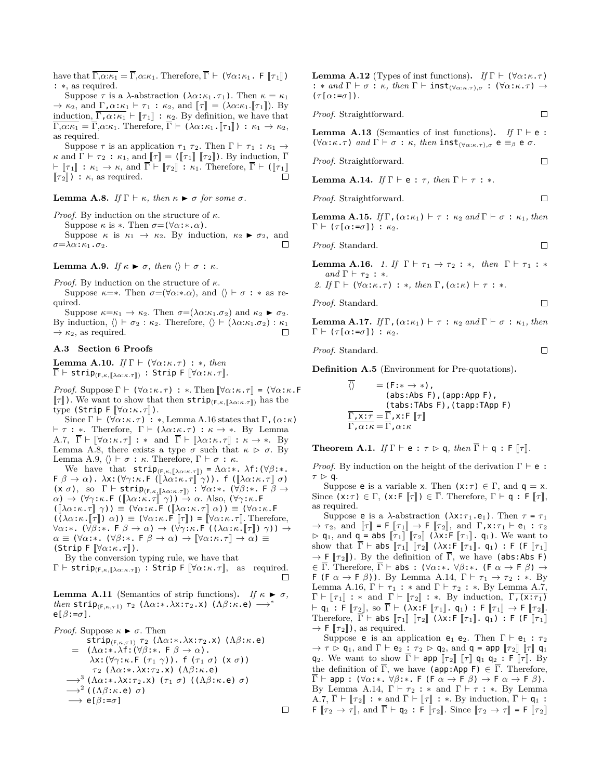have that  $\overline{\Gamma,\alpha:\kappa_1} = \overline{\Gamma}, \alpha:\kappa_1$ . Therefore,  $\overline{\Gamma} \vdash (\forall \alpha:\kappa_1$ . F  $[\![\tau_1]\!])$ : *∗*, as required.

Suppose *τ* is a *λ*-abstraction ( $\lambda \alpha$ :*κ*<sub>1</sub>.*τ*<sub>1</sub>). Then  $κ = κ$ <sub>1</sub>  $\rightarrow$   $\kappa_2$ , and  $\Gamma$ ,  $\alpha$ : $\kappa_1$   $\vdash \tau_1$ :  $\kappa_2$ , and  $\|\tau\| = (\lambda \alpha \cdot \kappa_1 \cdot \|\tau_1\|)$ . By induction,  $\Gamma, \alpha : \kappa_1 \vdash \llbracket \tau_1 \rrbracket : \kappa_2$ . By definition, we have that  $\overline{\Gamma,\alpha:\kappa_1} = \overline{\Gamma}, \alpha:\kappa_1$ . Therefore,  $\overline{\Gamma} \vdash (\lambda \alpha:\kappa_1, \llbracket \tau_1 \rrbracket) : \kappa_1 \to \kappa_2$ , as required.

Suppose  $\tau$  is an application  $\tau_1$   $\tau_2$ . Then  $\Gamma \vdash \tau_1 : \kappa_1 \rightarrow$ *κ* and  $\Gamma \vdash \tau_2 : \kappa_1$ , and  $\llbracket \tau \rrbracket = (\llbracket \tau_1 \rrbracket \llbracket \tau_2 \rrbracket)$ . By induction,  $\overline{\Gamma}$ *⊦*  $[\![\tau_1]\!]$  :  $\kappa_1 \to \kappa$ , and  $\overline{\Gamma}$  *⊢*  $[\![\tau_2]\!]$  :  $\kappa_1$ . Therefore,  $\overline{\Gamma}$  *⊢* ( $[\![\tau_1]\!]$  $\llbracket \tau_2 \rrbracket$ ) : *κ*, as required.

**Lemma A.8.** *If*  $Γ$  *⊦ κ, then*  $κ$   $\triangleright$  *σ for some*  $σ$ *.* 

*Proof.* By induction on the structure of *κ*.

Suppose  $\kappa$  is  $*$ . Then  $\sigma = (\forall \alpha : * \alpha)$ .

Suppose  $\kappa$  is  $\kappa_1 \to \kappa_2$ . By induction,  $\kappa_2 \triangleright \sigma_2$ , and  $\Box$ *σ*=*λα*:*κ*1.*σ*2.

# **Lemma A.9.** *If*  $\kappa \triangleright \sigma$ , *then*  $\langle \rangle \vdash \sigma : \kappa$ *.*

*Proof.* By induction on the structure of *κ*.

Suppose  $\kappa = *$ . Then  $\sigma = (\forall \alpha : * \alpha)$ , and  $\langle \rangle \vdash \sigma : * \text{ as } \text{re-}$ quired.

Suppose  $\kappa = \kappa_1 \to \kappa_2$ . Then  $\sigma = (\lambda \alpha : \kappa_1 \cdot \sigma_2)$  and  $\kappa_2 \triangleright \sigma_2$ . By induction,  $\langle \rangle \vdash \sigma_2 : \kappa_2$ . Therefore,  $\langle \rangle \vdash (\lambda \alpha : \kappa_1 \ldots \sigma_2) : \kappa_1$  $\rightarrow \kappa_2$ , as required.  $\Box$ 

#### **A.3 Section 6 Proofs**

**Lemma A.10.** *If*  $\Gamma \vdash (\forall \alpha : \kappa \cdot \tau) : *$ *, then*  $\overline{\Gamma}$  *├* strip<sub>(F, $\kappa$ ,  $\lceil \lambda \alpha : \kappa . \tau \rceil$ ) : Strip F  $\llbracket \forall \alpha : \kappa . \tau \rrbracket$ .</sub>

*Proof.* Suppose  $\Gamma \vdash (\forall \alpha : \kappa \cdot \tau) : *$ . Then  $[\forall \alpha : \kappa \cdot \tau] = (\forall \alpha : \kappa \cdot \mathsf{F})$  $\llbracket \tau \rrbracket$ ). We want to show that then  $\text{strip}_{(F,\kappa,\llbracket \lambda\alpha:\kappa.\tau \rrbracket)}$  has the  $\text{type (String F } [\forall \alpha : \kappa \cdot \tau]).$ 

Since Γ *+* ( $∀α:κ.τ)$  : \*, Lemma A.16 states that Γ, ( $α:κ$ ) *⊢ τ* : *∗*. Therefore, Γ *⊢* (*λα*:*κ*.*τ*) : *κ → ∗*. By Lemma A.7,  $\overline{\Gamma} \vdash \llbracket \forall \alpha : \kappa \cdot \tau \rrbracket : * \text{ and } \overline{\Gamma} \vdash \llbracket \lambda \alpha : \kappa \cdot \tau \rrbracket : \kappa \to * \text{. By}$ Lemma A.8, there exists a type  $\sigma$  such that  $\kappa > \sigma$ . By Lemma A.9, *⟨⟩ ⊢ σ* : *κ*. Therefore, Γ *⊢ σ* : *κ*.

We have that  $\textsf{strip}_{(F,\kappa,\llbracket \lambda\alpha:\kappa.\tau\rrbracket)} = \Lambda\alpha:\ast$ .  $\lambda f: (\forall \beta:\ast)$ .  $\mathsf{F} \ \beta \to \alpha$ ).  $\lambda \mathsf{x} : (\forall \gamma : \kappa \cdot \mathsf{F} \ ([\![\lambda \alpha : \kappa \cdot \tau]\!] \ \gamma))$ . f  $([\![\lambda \alpha : \kappa \cdot \tau]\!] \ \sigma)$ (x *<sup>σ</sup>*), so <sup>Γ</sup> *<sup>⊢</sup>* strip(F*,κ,*J*λα*:*κ.τ*K) : *<sup>∀</sup>α*:*∗*. (*∀β*:*∗*. F *<sup>β</sup> <sup>→</sup> α*) → (*∀γ*:*κ*.F ([λα:*κ*.*τ*] γ)) → *α*. Also, (*∀γ*:*κ*.F<br>([λαμε τ] γ)) = (*γαμε* Ε ([λαμε τ] γ)) = (*γαμ*  $(\llbracket \lambda \alpha: \kappa. \tau \rrbracket \gamma) \equiv (\forall \alpha: \kappa. \mathsf{F} (\llbracket \lambda \alpha: \kappa. \tau \rrbracket \alpha)) \equiv (\forall \alpha: \kappa. \mathsf{F} (\mathsf{F} \mathsf{F} \mathsf{F} \mathsf{F} \mathsf{F}) \alpha) = (\forall \alpha: \kappa. \mathsf{F} \mathsf{F} \mathsf{F} \mathsf{F} \alpha \mathsf{F} \alpha \mathsf{F} \alpha \mathsf{F} \alpha \mathsf{F} \alpha \mathsf{F} \alpha \mathsf{F} \alpha \mathsf{F} \alpha \mathsf{F} \alpha \mathsf{F} \alpha \$  $((\lambda \alpha : \kappa \cdot \llbracket \tau \rrbracket) \alpha)$   $\equiv (\forall \alpha : \kappa \cdot \mathsf{F} \llbracket \tau \rrbracket) = \llbracket \forall \alpha : \kappa \cdot \tau \rrbracket$ . Therefore, *<sup>∀</sup>α*:*∗*. (*∀β*:*∗*. F *<sup>β</sup> <sup>→</sup> <sup>α</sup>*) *<sup>→</sup>* (*∀γ*:*κ*.F ((*λα*:*κ*.J*<sup>τ</sup>* <sup>K</sup>) *<sup>γ</sup>*)) *<sup>→</sup> α*  $\equiv (\forall \alpha : * \cdot (\forall \beta : * \cdot \in \beta \rightarrow \alpha) \rightarrow [\forall \alpha : \kappa \cdot \tau] \rightarrow \alpha) \equiv$ *(Strip F*  $\lbrack \forall \alpha:\kappa.\tau \rbrack$ *).* 

By the conversion typing rule, we have that

*Γ ⊦* strip<sub>(F,κ,</sub>[λα:*κ*.*τ*]) : Strip F  $[∀α:κ.τ]$ , as required.  $□$ 

**Lemma A.11** (Semantics of strip functions). *If*  $\kappa \triangleright \sigma$ , *then* strip<sub>(F,κ,τ1)</sub> *τ*<sub>2</sub> ( $Λα:∗.λx:τ<sub>2</sub>.x$ ) ( $Λβ:κ.e$ ) →<sup>\*</sup> e[*β*:=*σ*]*.*

```
Proof. Suppose \kappa \triangleright \sigma. Then
        strip(F,κ,τ1) τ 2 (Λα:∗.λx:τ 2.x) (Λβ:κ.e)
    = (Λα:∗.λf:(∀β:∗. F β → α).
         λx: (∀γ:κ.F (τ<sub>1</sub> γ)). f (τ<sub>1</sub> σ) (x σ))
         τ 2 (Λα:∗.λx:τ 2.x) (Λβ:κ.e)
   −→3
(Λα:∗.λx:τ 2.x) (τ 1 σ) ((Λβ:κ.e) σ)
   −→2
((Λβ:κ.e) σ)
   −→ e[β:=σ]
```
**Lemma A.12** (Types of inst functions). *If*  $\Gamma \vdash (\forall \alpha : \kappa \cdot \tau)$ : *∗ and* Γ *⊢ σ* : *κ, then* Γ *⊢* inst(*∀α*:*κ.τ*)*,σ* : (*∀α*:*κ*.*τ*) *→*  $(\tau[\alpha:=\sigma])$ .

*Proof.* Straightforward.  $\Box$ 

**Lemma A.13** (Semantics of inst functions). *If*  $\Gamma \vdash e$ : (*∀α*:*κ*.*τ*) *and* Γ *⊢ σ* : *κ, then* inst(*∀α*:*κ.τ*)*,σ* <sup>e</sup> *≡<sup>β</sup>* <sup>e</sup> *σ.*

*Proof.* Straightforward. 
$$
\Box
$$

**Lemma A.14.** *If*  $\Gamma \vdash e : \tau$ *, then*  $\Gamma \vdash \tau : *$ *.* 

*Proof.* Straightforward.  $\Box$ 

**Lemma A.15.** *If*  $\Gamma$ ,  $(\alpha : \kappa_1) \vdash \tau : \kappa_2$  *and*  $\Gamma \vdash \sigma : \kappa_1$ *, then*  $Γ ⊢ (τ[α:=σ]) : κ<sub>2</sub>.$ 

 $\Box$ 

 $\Box$ 

 $\Box$ 

*Proof.* Standard.

**Lemma A.16.** *1. If*  $\Gamma \vdash \tau_1 \to \tau_2 : *$ *, then*  $\Gamma \vdash \tau_1 : *$ *and*  $\Gamma \vdash \tau_2 : *$ .

*2. If*  $\Gamma$   $\vdash$  ( $\forall \alpha : \kappa \cdot \tau$ ) : \*, then  $\Gamma$ , ( $\alpha : \kappa$ )  $\vdash \tau :$  \*.

*Proof.* Standard.

**Lemma A.17.** *If*  $\Gamma$ ,  $(\alpha: \kappa_1) \vdash \tau : \kappa_2$  and  $\Gamma \vdash \sigma : \kappa_1$ , then  $Γ ⊢ (τ[α:=σ]) : κ<sub>2</sub>.$ 

*Proof.* Standard.

**Definition A.5** (Environment for Pre-quotations)**.**

$$
\langle \rangle = (\text{F}: \rightarrow *) ,
$$
\n(**abs:Abs F**), (app:App F),  
\n(**abs:TAbs F**), (tapp:TApp F)  
\n
$$
\overline{\Gamma, x : \tau} = \overline{\Gamma}, x : F [\![\tau]\!]
$$
\n
$$
\overline{\Gamma, \alpha : \kappa} = \overline{\Gamma}, \alpha : \kappa
$$

**Theorem A.1.** *If*  $\Gamma \vdash e : \tau \rhd q$ *, then*  $\overline{\Gamma} \vdash q : F \rhd \tau$ .

*Proof.* By induction on the height of the derivation Γ *⊢* e :  $\tau \triangleright q.$ 

Suppose **e** is a variable x. Then  $(x:\tau) \in \Gamma$ , and  $q = x$ . Since  $(x:\tau) \in \Gamma$ ,  $(x:\mathsf{F} \llbracket \tau \rrbracket) \in \overline{\Gamma}$ . Therefore,  $\Gamma \vdash \mathsf{q} : \mathsf{F} \llbracket \tau \rrbracket$ , as required.

Suppose **e** is a *λ*-abstraction (*λ*x:*τ*<sub>1</sub>.e<sub>1</sub>). Then *τ* = *τ*<sub>1</sub>  $\rightarrow \tau_2$ , and  $[\![\tau]\!] = \mathsf{F}[\![\tau_1]\!] \rightarrow \mathsf{F}[\![\tau_2]\!]$ , and  $\Gamma, \mathsf{x} : \tau_1 \vdash \mathsf{e}_1 : \tau_2$  $\rhd$  **q**<sub>1</sub>, and **q** = **abs**  $\llbracket \tau_1 \rrbracket$   $\llbracket \tau_2 \rrbracket$  ( $\lambda$ **x**:**F**  $\llbracket \tau_1 \rrbracket$ . **q**<sub>1</sub>). We want to show that  $\overline{\Gamma}$  *⊦* abs  $[\![\tau_1]\!]$   $[\![\tau_2]\!]$  ( $\lambda$ x:**F**  $[\![\tau_1]\!]$ . **q**<sub>1</sub>) : **F** (**F**  $[\![\tau_1]\!]$  $\rightarrow$  **F**  $[\![\tau_2]\!]$ ). By the definition of  $\overline{\Gamma}$ , we have (abs:Abs **F**) *∈* Γ. Therefore, Γ *⊢* abs : (*∀α*:*∗*. *∀β*:*∗*. (F *α →* F *β*) *→* F (F  $\alpha \rightarrow$  F  $\beta$ )). By Lemma A.14,  $\Gamma \vdash \tau_1 \rightarrow \tau_2 : *$ . By Lemma A.16,  $\Gamma \vdash \tau_1 : *$  and  $\Gamma \vdash \tau_2 : *$ . By Lemma A.7,  $\overline{\Gamma}$  *⊢*  $\llbracket \tau_1 \rrbracket$  : \* and  $\overline{\Gamma}$  *⊢*  $\llbracket \tau_2 \rrbracket$  : \*. By induction,  $\overline{\Gamma}$ ,  $(\mathbf{x}:\tau_1)$  $\dashv \mathsf{q}_1$  :  $\vec{\mathsf{F}}$   $[\![\tau_2]\!]$ , so  $\overline{\Gamma} \vdash (\lambda \mathsf{x} : \mathsf{F} [\![\tau_1]\!], \mathsf{q}_1) : \mathsf{F} [\![\tau_1]\!] \to \mathsf{F} [\![\tau_2]\!].$ Therefore,  $\overline{\Gamma}$  *⊦* abs  $\llbracket \tau_1 \rrbracket$   $\llbracket \tau_2 \rrbracket$  ( $\lambda$ x: F  $\llbracket \tau_1 \rrbracket$ . q<sub>1</sub>) : F (F  $\llbracket \tau_1 \rrbracket$  $\rightarrow$  **F**  $[\![\tau_2]\!]$ ), as required.

Suppose **e** is an application **e**<sub>1</sub> **e**<sub>2</sub>. Then  $\Gamma \vdash e_1 : \tau_2$  $\rightarrow \tau \rhd q_1$ , and  $\Gamma \vdash e_2 : \tau_2 \rhd q_2$ , and  $\mathfrak{q} = \mathsf{app} [\![\tau_2]\!] [\![\tau]\!] \mathsf{q}_1$ **q**<sub>2</sub>. We want to show  $\overline{\Gamma}$  *⊦* app  $\llbracket \tau_2 \rrbracket$   $\llbracket \tau \rrbracket$  **q**<sub>1</sub> **q**<sub>2</sub> : **F**  $\llbracket \tau \rrbracket$ . By the definition of  $\overline{\Gamma}$ , we have (app:App F)  $\in \overline{\Gamma}$ . Therefore,  $\overline{\Gamma}$   $\vdash$  app : ( $\forall \alpha$ :\*.  $\forall \beta$ :\*. F ( $\vdash \alpha \rightarrow \vdash \beta$ )  $\rightarrow$  F  $\alpha \rightarrow \vdash \beta$ ). By Lemma A.14,  $\Gamma \vdash \tau_2 : *$  and  $\Gamma \vdash \tau : *$ . By Lemma A.7,  $\overline{\Gamma} \vdash [\hspace{-1.5pt}[ \tau_2 ]\hspace{-1.5pt}] : *$  and  $\overline{\Gamma} \vdash [\hspace{-1.5pt}[ \tau ]\hspace{-1.5pt}] : *$ . By induction,  $\overline{\Gamma} \vdash q_1 :$ **F**  $[\tau_2 \to \tau]$ , and  $\overline{\Gamma} \vdash q_2$  : **F**  $[\tau_2]$ . Since  $[\tau_2 \to \tau]$  = **F**  $[\tau_2]$ 

 $\Box$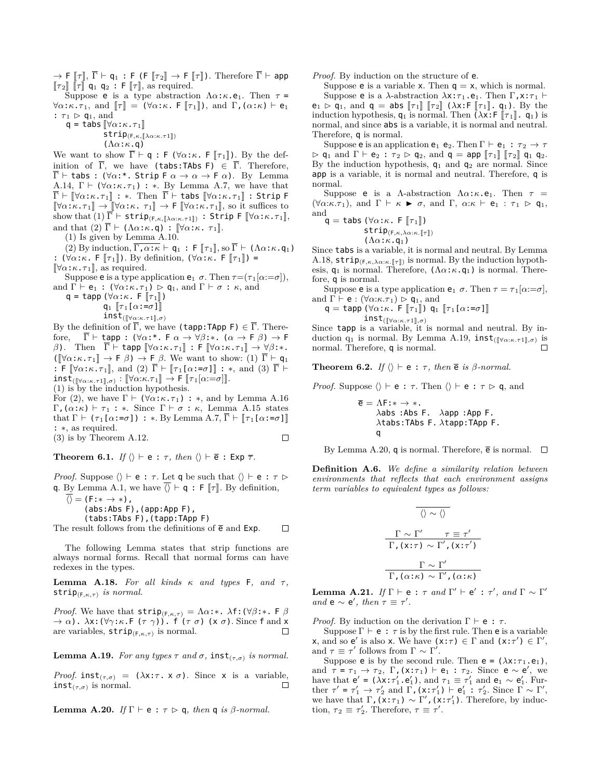$\rightarrow$  **F**  $[\![\tau]\!], \ \overline{\Gamma} \vdash q_1$  : **F** (**F**  $[\![\tau_2]\!] \rightarrow$  **F**  $[\![\tau]\!])$ . Therefore  $\overline{\Gamma} \vdash$  app  $\llbracket \tau_2 \rrbracket$   $\llbracket \tau \rrbracket$  **q**<sub>1</sub> **q**<sub>2</sub> : **F**  $\llbracket \tau \rrbracket$ , as required.

Suppose **e** is a type abstraction  $\Lambda \alpha : \kappa \cdot e_1$ . Then  $\tau =$  $\forall \alpha : \kappa \cdot \tau_1$ , and  $\|\tau\| = (\forall \alpha : \kappa \cdot \mathsf{F} \|\tau_1\|)$ , and  $\Gamma$ ,  $(\alpha : \kappa) \vdash \mathsf{e}_1$ :  $\tau_1 \triangleright q_1$ , and

 $q = \text{tabs} [\forall \alpha : \kappa \cdot \tau_1]$ 

 $\texttt{strip}_{(F, \kappa, [\![\lambda\alpha:\kappa.\tau1]\!])}$ 

(Λ*α*:*κ*.q)

We want to show  $\overline{\Gamma} \vdash q : F (\forall \alpha : \kappa \in [\![ \tau_1 ]\!])$ . By the definition of  $\overline{\Gamma}$ , we have (tabs:TAbs F)  $\in \overline{\Gamma}$ . Therefore,  $\overline{\Gamma}$   $\vdash$  tabs : ( $\forall \alpha$ :\*. Strip  $\overline{\Gamma} \alpha \rightarrow \alpha \rightarrow \overline{\Gamma} \alpha$ ). By Lemma A.14,  $\Gamma \vdash (\forall \alpha : \kappa \cdot \tau_1) : *$ . By Lemma A.7, we have that  $\overline{\Gamma}$   $\vdash$   $\llbracket \forall \alpha : \kappa . \tau_1 \rrbracket$  : \*. Then  $\overline{\Gamma}$  *+* tabs  $\llbracket \forall \alpha : \kappa . \tau_1 \rrbracket$  : Strip F  $[\nabla \alpha:\kappa.\tau_1]] \to [\nabla \alpha:\kappa.\tau_1]] \to \mathsf{F}$   $[\nabla \alpha:\kappa.\tau_1]$ , so it suffices to show that  $(1) \overline{\Gamma}$  *⊢* strip<sub>(F,*κ*, [ $\lambda \alpha$ :*κ*.*τ*<sub>1</sub>], : Strip F [ $\forall \alpha$ :*κ*.*τ*<sub>1</sub>],</sub> and that  $(2)$   $\overline{\Gamma}$  *⊦* ( $\Lambda \alpha$ :*κ*.q) :  $[\forall \alpha$ :*κ*.  $\tau_1$ ].

(1) Is given by Lemma A.10.

 $(2)$  By induction,  $\overline{\Gamma, \alpha : \kappa \vdash q_1 : F[\![\tau_1]\!], \mathrm{so} \, \overline{\Gamma} \vdash (\Lambda \alpha : \kappa. q_1)}$ :  $(\forall \alpha:\kappa$ . F  $[\![\tau_1]\!])$ . By definition,  $(\forall \alpha:\kappa$ . F  $[\![\tau_1]\!])$  =  $[\forall \alpha : \kappa \cdot \tau_1]$ , as required.

Suppose **e** is a type application **e**<sub>1</sub>  $\sigma$ . Then  $\tau = (\tau_1[\alpha := \sigma])$ , and  $\Gamma \vdash e_1 : (\forall \alpha : \kappa . \tau_1) \triangleright q_1$ , and  $\Gamma \vdash \sigma : \kappa$ , and

 $q = \text{tapp } (\forall \alpha : \kappa. \mathsf{F} \left[ \tau_1 \right])$ 

 $q_1$   $\lbrack \tau_1 \lbrack \alpha:-\sigma \rbrack \rbrack$ 

 $inst_{(\sqrt{\alpha}:\kappa.\tau1\sqrt{\sigma}})$ 

By the definition of  $\overline{\Gamma}$ , we have (tapp:TApp F)  $\in \overline{\Gamma}$ . Therefore,  $\overline{\Gamma}$   $\vdash$  tapp : ( $\forall \alpha$ :\*. F  $\alpha \rightarrow \forall \beta$ :\*. ( $\alpha \rightarrow$  F  $\beta$ )  $\rightarrow$  F *β*). Then  $\overline{\Gamma}$  *⊢* tapp  $[\forall \alpha:\kappa.\tau_1]]$  : **F**  $[\forall \alpha:\kappa.\tau_1]]$   $\rightarrow \forall \beta:\ast$ .  $(\llbracket \forall \alpha : \kappa \cdot \tau_1 \rrbracket \rightarrow \mathsf{F} \beta) \rightarrow \mathsf{F} \beta$ . We want to show: (1)  $\overline{\Gamma} \vdash \mathsf{q}_1$ : F  $[\forall \alpha:\kappa.\tau_1],$  and (2)  $\overline{\Gamma}$  *+*  $[\![\tau_1[\alpha:=\sigma]]\!]$  : \*, and (3)  $\overline{\Gamma}$  *+*  $\text{inst}_{(\llbracket \forall \alpha:\kappa.\tau \mathbb{1}],\sigma)} : \llbracket \forall \alpha:\kappa.\tau \mathbb{1} \rrbracket \to \textsf{F} \llbracket \tau_1[\alpha:=\sigma] \rrbracket.$ 

(1) is by the induction hypothesis.

For (2), we have  $\Gamma \vdash (\forall \alpha : \kappa \cdot \tau_1) : *$ , and by Lemma A.16 Γ,(*α*:*κ*) *⊢ τ* <sup>1</sup> : *∗*. Since Γ *⊢ σ* : *κ*, Lemma A.15 states that  $\Gamma \vdash (\tau_1[\alpha:-\sigma]) : *$ . By Lemma A.7,  $\overline{\Gamma} \vdash [\tau_1[\alpha:-\sigma]]$ : *∗*, as required. (3) is by Theorem A.12.  $\Box$ 

**Theorem 6.1.** *If*  $\langle \rangle \vdash e : \tau$ , *then*  $\langle \rangle \vdash \overline{e} : E \times p \overline{\tau}$ *.* 

*Proof.* Suppose  $\langle \rangle \vdash e : \tau$ . Let **q** be such that  $\langle \rangle \vdash e : \tau \triangleright$ **q**. By Lemma A.1, we have  $\overline{\langle}$   $\vdash$  **q** : **F**  $\Vert \tau \Vert$ . By definition,

*⟨⟩* = (F:*∗ → ∗*), (abs:Abs F),(app:App F), (tabs:TAbs F),(tapp:TApp F)

The result follows from the definitions of  $\bar{e}$  and Exp. П

The following Lemma states that strip functions are always normal forms. Recall that normal forms can have redexes in the types.

**Lemma A.18.** *For all kinds*  $κ$  *and types*  $F$ *, and*  $τ$ *,* strip(F*,κ,τ*) *is normal.*

*Proof.* We have that  $\textsf{strip}_{(F,\kappa,\tau)} = \Lambda \alpha$ :\*.  $\lambda$ f:( $\forall \beta$ :\*. F  $\beta$ *→ α*). *λ*x:(*∀γ*:*κ*.F (*τ γ*)). f (*τ σ*) (x *σ*). Since f and x are variables, strip(F*,κ,τ*) is normal.  $\Box$ 

**Lemma A.19.** *For any types*  $\tau$  *and*  $\sigma$ *,* **inst**<sub> $(\tau, \sigma)$  *is normal.*</sub>

*Proof.* inst<sub> $(\tau,\sigma)$ </sub> = ( $\lambda$ x: $\tau$ . x  $\sigma$ ). Since x is a variable, inst<sub> $(\tau,\sigma)$ </sub> is normal.  $\Box$ 

**Lemma A.20.** *If*  $\Gamma \vdash e : \tau \triangleright q$ *, then* q *is β-normal.* 

*Proof.* By induction on the structure of **e**.

Suppose **e** is a variable **x**. Then  $q = x$ , which is normal. Suppose **e** is a *λ*-abstraction  $\lambda$ x:*τ*<sub>1</sub>.**e**<sub>1</sub>. Then Γ, x:*τ*<sub>1</sub> *⊢* 

 $e_1 \triangleright q_1$ , and  $q = abs \lbrack \lbrack \tau_1 \rbrack \rbrack \lbrack \tau_2 \rbrack \rbrack$  ( $\lambda x : F \lbrack \lbrack \tau_1 \rbrack \rbrack$ .  $q_1$ ). By the induction hypothesis,  $q_1$  is normal. Then  $(\lambda x : F \|\tau_1\|, q_1)$  is normal, and since abs is a variable, it is normal and neutral. Therefore, q is normal.

Suppose **e** is an application **e**<sub>1</sub> **e**<sub>2</sub>. Then  $\Gamma \vdash e_1 : \tau_2 \rightarrow \tau$  $\rhd$  q<sub>1</sub> and  $\Gamma \vdash e_2 : \tau_2 \rhd q_2$ , and  $q = app \lbrack \lbrack \tau_1 \rbrack \rbrack \lbrack \tau_2 \rbrack \rbrack q_1 q_2$ . By the induction hypothesis,  $q_1$  and  $q_2$  are normal. Since app is a variable, it is normal and neutral. Therefore, q is normal.

Suppose **e** is a *Λ*-abstraction  $\Lambda \alpha : \kappa \cdot e_1$ . Then  $\tau =$  $(\forall \alpha:\kappa.\tau_1)$ , and  $\Gamma \vdash \kappa \blacktriangleright \sigma$ , and  $\Gamma$ ,  $\alpha:\kappa \vdash e_1 : \tau_1 \triangleright q_1$ , and

$$
\mathsf{q} = \mathsf{tabs} \; (\forall \alpha: \kappa. \; \mathsf{F} \; [\![\tau_1]\!]) \\ \mathsf{strip}_{(\mathsf{F}, \kappa, \lambda \alpha: \kappa. [\![\tau]\!])} \\; (\Lambda \alpha: \kappa. \mathsf{q}_1)
$$

Since tabs is a variable, it is normal and neutral. By Lemma A.18,  $\textsf{strip}_{(F,\kappa,\lambda\alpha:\kappa.\llbracket\tau\rrbracket)}$  is normal. By the induction hypothesis,  $q_1$  is normal. Therefore,  $(\Lambda \alpha : \kappa . q_1)$  is normal. Therefore, q is normal.

Suppose **e** is a type application **e**<sub>1</sub>  $\sigma$ . Then  $\tau = \tau_1[\alpha := \sigma]$ , and  $\Gamma \vdash e : (\forall \alpha : \kappa.\tau_1) \triangleright q_1$ , and

 $q = \text{tapp } (\forall \alpha : \kappa$ . F  $[\![\tau_1]\!]$ )  $q_1$   $[\![\tau_1[\alpha : = \sigma]\!]$ 

inst<sub>([*∀α:κ.τ*1]*,σ*)<br>Since **tapp** is a variable, it is normal and neutral. By in-</sub> duction q<sub>1</sub> is normal. By Lemma A.19, **inst**( $[∀α:κ.τ1],σ)$  is normal. Therefore, q is normal.

**Theorem 6.2.** *If*  $\langle \rangle \vdash e : \tau$ , *then*  $\overline{e}$  *is*  $\beta$ *-normal.* 

*Proof.* Suppose  $\langle \rangle \vdash e : \tau$ . Then  $\langle \rangle \vdash e : \tau \triangleright q$ , and

$$
\overline{e} = \Delta F: * \rightarrow *.
$$
  
\n
$$
\lambda abs :Abs F. \quad \lambda app : App F. \quad \lambda tabs : TAbs F. \quad \lambda tapp : TApp F. \quad q
$$

By Lemma A.20, q is normal. Therefore,  $\bar{e}$  is normal.  $\Box$ 

**Definition A.6.** *We define a similarity relation between environments that reflects that each environment assigns term variables to equivalent types as follows:*

$$
\frac{\Gamma \sim \Gamma' \qquad \tau \equiv \tau'}{\Gamma, (\mathbf{x}:\tau) \sim \Gamma', (\mathbf{x}:\tau')}
$$

$$
\frac{\Gamma \sim \Gamma'}{\Gamma, (\alpha:\kappa) \sim \Gamma', (\alpha:\kappa)}
$$

 ${\bf Lemma\ \ A.21.}\ \ If\ \Gamma\ \vdash\ {\bf e}\ :\ \tau\ \ and\ \ \Gamma'\ \vdash\ {\bf e}'\ :\ \tau',\ \ and\ \ \Gamma\ \sim\ \Gamma'$ *and* **e**  $\sim$  **e'**, *then*  $\tau \equiv \tau'$ *.* 

*Proof.* By induction on the derivation  $\Gamma \vdash e : \tau$ .

Suppose  $\Gamma \vdash e : \tau$  is by the first rule. Then e is a variable  $\mathsf{x}, \text{ and so } \mathsf{e}' \text{ is also } \mathsf{x}.$  We have  $(\mathsf{x} : \tau) \in \Gamma \text{ and } (\mathsf{x} : \tau') \in \Gamma',$ and  $\tau \equiv \tau'$  follows from  $\Gamma \sim \Gamma'$ .

Suppose **e** is by the second rule. Then **e** =  $(\lambda x : \tau_1 \cdot e_1)$ , and  $\tau = \tau_1 \to \tau_2$ ,  $\Gamma$ ,  $(x:\tau_1)$  *⊢* e<sub>1</sub> :  $\tau_2$ . Since e ~ e', we have that  $e' = (\lambda x : \tau'_1, e'_1)$ , and  $\tau_1 \equiv \tau'_1$  and  $e_1 \sim e'_1$ . Further  $\tau' = \tau'_1 \to \tau'_2$  and  $\Gamma$ ,  $(x:\tau'_1) \vdash e'_1 : \tau'_2$ . Since  $\Gamma \sim \Gamma'$ , we have that  $\Gamma$ ,  $(x:\tau_1) \sim \Gamma'$ ,  $(x:\tau'_1)$ . Therefore, by induction,  $\tau_2 \equiv \tau'_2$ . Therefore,  $\tau \equiv \tau'$ .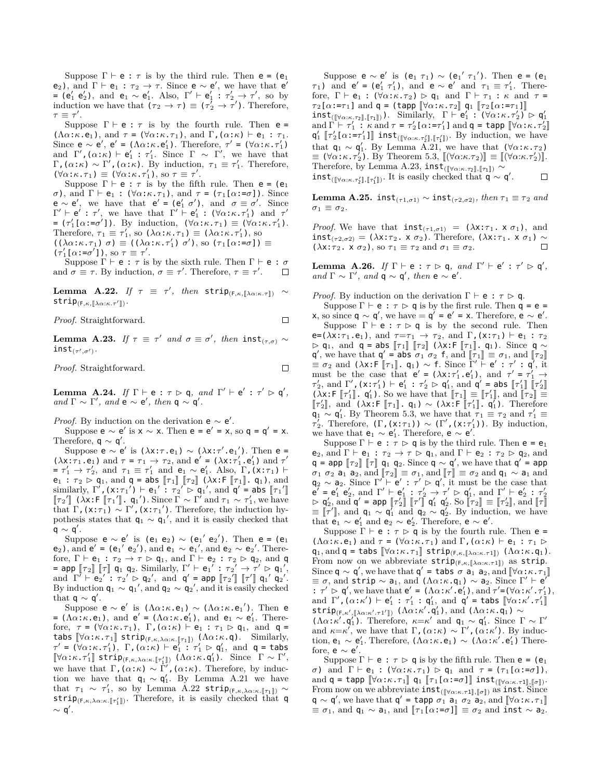Suppose  $\Gamma \vdash e : \tau$  is by the third rule. Then  $e = (e_1$ e<sub>2</sub>), and  $\Gamma \vdash e_1 : \tau_2 \rightarrow \tau$ . Since  $e \sim e'$ , we have that e' **=** (e'<sub>1</sub><sup>−</sup> e'<sub>2</sub>), and e<sub>1</sub> ∼ e'<sub>1</sub>. Also, Γ' ⊢ e'<sub>1</sub> :  $τ'_{2}$  →  $τ'$ , so by induction we have that  $(\tau_2 \to \tau) \equiv (\tau'_2 \to \tau')$ . Therefore, *τ ≡ τ ′* .

Suppose  $\Gamma \vdash e : \tau$  is by the fourth rule. Then  $e =$  $(\Lambda \alpha : \kappa \cdot \mathbf{e}_1)$ , and  $\tau = (\forall \alpha : \kappa \cdot \tau_1)$ , and  $\Gamma$ ,  $(\alpha : \kappa) \vdash \mathbf{e}_1 : \tau_1$ . Since  $e \sim e'$ ,  $e' = (\Lambda \alpha : \kappa \cdot e'_1)$ . Therefore,  $\tau' = (\forall \alpha : \kappa \cdot \tau'_1)$ and  $\Gamma'$ ,  $(\alpha:\kappa) \vdash e'_1 : \tau'_1$ . Since  $\Gamma \sim \Gamma'$ , we have that  $Γ$ , (*α*:*κ*) ∼ Γ', (*α*:*κ*). By induction,  $τ_1 ≡ τ'_1$ . Therefore,  $(\forall \alpha : \kappa \cdot \tau_1) \equiv (\forall \alpha : \kappa \cdot \tau'_1), \text{ so } \tau \equiv \tau'.$ 

Suppose  $\Gamma \vdash e : \tau$  is by the fifth rule. Then  $e = (e_1$ *σ*), and Γ *⊦* e<sub>1</sub> : ( $\forall \alpha$ :*κ*.*τ*<sub>1</sub>), and *τ* = (*τ*<sub>1</sub>[ $\alpha$ :=*σ*]). Since  $e \sim e'$ , we have that  $e' = (e'_1 \ \sigma')$ , and  $\sigma \equiv \sigma'$ . Since  $\Gamma' \vdash e' : \tau'$ , we have that  $\Gamma' \vdash e'_1 : (\forall \alpha : \kappa \cdot \tau'_1)$  and  $\tau'$  $= (\tau'_1[\alpha:-\sigma'])$ . By induction,  $(\forall \alpha:\kappa.\tau_1) \equiv (\forall \alpha:\kappa.\tau'_1)$ . Therefore,  $\tau_1 \equiv \tau'_1$ , so  $(\lambda \alpha : \kappa \cdot \tau_1) \equiv (\lambda \alpha : \kappa \cdot \tau'_1)$ , so  $((\lambda \alpha : \kappa \cdot \tau_1) \sigma) \equiv ((\lambda \alpha : \kappa \cdot \tau'_1) \sigma'),$  so  $(\tau_1[\alpha : = \sigma]) \equiv$  $(\tau'_1[\alpha:-\sigma']),$  so  $\tau \equiv \tau'.$ 

Suppose  $\Gamma \vdash e : \tau$  is by the sixth rule. Then  $\Gamma \vdash e : \sigma$ and  $\sigma \equiv \tau$ . By induction,  $\sigma \equiv \tau'$ . Therefore,  $\tau \equiv \tau'$ .  $\Box$ 

**Lemma A.22.** *If*  $\tau \equiv \tau'$ , then  $\textsf{strip}_{(F,\kappa,[\![\lambda\alpha:\kappa.\tau]\!])} \sim$  $\textsf{strip}_{(F,\kappa,\llbracket \lambda\alpha:\kappa.\tau'\rrbracket)}$ .

*Proof.* Straightforward.

 ${\bf Lemma \ \ } {\bf A.23. \ \ } If\ \tau \ \equiv \ \tau' \ \ and \ \ \sigma \equiv \sigma', \ \ then \ \ {\bf inst}_{(\tau, \sigma)} \ \sim$  $\texttt{inst}_{(\tau',\sigma')}.$ 

*Proof.* Straightforward.

 $\Box$ 

 $\Box$ 

**Lemma A.24.** *If*  $\Gamma \vdash e : \tau \rhd q$ , *and*  $\Gamma' \vdash e' : \tau' \rhd q'$ , *and*  $\Gamma \sim \Gamma'$ *, and*  $e \sim e'$ *, then*  $q \sim q'$ *.* 

*Proof.* By induction on the derivation  $e \sim e'$ .

Suppose  $e \sim e'$  is  $x \sim x$ . Then  $e = e' = x$ , so  $q = q' = x$ . Therefore,  $q \sim q'$ .

Suppose  $e \sim e'$  is  $(\lambda x : \tau \cdot e_1) \sim (\lambda x : \tau' \cdot e_1')$ . Then  $e =$ ( $\lambda$ **x**: $\tau_1$ .e<sub>1</sub>) and  $\tau = \tau_1 \rightarrow \tau_2$ , and **e'** = ( $\lambda$ **x**: $\tau'_1$ .e<sub>1</sub>) and  $\tau'$  $= \tau'_1 \to \tau'_2$ , and  $\tau_1 \equiv \tau'_1$  and  $e_1 \sim e'_1$ . Also,  $\Gamma$ , (x: $\tau_1$ )  $\vdash$  $e_1 : \tau_2 \triangleright q_1$ , and  $q = abs \llbracket \tau_1 \rrbracket \llbracket \tau_2 \rrbracket$  ( $\lambda x : F \llbracket \tau_1 \rrbracket$ .  $q_1$ ), and similarly,  $\Gamma'$ ,  $(\mathbf{x}:\tau_1') \vdash \mathbf{e}_1' : \tau_2' \rhd \mathbf{q}_1'$ , and  $\mathbf{q}' = \mathbf{abs} [\tau_1'']$ <br> $[\![\tau_2']\!]$   $(\lambda \mathbf{x}:\mathbf{F} [\![\tau_1']\!], \mathbf{q}_1')$ . Since  $\Gamma \sim \Gamma'$  and  $\tau_1 \sim \tau_1'$ , we have that  $\Gamma$ , (x: $\tau_1$ )  $\sim \Gamma'$ , (x: $\tau_1'$ ). Therefore, the induction hypothesis states that  $q_1 \sim q_1'$ , and it is easily checked that q *∼* q *′* .

Suppose  $e \sim e'$  is  $(e_1 \ e_2) \sim (e_1' \ e_2')$ . Then  $e = (e_1$ **e**<sub>2</sub>), and **e'** = (**e**<sub>1</sub>' **e**<sub>2</sub>'), and **e**<sub>1</sub> ∼ **e**<sub>1</sub>', and **e**<sub>2</sub> ∼ **e**<sub>2</sub>'. Therefore,  $\Gamma \vdash e_1 : \tau_2 \rightarrow \tau \rhd q_1$ , and  $\Gamma \vdash e_2 : \tau_2 \rhd q_2$ , and q  $=$  app  $\llbracket \tau_2 \rrbracket$   $\llbracket \tau \rrbracket$   $\llbracket \mathfrak{q}_1 \rrbracket$   $\llbracket \mathfrak{q}_2 \rrbracket$ . Similarly,  $\Gamma' \vdash \mathsf{e}_1' : \tau_2' \rightarrow \tau' \rhd \mathsf{q}_1',$ and  $\Gamma' \vdash e_2' : \tau_2' \rhd q_2', \text{ and } q' = \text{app } [\tau_2''] [\tau']' \mathfrak{q}_1' \mathfrak{q}_2'.$ <br>By induction  $\mathfrak{q}_2 : \mathfrak{q}_2' \text{ and } \mathfrak{q}_2 \rhd q_1' \text{ and it is easily checked.}$ By induction  $q_1 \sim q_1'$ , and  $q_2 \sim q_2'$ , and it is easily checked that q *∼* q *′* .

Suppose **e** ∼ **e**' is (Λα:*κ*.**e**<sub>1</sub>) ∼ (Λα:*κ*.**e**<sub>1</sub>'). Then **e**  $= (\Lambda \alpha : \kappa \cdot e_1)$ , and  $e' = (\Lambda \alpha : \kappa \cdot e'_1)$ , and  $e_1 \sim e'_1$ . Therefore,  $\tau = (\forall \alpha : \kappa \cdot \tau_1)$ ,  $\Gamma$ ,  $(\alpha : \kappa) \vdash e_1 : \tau_1 \triangleright q_1$ , and  $q =$ tabs  $[\![\forall \alpha:\kappa.\tau_1]\!]$  strip $(\kappa,\lambda \alpha:\kappa.\llbracket \tau_1\rrbracket)$  ( $\Lambda \alpha:\kappa.\mathsf{q})$ ). Similarly,<br> $\tau' = (\forall \alpha:\kappa.\tau'_1)$ ,  $\Gamma$ ,  $(\alpha:\kappa) \vdash e'_1 : \tau'_1 \rhd q'_1$ , and  $\mathsf{q} = \mathsf{tabs}$  $[\forall \alpha:\kappa.\tau'_1]$  strip<sub>(F,κ,λα: $\kappa.\mathbb{I}_{\tau'_1}$ ) ( $\Lambda \alpha:\kappa.\mathbb{q}'_1$ ). Since  $\Gamma \sim \Gamma'$ ,</sub> we have that Γ,  $(α:κ) ∼ Γ'$ ,  $(α:κ)$ . Therefore, by induction we have that  $q_1 \sim q'_1$ . By Lemma A.21 we have that  $\tau_1 \sim \tau'_1$ , so by Lemma A.22 strip<sub>(F,*κ*, $\lambda \alpha: \kappa$ [*T*<sub>1</sub>])  $\sim$ </sub> strip<sub>(F,*κ*,λα:*κ*.[ $\tau'_1$ ]). Therefore, it is easily checked that q</sub> *∼* q *′* .

Suppose  $e \sim e'$  is  $(e_1 \tau_1) \sim (e_1' \tau_1')$ . Then  $e = (e_1$ *τ*<sub>1</sub>) and  $e' = (e'_1 \tau'_1)$ , and  $e \sim e'$  and  $\tau_1 \equiv \tau'_1$ . Therefore,  $\Gamma \vdash e_1 : (\forall \alpha : \kappa . \tau_2) \triangleright q_1$  and  $\Gamma \vdash \tau_1 : \kappa$  and  $\tau =$  $\tau_2[\alpha:=\tau_1]$  and  $\mathsf{q} = (\mathsf{tapp}\; [\![\forall \alpha:\kappa.\tau_2]\!] \; \mathsf{q}_1\; [\![\tau_2[\alpha:=\tau_1]\!]$ 

 $\inf_{\mathcal{M}}\{[\forall \alpha:\kappa.\tau_2], [\![\tau_1]\!]\}\big)$ . Similarly,  $\Gamma \vdash e'_1 : (\forall \alpha:\kappa.\tau'_2) \vartriangleright q'_1$ and  $\Gamma \vdash \tau'_1$ :  $\kappa$  and  $\tau = \tau'_2[\alpha:-\tau'_1]$  and  $\mathsf{q} = \text{tapp } [\forall \alpha:\kappa.\tau'_2]$ <br> $\mathsf{q}'$ ,  $\llbracket \tau' \rrbracket_{\alpha \vdash \kappa}$  and  $\tau' = \tau'_2[\alpha : -\tau'_1]$  and  $\mathsf{q} = \text{tapp } [\forall \alpha:\kappa.\tau'_2]$  $q'_1$   $[\![\tau'_2[\alpha:=\tau'_1]\!]$  inst<sub>([ $\forall \alpha:\kappa.\tau'_2$ ]], [ $\tau'_1$ ]). By induction, we have</sub> that  $q_1 \sim q'_1$ . By Lemma A.21, we have that  $(\forall \alpha:\kappa.\tau_2)$  $\equiv (\forall \alpha : \kappa, \tau'_2)$ . By Theorem 5.3,  $[(\forall \alpha : \kappa. \tau_2)] \equiv [(\forall \alpha : \kappa. \tau'_2)]$ . Therefore, by Lemma A.23, inst<sub>(</sub> $[\forall \alpha:\kappa.\tau_2], [\![\tau_1]\!]$ )  $\sim$  $\text{inst}_{(\llbracket \forall \alpha:\kappa.\tau'_2 \rrbracket, \llbracket \tau'_1 \rrbracket)}$ . It is easily checked that  $\mathsf{q} \sim \mathsf{q}'.$  $\Box$ 

**Lemma A.25.** inst<sub>( $\tau$ 1, $\sigma$ 1)  $\sim$  inst<sub>( $\tau$ 2, $\sigma$ 2)*, then*  $\tau$ <sub>1</sub>  $\equiv \tau$ <sub>2</sub> and</sub></sub>  $\sigma_1 \equiv \sigma_2$ .

*Proof.* We have that  $\text{inst}_{(\tau1,\sigma1)} = (\lambda x : \tau_1 \cdot x \sigma_1)$ , and inst<sub>( $\tau$ 2</sub>, $\sigma$ 2) = ( $\lambda$ x: $\tau$ <sub>2</sub>. x  $\sigma$ <sub>2</sub>). Therefore, ( $\lambda$ x: $\tau$ <sub>1</sub>. x  $\sigma$ <sub>1</sub>)  $\sim$  ( $\lambda$ x: $\tau$ <sub>2</sub>. x  $\sigma$ <sub>2</sub>). so  $\tau$ <sub>1</sub> =  $\tau$ <sub>2</sub> and  $\sigma$ <sub>1</sub> =  $\sigma$ <sub>2</sub>.  $(\lambda x: \tau_2$ .  $x \sigma_2$ , so  $\tau_1 \equiv \tau_2$  and  $\sigma_1 \equiv \sigma_2$ .

**Lemma A.26.** *If*  $\Gamma \vdash e : \tau \rhd q$ , *and*  $\Gamma' \vdash e' : \tau' \rhd q'$ , *and*  $\Gamma \sim \Gamma'$ *, and*  $q \sim q'$ *, then*  $e \sim e'$ *.* 

*Proof.* By induction on the derivation  $\Gamma \vdash e : \tau \triangleright q$ .

Suppose  $\Gamma \vdash e : \tau \triangleright q$  is by the first rule. Then  $q = e$  = **x**, so since **q**  $\sim$  **q'**, we have = **q'** = **e'** = **x**. Therefore, **e**  $\sim$  **e'**. Suppose  $\Gamma \vdash e : \tau \triangleright q$  is by the second rule. Then e=( $\lambda$ x:*τ*<sub>1</sub>.e<sub>1</sub>), and  $\tau = \tau_1 \rightarrow \tau_2$ , and  $\Gamma$ , (x:*τ*<sub>1</sub>)  $\vdash$  e<sub>1</sub> : *τ*<sub>2</sub>  $\rhd$  **q**<sub>1</sub>, and **q** = abs  $\llbracket \tau_1 \rrbracket$   $\llbracket \tau_2 \rrbracket$  ( $\lambda$ x:F  $\llbracket \tau_1 \rrbracket$  **q**<sub>1</sub>). Since **q**  $\sim$  $q'$ , we have that  $q' = \text{abs } \sigma_1 \sigma_2 \text{ f}$ , and  $[\![\tau_1]\!] \equiv \sigma_1$ , and  $[\![\tau_2]\!]$  $\equiv \sigma_2$  and  $(\lambda x : F[T_1], q_1) \sim f$ . Since  $\Gamma' \vdash e' : \tau' : q'$ , it must be the case that  $e' = (\lambda x : \tau'_1 \cdot e'_1)$ , and  $\tau' = \tau'_1 \rightarrow$  $\tau'_2$ , and  $\Gamma'$ ,  $(\mathbf{x} : \tau'_1) \vdash \mathbf{e}'_1 : \tau'_2 \rhd \mathbf{q}'_1$ , and  $\mathbf{q}' = \mathbf{abs} [\![\tau'_1]\!] [\![\tau'_2]\!]$ <br> $(\lambda \mathbf{x} : \mathbf{F} [\![\tau'_1]\!] \cdot \mathbf{q}'_1)$ . So we have that  $[\![\tau_1]\!] \equiv [\![\tau'_1]\!]$ , and  $[\![\tau_2]\!] \equiv [\![\tau'_1]\!]$ , and  $[\![\tau_2]\!] \equiv [\![\tau'_1]\!]$  $\llbracket \tau'_2 \rrbracket$ , and  $(\lambda x : \llbracket \tau_1 \rrbracket, \mathbf{q}_1) \sim (\lambda x : \llbracket \tau'_1 \rrbracket, \mathbf{q}_1')$ . Therefore  $q_1 \sim q'_1$ . By Theorem 5.3, we have that  $\tau_1 \equiv \tau_2$  and  $\tau'_1 \equiv$ *τ*<sup>2</sup>
<sub>2</sub>. Therefore,  $(Γ, (x:\tau_1)) \sim (Γ', (x:\tau'_1))$ . By induction, we have that  $e_1 \sim e'_1$ . Therefore,  $e \sim e'$ .

Suppose  $\Gamma \vdash e : \tau \triangleright q$  is by the third rule. Then  $e = e_1$ e<sub>2</sub>, and  $\Gamma \vdash e_1 : \tau_2 \rightarrow \tau \rhd q_1$ , and  $\Gamma \vdash e_2 : \tau_2 \rhd q_2$ , and  $q = app$   $[r_2]$   $[r]$   $q_1$   $q_2$ . Since  $q \sim q'$ , we have that  $q' = app$  $\sigma_1$   $\sigma_2$  a<sub>1</sub> a<sub>2</sub>, and  $[\![\tau_2]\!] \equiv \sigma_1$ , and  $[\![\tau]\!] \equiv \sigma_2$  and  $\mathsf{q}_1 \sim \mathsf{a}_1$  and  $\mathsf{q}_2 \sim \mathsf{a}_2$ . Since  $\Gamma' \vdash \mathsf{e}' : \tau' \rhd \mathsf{q}'$ , it must be the case that  $e' = e'_1 e'_2$ , and  $\Gamma' \vdash e'_1 : \tau'_2 \rightarrow \tau' \rhd q'_1$ , and  $\Gamma' \vdash e'_2 : \tau'_2$ <br>  $\rhd q'_2$ , and  $q' = \text{app} [\![\tau'_2]\!] [\![\tau']\!] q'_1 q'_2$ . So  $[\![\tau_2]\!] \equiv [\![\tau'_2]\!]$ , and  $[\![\tau]\!]$ <br>  $= \top - \top$  $\equiv [\![\tau']\!]$ , and  $q_1 \sim q'_1$  and  $q_2 \sim q'_2$ . By induction, we have that  $e_1 \sim e'_1$  and  $e_2 \sim e'_2$ . Therefore,  $e \sim e'$ .

Suppose  $\Gamma \vdash e : \tau \triangleright q$  is by the fourth rule. Then  $e =$  $(\Lambda \alpha : \kappa \cdot e_1)$  and  $\tau = (\forall \alpha : \kappa \cdot \tau_1)$  and  $\Gamma$ ,  $(\alpha : \kappa) \vdash e_1 : \tau_1 \rhd$  $\mathsf{q}_1, \text{and } \mathsf{q} = \texttt{tabs}\text{ }\llbracket \forall \alpha \!:\! \kappa \!:\! \tau_1 \rrbracket \text{ }\texttt{strip}_{(\mathsf{F},\kappa,\llbracket \lambda \alpha \!:\! \kappa \cdot \tau_1 \rrbracket)} \text{ } (\Lambda \alpha \!:\! \kappa \!:\! \mathsf{q}_1).$ From now on we abbreviate  $\mathsf{strip}_{(F,\kappa,[\![\lambda\alpha:\kappa.\tau1]\!])}$  as  $\mathsf{strip}.$ Since  $q \sim q'$ , we have that  $q' = \text{tabs } \sigma a_1 a_2$ , and  $[\forall \alpha : \kappa . \tau_1]$ <br> $\equiv \tau$ , and strip  $\epsilon_1$ , and  $(A \text{out } \sigma_1)$ ,  $\epsilon_2$ , Since  $\Gamma' \vdash \alpha'$  $\equiv \sigma$ , and strip  $\sim$  a<sub>1</sub>, and ( $\Lambda \alpha$ : $\kappa$ .q<sub>1</sub>)  $\sim$  a<sub>2</sub>. Since  $\Gamma' \vdash e'$ :  $\tau' \triangleright q'$ , we have that  $e' = (\Lambda \alpha : \kappa' \cdot e_1'),$  and  $\tau' = (\forall \alpha : \kappa' \cdot \tau_1'),$ and  $\Gamma'$ ,  $(\alpha:\kappa') \vdash e'_1 : \tau'_1 : q'_1$ , and  $q' = \text{tabs} [\forall \alpha:\kappa'.\tau'_1]$ strip<sub>(F,κ',[λα:κ',τ<sup>1</sup>'])</sub> (Λα:κ', q'<sub>1</sub>), and (Λα:κ.q<sub>1</sub>)  $\sim$ 

( $\Lambda \alpha$ :*κ'* .q'<sub>1</sub>). Therefore,  $\kappa = \kappa'$  and  $q_1 \sim q'_1$ . Since  $\Gamma \sim \Gamma'$ and  $\kappa = \kappa'$ , we have that  $\Gamma$ ,  $(\alpha : \kappa) \sim \Gamma'$ ,  $(\alpha : \kappa')$ . By induction,  $e_1 \sim e'_1$ . Therefore,  $(\Lambda \alpha : \kappa \cdot e_1) \sim (\Lambda \alpha : \kappa' \cdot e'_1)$  Therefore, **e**  $\sim$  **e** $\prime$ .

Suppose  $\Gamma \vdash e : \tau \rhd q$  is by the fifth rule. Then  $e = (e_1$ *σ*) and Γ *⊦* e<sub>1</sub> : (*∀α*:*κ*.*τ*<sub>1</sub>)  $\rhd$  q<sub>1</sub> and *τ* = (*τ*<sub>1</sub>[*α*:=*σ*]), and  $q = \text{tapp } [\forall \alpha : \kappa \cdot \tau_1] q_1 [\tau_1[\alpha := \sigma]] \text{ inst}_{([\forall \alpha : \kappa \cdot \tau_1], [\sigma])}$ .<br>From now an weakhnow to inst From now on we abbreviate  $\text{inst}_{(\llbracket \forall \alpha:\kappa.\tau 1\rrbracket, \llbracket \sigma \rrbracket)}$  as  $\text{inst. Since}$  $q \sim q'$ , we have that  $q' = \text{tapp } \sigma_1 \mathbf{a}_1 \sigma_2 \mathbf{a}_2$ , and  $[\forall \alpha : \kappa \cdot \tau_1]$ <br> $\equiv \tau$ , and  $q \sim q$ , and  $[\![\tau \cdot \alpha \cdot \tau_1] \!] = \tau$ , and  $\text{int } \alpha \cdot \kappa$ .  $\equiv \sigma_1$ , and  $\mathbf{q}_1 \sim \mathbf{a}_1$ , and  $\llbracket \tau_1[\alpha; = \sigma] \rrbracket \equiv \sigma_2$  and inst  $\sim \mathbf{a}_2$ .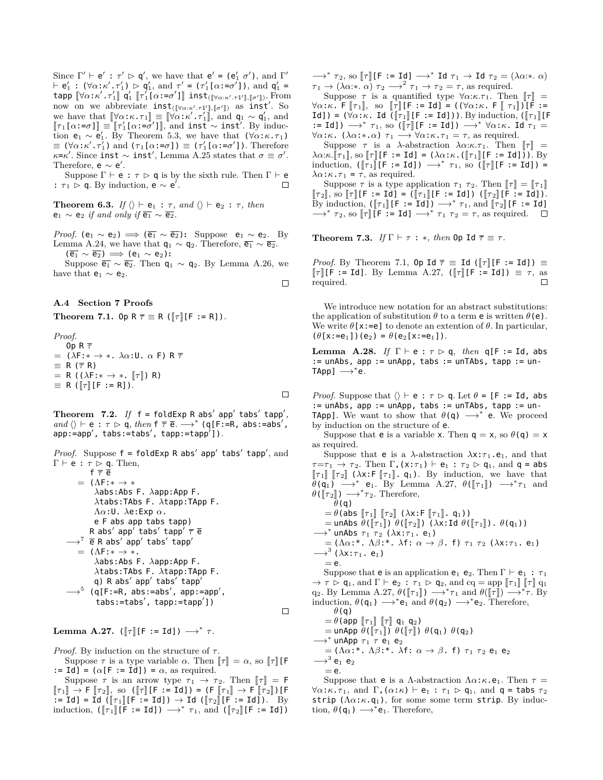Since  $\Gamma' \vdash e' : \tau' \rhd q'$ , we have that  $e' = (e'_1 \ \sigma')$ , and  $\Gamma'$  $\vdash e'_1 : (\forall \alpha : \kappa' \cdot \tau'_1) \triangleright q'_1$ , and  $\tau' = (\tau'_1[\alpha : = \sigma']),$  and  $q'_1 =$  $\mathbf{t}$ app  $[\![\forall \alpha : \kappa' \cdot \tau'_1]\!]$   $\mathsf{q}'_1$   $[\![\tau'_1[\![\alpha : = \sigma']\!]$  inst $\mathbf{t}_{([\![\forall \alpha : \kappa' \cdot \tau'_1]\!]}, [\![\sigma']\!])}$ . From now on we abbreviate inst<sub>([ $\forall \alpha:\kappa',\tau_1'$ ],  $[\![\sigma']\!]$  as inst<sup>*′*</sup>. So</sub> we have that  $[\![\forall \alpha:\kappa.\tau_1]\!] \equiv [\![\forall \alpha:\kappa'.\tau'_1]\!]$ , and  $q_1 \sim q'_1$ , and  $\llbracket \tau \cdot [\alpha] - \tau'^1 \rrbracket = \llbracket \tau' \cdot [\alpha] - \tau'^1 \rrbracket$  and installight Prinching  $\llbracket \tau_1[\alpha:=\sigma] \rrbracket = \llbracket \tau'_1[\alpha:=\sigma'] \rrbracket$ , and inst *∼* inst<sup>'</sup>. By induction  $e_1 \sim e'_1$ . By Theorem 5.3, we have that  $(\forall \alpha : \kappa \cdot \tau_1)$  $\equiv$  ( $\forall \alpha$ :*κ'* . *τ'*<sub>1</sub>) and (*τ*<sub>1</sub>[ $\alpha$ :=*σ*])  $\equiv$  (*τ'*<sub>1</sub>[ $\alpha$ :=*σ'*]). Therefore  $\kappa$ = $\kappa'$ . Since inst  $\sim$  inst', Lemma A.25 states that  $\sigma \equiv \sigma'$ . Therefore,  $e \sim e'$ .

Suppose  $\Gamma \vdash e : \tau \rhd q$  is by the sixth rule. Then  $\Gamma \vdash e$ <br> $\tau_1 \rhd q$ . By induction,  $e \sim e'$ . :  $\tau_1 \triangleright q$ . By induction,  $e \sim e'$ .

**Theorem 6.3.** *If*  $\langle \rangle \vdash e_1 : \tau$ , and  $\langle \rangle \vdash e_2 : \tau$ , then  $e_1 \sim e_2$  *if and only if*  $\overline{e_1} \sim \overline{e_2}$ .

*Proof.* ( $e_1 \sim e_2$ )  $\implies$  ( $\overline{e_1} \sim \overline{e_2}$ ): Suppose  $e_1 \sim e_2$ . By Lemma A.24, we have that  $q_1 \sim q_2$ . Therefore,  $\overline{e_1} \sim \overline{e_2}$ .  $(\overline{e_1} \sim \overline{e_2}) \implies$  (e<sub>1</sub> ∼ e<sub>2</sub>):

 $\Box$ 

Suppose  $\overline{e_1} \sim \overline{e_2}$ . Then  $q_1 \sim q_2$ . By Lemma A.26, we have that  $\mathsf{e}_1 \sim \mathsf{e}_2.$ 

#### **A.4 Section 7 Proofs**

**Theorem 7.1.** Op  $R \overline{\tau} \equiv R (\overline{\tau} | F := R])$ .

*Proof.*  
\n**0p** R 
$$
\overline{\tau}
$$
  
\n= ( $\lambda F: * \rightarrow * \cdot \lambda \alpha: U \cdot \alpha F$ ) R  $\overline{\tau}$   
\n $\equiv$  R ( $\overline{\tau}$  R)  
\n= R ( $(\lambda F: * \rightarrow * \cdot [\tau])$  R)  
\n $\equiv$  R ( $[\tau][F := R]$ ).

**Theorem**  $7.2$ **.** If  $f = f$ oldExp R abs' app' tabs' tapp',  $and \ \langle \rangle \vdash e : \tau \rhd q, \ then \ f \ \overline{\tau} \ \overline{e} \rightarrow^* (q[F:=R, abs:=abs',$ app:=app*′* , tabs:=tabs*′* , tapp:=tapp*′* ])*.*

*Proof.* Suppose f = foldExp R abs*′* app*′* tabs*′* tapp*′* , and <sup>Γ</sup> *<sup>⊢</sup>* e : *<sup>τ</sup>* <sup>q</sup>. Then,

$$
\begin{array}{l} \mathsf{f}\ \overline{\tau}\ \overline{\mathsf{e}} \\ = \ (\Lambda\mathsf{F}:\ast\to *\ \lambda\mathsf{abs}:\mathsf{Abs}\ \mathsf{F}.\ \lambda\mathsf{tapp}:\mathsf{App}\ \mathsf{F}.\ \lambda\mathsf{tabs}:\mathsf{TAbs}\ \mathsf{F}.\ \lambda\mathsf{tapp}:\mathsf{IApp}\ \mathsf{F}.\ \Lambda\alpha:\mathsf{U}.\ \lambda\mathsf{e}:\mathsf{Exp}\ \alpha.\ \mathsf{e}\ \mathsf{F}\ \mathsf{abs}\ \mathsf{app}'\ \mathsf{tabs}'\ \mathsf{tapp}'\ \overline{\tau}\ \overline{\mathsf{e}} \\ \longrightarrow^7 \overline{\mathsf{e}}\ \mathsf{R}\ \mathsf{abs}'\ \mathsf{app}'\ \mathsf{tabs}'\ \mathsf{tapp}'\ =\ (\Lambda\mathsf{F}:\ast\to *\ \lambda\mathsf{abs}:\mathsf{Abs}\ \mathsf{F}.\ \lambda\mathsf{tapp}:\mathsf{App}\ \mathsf{F}.\ \lambda\mathsf{tabs}:\mathsf{TAbs}\ \mathsf{F}.\ \lambda\mathsf{tapp}'\ \mathsf{tapp}'\ \longrightarrow^5 \ (\mathsf{q}[\mathsf{F}:\mathsf{e}\mathsf{R},\ \mathsf{abs}:\mathsf{e}:\mathsf{abs}',\ \mathsf{app}:\mathsf{e}:\mathsf{app}'\ )\ \mathsf{tabs}:\mathsf{tabs}:\mathsf{e}:\mathsf{b}\ \mathsf{B}\ \mathsf{f}.\ \mathsf{b}\ \mathsf{b}\ \mathsf{f}.\ \mathsf{b}\ \mathsf{b}\ \mathsf{b}\ \mathsf{b}\ \mathsf{b}\ \mathsf{b}\ \mathsf{b}\ \mathsf{b}\ \mathsf{b}\ \mathsf{b}\ \mathsf{b}\ \mathsf{b}\ \mathsf{b}\ \mathsf{b}\ \mathsf{b}\ \mathsf{b}\ \mathsf{b}\ \mathsf{b}\ \mathsf{b}\ \mathsf{b}\ \mathsf{b}\ \mathsf{b}\ \mathsf{b}\ \mathsf{b}\ \mathsf{b}\ \mathsf{b}\ \mathsf{b}\ \mathsf{b}\ \mathsf{b}\ \mathsf{b}\ \mathsf{b}\ \mathsf{b}\ \mathsf{b}\ \mathsf{b}\ \mathsf{b}\ \mathsf{b}\ \mathsf{b}\ \mathsf{b}\ \mathsf{b}\ \mathsf{b}\ \mathsf{b}\ \mathsf{b}\ \mathsf{b}\ \mathsf{b}\ \math
$$

**Lemma A.27.** ( $\llbracket \tau \rrbracket$ [F := Id])  $\longrightarrow^* \tau$ .

*Proof.* By induction on the structure of  $τ$ .

Suppose  $\tau$  is a type variable  $\alpha$ . Then  $\llbracket \tau \rrbracket = \alpha$ , so  $\llbracket \tau \rrbracket$  [F := Id] =  $(\alpha[F := Id]) = \alpha$ , as required.

Suppose  $\tau$  is an arrow type  $\tau_1 \to \tau_2$ . Then  $\llbracket \tau \rrbracket = \mathsf{F}$  $[\![\tau_1]\!] \rightarrow \mathsf{F} [\![\tau_2]\!]$ , so  $([\![\tau]\!] [\mathsf{F} := \mathsf{Id}]) = (\mathsf{F} [\![\tau_1]\!] \rightarrow \mathsf{F} [\![\tau_2]\!] ) [\mathsf{F}$  $\overline{\mathbf{I}} = \overline{\mathbf{I}}$ d] =  $\overline{\mathbf{I}}$ d ( $\overline{\mathbf{I}}$  $\tau_1$ ][ $\overline{\mathbf{F}}$  :=  $\overline{\mathbf{I}}$ d])  $\rightarrow$   $\overline{\mathbf{I}}$ d ( $\overline{\mathbf{I}}$  $\tau_2$ ][ $\overline{\mathbf{F}}$  :=  $\overline{\mathbf{I}}$ d]).  $\overline{\mathbf{I}}$  By induction,  $([\tau_1][F := Id]) \longrightarrow^* \tau_1$ , and  $([\tau_2][F := Id])$   $\rightarrow$ <sup>*\**</sup>  $\tau_2$ , so  $\llbracket \tau \rrbracket$  [F := Id]  $\rightarrow$ <sup>\*</sup> Id  $\tau_1 \rightarrow$  Id  $\tau_2 = (\lambda \alpha : * \alpha)$  $\tau_1 \to (\lambda \alpha; \ast \alpha)$   $\tau_2 \to^2 \tau_1 \to \tau_2 = \tau$ , as required.

Suppose  $\tau$  is a quantified type  $\forall \alpha:\kappa.\tau_1$ . Then  $\llbracket \tau \rrbracket =$  $\forall \alpha : \kappa$ . F  $[\![\tau_1]\!]$ , so  $[\![\tau]\!]$  [F := Id] = ( $(\forall \alpha : \kappa$ . F  $[\![\tau_1]\!]$ ) [F := Id]) =  $(\forall \alpha:\kappa$ . Id  $(\lceil \tau_1 \rceil [\mathsf{F} := \mathsf{Id}]))$ . By induction,  $(\lceil \tau_1 \rceil [\mathsf{F}$ := Id])  $\rightarrow^*$   $\tau_1$ , so ([ $\tau$ ][F := Id])  $\rightarrow^*$   $\forall \alpha:\kappa$ . Id  $\tau_1$  = *∀α*:*κ*. (*λα*:*∗*.*α*) *τ*<sub>1</sub> →  $\forall$ *α*:*κ*.*τ*<sub>1</sub> = *τ*, as required.

Suppose  $\tau$  is a *λ*-abstraction  $\lambda \alpha : \kappa . \tau_1$ . Then  $\llbracket \tau \rrbracket$  =  $\lambda \alpha$ :*κ*. $[\![\tau_1]\!]$ , so  $[\![\tau]\!]$  [F := Id] = ( $\lambda \alpha$ :*κ*. ( $[\![\tau_1]\!]$  [F := Id])). By induction,  $([\tau_1] [F := Id]) \longrightarrow^* \tau_1$ , so  $([\tau] [F := Id]) =$  $\lambda \alpha$ :*κ*.*τ*<sub>1</sub> = *τ*, as required.

Suppose  $\tau$  is a type application  $\tau_1$   $\tau_2$ . Then  $\llbracket \tau \rrbracket = \llbracket \tau_1 \rrbracket$  $\llbracket \tau_2 \rrbracket$ , so  $\llbracket \tau \rrbracket$  [**F** := **Id**] = ( $\llbracket \tau_1 \rrbracket$  [**F** := **Id**]) ( $\llbracket \tau_2 \rrbracket$  [**F** := **Id**]). By induction,  $([\![\tau_1]\!] [F := Id]) \longrightarrow^* \tau_1$ , and  $[\![\tau_2]\!] [F := Id]$ <br>
<sup>\*</sup>  $\tau$  so  $[\![\tau_1]\!] [F := Id] \longrightarrow^* \tau_2$  as required *→*<sup>∗</sup> *τ*<sub>2</sub>, so [[*τ*]] [**F** := **Id**] →<sup>\*</sup> *τ*<sub>1</sub> *τ*<sub>2</sub> = *τ*, as required.

**Theorem 7.3.** *If*  $\Gamma \vdash \tau : *$ *, then* 0p Id  $\overline{\tau} \equiv \tau$ *.* 

*Proof.* By Theorem 7.1, Op Id  $\overline{\tau}$   $\equiv$  Id ( $\lbrack\lbrack\tau\rbrack\rbrack$ [F := Id])  $\equiv$  $\lbrack\lbrack\tau\rbrack\rbrack$ [F := Id]. By Lemma A.27,  $(\lbrack\lbrack\tau\rbrack\rbrack$ [F := Id])  $\equiv \tau$ , as required required.

We introduce new notation for an abstract substitutions: the application of substitution  $\theta$  to a term **e** is written  $\theta$ (**e**). We write  $\theta$ [x:=e] to denote an extention of  $\theta$ . In particular,  $(\theta[x:=e_1])(e_2) = \theta(e_2[x:=e_1]).$ 

Lemma A.28. *If*  $\Gamma \vdash e : \tau \rhd q$ *, then*  $q[F := Id$ *,* abs := unAbs, app := unApp, tabs := unTAbs, tapp := un-TApp] *−→<sup>∗</sup>* e*.*

*Proof.* Suppose that  $\langle \rangle \vdash e : \tau \triangleright q$ . Let  $\theta = [F := Id, abs]$ := unAbs, app := unApp, tabs := unTAbs, tapp := un-TApp]. We want to show that *θ*(q) *−→<sup>∗</sup>* e. We proceed by induction on the structure of e.

Suppose that **e** is a variable x. Then  $q = x$ , so  $\theta(q) = x$ as required.

Suppose that **e** is a  $\lambda$ -abstraction  $\lambda$ x: $\tau_1$ .**e**<sub>1</sub>, and that  $\tau = \tau_1 \to \tau_2$ . Then  $\Gamma$ , (x: $\tau_1$ )  $\vdash$  **e**<sub>1</sub> :  $\tau_2 \rhd$  **q**<sub>1</sub>, and **q** = abs  $\llbracket \tau_1 \rrbracket$   $\llbracket \tau_2 \rrbracket$  ( $\lambda$ x:**F**  $\llbracket \tau_1 \rrbracket$ . **q**<sub>1</sub>). By induction, we have that  $\theta$ (q<sub>1</sub>) →<sup>\*</sup> e<sub>1</sub>. By Lemma A.27,  $\theta$ ( $[\![\tau_1]\!]$ ) →<sup>\*</sup> $\tau_1$  and  $\theta$ ( $\llbracket \tau_2 \rrbracket$ )  $\longrightarrow^* \tau_2$ . Therefore, *θ*(q)  $= \theta(\overline{\mathsf{abs}} \, \mathbb{F}_1 \mathbb{F}_2 \mathbb{F}_2 \mathbb{F}_3 \mathbb{F}_3 \mathbb{F}_3 \mathbb{F}_4$ .  $\mathsf{q}_1$ ))

$$
= 0 \text{ (abs } ||t_1|| ||t_2||) (\lambda x \cdot 1 ||t_1||) \cdot 9(f_1||) \cdot \theta(q_1)
$$
\n
$$
\rightarrow^* \text{unAbs } \tau_1 \tau_2 (\lambda x \cdot \tau_1 \cdot \mathbf{e}_1)
$$
\n
$$
\rightarrow^* \text{unAbs } \tau_1 \tau_2 (\lambda x \cdot \tau_1 \cdot \mathbf{e}_1)
$$
\n
$$
= (\Lambda \alpha \cdot^* \cdot \Lambda \beta \cdot^* \cdot \lambda \mathbf{f} \cdot \alpha \rightarrow \beta \cdot \mathbf{f}) \tau_1 \tau_2 (\lambda x \cdot \tau_1 \cdot \mathbf{e}_1)
$$
\n
$$
\rightarrow^3 (\lambda x \cdot \tau_1 \cdot \mathbf{e}_1)
$$
\n
$$
= \mathbf{e}.
$$
\nSuppose that **e** is an application **e**<sub>1</sub> **e**<sub>2</sub>. Then  $\Gamma \vdash \mathbf{e}_1 : \tau_1$ \n
$$
\rightarrow \tau \rhd q_1, \text{ and } \Gamma \vdash e_2 : \tau_1 \rhd q_2, \text{ and } \text{cq} = \text{app } [\![\tau_1]\!] [\![\tau]\!] q_1
$$
\n
$$
q_2. \text{ By Lemma A.27, } \theta([\![\tau_1]\!]) \rightarrow^* \tau_1 \text{ and } \theta([\![\tau]\!]) \rightarrow^* \tau. \text{ By induction, } \theta(q_1) \rightarrow^* \mathbf{e}_1 \text{ and } \theta(q_2) \rightarrow^* \mathbf{e}_2. \text{ Therefore,}
$$

*θ*(q)

 $=\theta$ (app  $\llbracket\tau_1\rrbracket$   $\llbracket\tau\rrbracket$  q<sub>1</sub> q<sub>2</sub>)

$$
= \text{unApp } \theta([\tau_1]) \theta([\tau]]) \theta(q_1) \theta(q_2)
$$
  
\n
$$
\longrightarrow^* \text{unApp } \tau_1 \tau \mathbf{e}_1 \mathbf{e}_2
$$

=  $(\Lambda \alpha)^*$ .  $\Lambda \beta$ :<sup>\*</sup>.  $\lambda$ f:  $\alpha \rightarrow \beta$ . f)  $\tau_1$   $\tau_2$  e<sub>1</sub> e<sub>2</sub>

*−→*<sup>3</sup> e1 e2  $=$  e.

 $\Box$ 

Suppose that **e** is a *Λ*-abstraction  $\Lambda \alpha : \kappa \cdot e_1$ . Then  $\tau =$ *∀α*:*κ*.*τ*<sub>1</sub>, and Γ, (*α*:*κ*) *⊢* e<sub>1</sub> : *τ*<sub>1</sub>  $\rhd$  q<sub>1</sub>, and q = tabs *τ*<sub>2</sub> strip (Λ*α*:*κ*.q1), for some some term strip. By induction,  $\theta(\mathsf{q}_1) \longrightarrow^* \mathsf{e}_1$ . Therefore,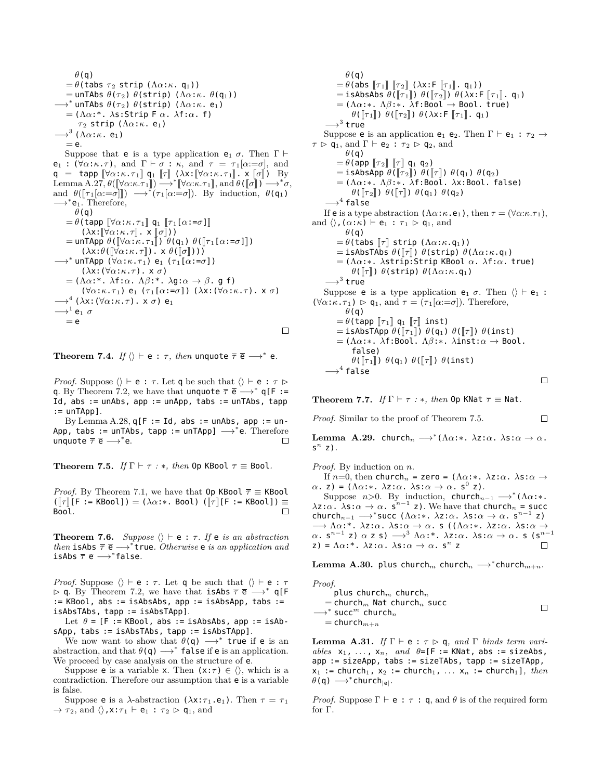*θ*(q)  $= \theta$ (tabs  $\tau_2$  strip ( $\Lambda \alpha$ : $\kappa$ . q<sub>1</sub>))  $=$  unTAbs  $\theta(\tau_2)$   $\theta$ (strip) ( $\Lambda \alpha$ :*κ*.  $\theta$ (q<sub>1</sub>))  $→$ <sup>\*</sup> unTAbs  $\theta(\tau_2)$   $\theta$ (strip) ( $\Lambda \alpha$ :*κ*. e<sub>1</sub>) = (Λ*α*:\*. *λ*s:Strip F *α*. *λ*f:*α*. f) *τ*<sub>2</sub> strip ( $Λα:κ.$  e<sub>1</sub>) *−→*<sup>3</sup> (Λ*α*:*κ*. e1)  $=$  e. Suppose that **e** is a type application **e**<sub>1</sub>  $\sigma$ . Then  $\Gamma$  *⊦*  $e_1$  :  $(\forall \alpha : \kappa \cdot \tau)$ , and  $\Gamma \vdash \sigma : \kappa$ , and  $\tau = \tau_1[\alpha := \sigma]$ , and  $q = \text{tapp } [\forall \alpha : \kappa \cdot \tau_1] q_1 [\tau] (\lambda x : [\forall \alpha : \kappa \cdot \tau_1], x [\sigma]) \text{ By}$ Lemma A.27,  $\theta([\forall \alpha:\kappa.\tau_1]) \longrightarrow^* [\forall \alpha:\kappa.\tau_1],$  and  $\theta([\![\sigma]\!]) \longrightarrow^* \sigma$ ,<br>and  $\theta([\![\sigma]\!]) \longrightarrow^* \sigma$ , and  $\theta([\![\sigma]\!]) \longrightarrow^* \sigma$ , and  $\theta([\tau_1[\alpha:=\sigma]]) \longrightarrow^* (\tau_1[\alpha:=\sigma])$ . By induction,  $\theta(\mathfrak{q}_1)$ →  $*$ **e**<sub>1</sub>. Therefore, *θ*(q)  $= \theta$ (tapp  $\llbracket \forall \alpha : \kappa . \tau_1 \rrbracket$  q<sub>1</sub>  $\llbracket \tau_1[\alpha : = \sigma] \rrbracket$  $(\lambda x: [\nabla \alpha : \kappa \cdot \tau], x \cdot \sigma)$  $=$  unTApp  $\theta$ ( $\forall \alpha$ : $\kappa$ . $\tau_1$  $\parallel$ )  $\theta$ (q<sub>1</sub>)  $\theta$ ( $\Vert \tau_1$ [ $\alpha$ := $\sigma$ ] $\parallel$ )  $(\lambda x : \theta(\llbracket \forall \alpha : \kappa \cdot \tau \rrbracket) \cdot x \theta(\llbracket \sigma \rrbracket))$ *−→<sup>∗</sup>* unTApp (*∀α*:*κ*.*τ* <sup>1</sup>) e<sup>1</sup> (*τ* <sup>1</sup>[*α*:=*σ*]) (*λ*x:(*∀α*:*κ*.*τ*). x *σ*) = (Λ*α*:\*. *λ*f:*α*. Λ*β*:\*. *λ*g:*α → β*. g f) (*∀α*:*κ*.*τ* <sup>1</sup>) e<sup>1</sup> (*τ* <sup>1</sup>[*α*:=*σ*]) (*λ*x:(*∀α*:*κ*.*τ*). x *σ*) *−→*<sup>4</sup> (*λ*x:(*∀α*:*κ*.*τ*). x *σ*) e<sup>1</sup> *−→*<sup>1</sup> e<sup>1</sup> *σ*  $=$  e  $\Box$ 

 $\bf{Theorem\ 7.4.}$   $\emph{If } \langle \rangle \vdash {\sf e} \, : \, \tau, \textit{ then }$  unquote  $\overline{\tau} \, \overline{{\sf e}} \longrightarrow^* {\sf e}.$ 

*Proof.* Suppose  $\langle \rangle \vdash e : \tau$ . Let q be such that  $\langle \rangle \vdash e : \tau \triangleright$ q. By Theorem 7.2, we have that unquote  $\overline{\tau}$   $\overline{e}$   $\longrightarrow^*$  q[F := Id, abs  $:=$  unAbs, app  $:=$  unApp, tabs  $:=$  unTAbs, tapp  $:=$  unTApp].

By Lemma A.28,  $q[F := Id, abs := unAbs, app := un-$ App, tabs := unTAbs, tapp := unTApp] *−→<sup>∗</sup>* e. Therefore unquote  $\overline{\tau}$  **e** →\*e.  $\Box$ 

**Theorem 7.5.** *If*  $\Gamma \vdash \tau : *$ *, then* 0p KBool  $\overline{\tau} \equiv$  Bool.

*Proof.* By Theorem 7.1, we have that  $0p$  KBool  $\overline{\tau} \equiv$  KBool  $([\![\tau]\!]$ [F := KBool]) = ( $\lambda \alpha$ :\*. Bool) ( $[\![\tau]\!]$ [F := KBool]) ≡<br>Bool. Bool.

**Theorem 7.6.** *Suppose*  $\langle \rangle \vdash e : \tau$ *. If*  $e$  *is an abstraction then* isAbs  $\bar{\tau}$  **e** →  $*$  true. *Otherwise* **e** *is an application and* isAbs *τ* e *−→<sup>∗</sup>* false*.*

*Proof.* Suppose  $\langle \rangle \vdash e : \tau$ . Let q be such that  $\langle \rangle \vdash e : \tau$  <sup>q</sup>. By Theorem 7.2, we have that isAbs *<sup>τ</sup>* <sup>e</sup> *−→<sup>∗</sup>* q[F := KBool, abs := isAbsAbs, app := isAbsApp, tabs := isAbsTAbs, tapp := isAbsTApp].

Let  $\theta = [F := KBool, abs := isAbsAbs, app := isAb$ sApp, tabs := isAbsTAbs, tapp := isAbsTApp].

We now want to show that  $\theta$ (q)  $\rightarrow^*$  true if e is an abstraction, and that *θ*(q) *−→<sup>∗</sup>* false if e is an application. We proceed by case analysis on the structure of e.

Suppose **e** is a variable **x**. Then  $(x:\tau) \in \langle \rangle$ , which is a contradiction. Therefore our assumption that e is a variable is false.

Suppose **e** is a *λ*-abstraction (*λ*x:*τ*<sub>1</sub>.**e**<sub>1</sub>). Then *τ* = *τ*<sub>1</sub>  $\rightarrow \tau_2$ , and  $\langle \rangle$ , x: $\tau_1 \vdash e_1 : \tau_2 \triangleright q_1$ , and

*θ*(q)  $= \theta$ (abs  $\llbracket \tau_1 \rrbracket$   $\llbracket \tau_2 \rrbracket$  ( $\lambda$ x:F  $\llbracket \tau_1 \rrbracket$ . q<sub>1</sub>))  $=$  isAbsAbs  $\theta(\llbracket \tau_1 \rrbracket) \theta(\llbracket \tau_2 \rrbracket) \theta(\lambda x; \mathsf{F} \llbracket \tau_1 \rrbracket$ . q<sub>1</sub>) = (Λ*α*:*∗*. Λ*β*:*∗*. *λ*f:Bool *→* Bool. true) *θ*( $\lbrack \lbrack \tau_1 \rbrack$ ) *θ*( $\lbrack \tau_2 \rbrack$ ) *θ*( $\lambda$ x:**F**  $\lbrack \lbrack \tau_1 \rbrack$ . q<sub>1</sub>) *−→*<sup>3</sup> true Suppose **e** is an application **e**<sub>1</sub> **e**<sub>2</sub>. Then  $\Gamma \vdash e_1 : \tau_2 \rightarrow$  $\tau \triangleright q_1$ , and  $\Gamma \vdash e_2 : \tau_2 \triangleright q_2$ , and *θ*(q)  $= \theta$ (app  $\llbracket \tau_2 \rrbracket$   $\llbracket \tau \rrbracket$  q<sub>1</sub> q<sub>2</sub>)  $=$  isAbsApp  $\theta$ ( $\llbracket \tau_2 \rrbracket$ )  $\theta$ ( $\llbracket \tau \rrbracket$ )  $\theta$ ( $\mathsf{q}_1$ )  $\theta$ ( $\mathsf{q}_2$ ) = (Λ*α*:*∗*. Λ*β*:*∗*. *λ*f:Bool. *λ*x:Bool. false) *θ*( $\llbracket \tau_2 \rrbracket$ ) *θ*( $\llbracket \tau \rrbracket$ ) *θ*( $\mathsf{q}_1$ ) *θ*( $\mathsf{q}_2$ ) *−→*<sup>4</sup> false If **e** is a type abstraction  $(\Lambda \alpha : \kappa \cdot e_1)$ , then  $\tau = (\forall \alpha : \kappa \cdot \tau_1)$ , and  $\langle \rangle$ , ( $\alpha$ : $\kappa$ )  $\vdash$  **e**<sub>1</sub> :  $\tau_1 \rhd$  **q**<sub>1</sub>, and *θ*(q)  $= \theta$ (tabs  $[\![\tau]\!]$  strip ( $\Lambda \alpha$ : $\kappa$ .q<sub>1</sub>))  $=$  isAbsTAbs  $\theta$ ( $\llbracket \tau \rrbracket$ )  $\theta$ (strip)  $\theta$ ( $\Lambda$ α:*κ*.q<sub>1</sub>) = (Λ*α*:*∗*. *λ*strip:Strip KBool *α*. *λ*f:*α*. true) *θ*( $\Vert \tau \Vert$ ) *θ*(strip) *θ*( $\Lambda$ α:*κ*.q<sub>1</sub>) *−→*<sup>3</sup> true Suppose **e** is a type application **e**<sub>1</sub>  $\sigma$ . Then  $\langle \rangle \vdash e_1$ :  $(\forall \alpha : \kappa \cdot \tau_1) \geq \mathsf{q}_1$ , and  $\tau = (\tau_1[\alpha : \neg \sigma])$ . Therefore, *θ*(q)  $= \theta$ (tapp  $\llbracket \tau_1 \rrbracket$  q<sub>1</sub>  $\llbracket \tau \rrbracket$  inst)  $=$  isAbsTApp  $\theta(\llbracket \tau_1 \rrbracket)$   $\theta(q_1)$   $\theta(\llbracket \tau \rrbracket)$   $\theta(\text{inst})$ = (Λ*α*:*∗*. *λ*f:Bool. Λ*β*:*∗*. *λ*inst:*α →* Bool. false) *θ*( $\lceil \tau_1 \rceil$ ) *θ*( $\mathsf{q}_1$ ) *θ*( $\lceil \tau \rceil$ ) *θ*(inst) *−→*<sup>4</sup> false  $\Box$ 

**Theorem 7.7.** *If*  $\Gamma \vdash \tau : *$ *, then* 0p KNat  $\overline{\tau} \equiv$  Nat.

*Proof.* Similar to the proof of Theorem 7.5.

**Lemma A.29.** church*<sup>n</sup> −→<sup>∗</sup>* (Λ*α*:*∗*. *λ*z:*α*. *λ*s:*α → α*. s *n* z)*.*

 $\Box$ 

*Proof.* By induction on *n*.

If *n*=0, then church<sub>*n*</sub> = zero = ( $Λα:∗$ .  $λz:α$ .  $λs:α$  → *α*. z) = (Λ*α*:\*. *λ*z:*α*. *λ*s:*α* → *α*. s<sup>0</sup> z).

Suppose *n*>0. By induction, church<sub>*n*−1</sub>  $\longrightarrow$ <sup>\*</sup>( $\Lambda \alpha$ :\*.  $\lambda z:\alpha \cdot \lambda s:\alpha \to \alpha$ .  $\zeta^{n-1}$  z). We have that church<sub>*n*</sub> = succ church<sub>n</sub><sub>−1</sub></sub>  $\longrightarrow$ <sup>\*</sup> succ ( $\Lambda \alpha$ :\*.  $\lambda z$ : $\alpha$ .  $\lambda s$ : $\alpha \to \alpha$ .  $s^{n-1}$  z) *−→* Λ*α*:\*. *λ*z:*α*. *λ*s:*α → α*. s ((Λ*α*:*∗*. *λ*z:*α*. *λ*s:*α → α*. s*n−*<sup>1</sup> z) *α* z s) *−→*<sup>3</sup> Λ*α*:\*. *λ*z:*α*. *λ*s:*α → α*. s (s*n−*<sup>1</sup> z) =  $\Lambda \alpha$ :\*.  $\lambda z : \alpha$ .  $\lambda s : \alpha \rightarrow \alpha$ .  $s^n$  z

 $\mathbf{Lemma \ } \mathbf{A.30.} \ \mathsf{plus} \ \mathsf{church}_m \ \mathsf{church}_n \longrightarrow^* \mathsf{church}_{m+n}.$ 

| Proof.                                                    |  |
|-----------------------------------------------------------|--|
| plus church <sub>m</sub> church <sub>n</sub>              |  |
| $=$ church <sub>m</sub> Nat church <sub>n</sub> succ      |  |
| $\longrightarrow^*$ succ <sup>m</sup> church <sub>n</sub> |  |
| $=$ church $_{m+n}$                                       |  |

**Lemma A.31.** *If*  $\Gamma \vdash e : \tau \triangleright q$ *, and*  $\Gamma$  *binds term vari* $ables$   $x_1$ ,  $\dots$ ,  $x_n$ ,  $and$   $\theta = [F := KNat$ ,  $abs := sizeAbs$ , app := sizeApp, tabs := sizeTAbs, tapp := sizeTApp,  $x_1$  := church<sub>1</sub>,  $x_2$  := church<sub>1</sub>, ...  $x_n$  := church<sub>1</sub>], then *θ*(q) *−→<sup>∗</sup>* church*|*e*|.*

*Proof.* Suppose  $\Gamma \vdash e : \tau : \mathsf{q}$ , and  $\theta$  is of the required form for Γ.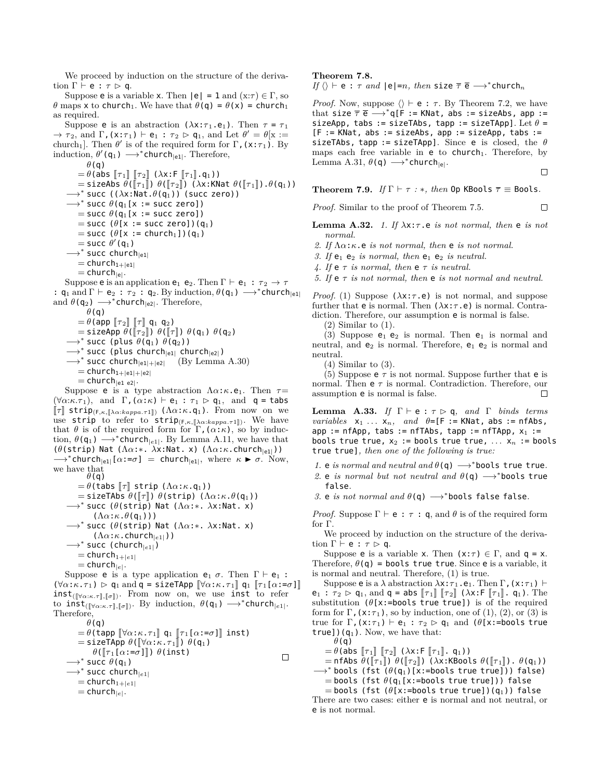We proceed by induction on the structure of the derivation  $\Gamma \vdash e : \tau \triangleright q$ .

Suppose **e** is a variable x. Then  $|e| = 1$  and  $(x:\tau) \in \Gamma$ , so *θ* maps x to church<sub>1</sub>. We have that  $\theta$ (q) =  $\theta$ (x) = church<sub>1</sub> as required.

Suppose **e** is an abstraction  $(\lambda x : \tau_1 \cdot e_1)$ . Then  $\tau = \tau_1$  $\rightarrow \tau_2$ , and  $\Gamma$ ,  $(\mathbf{x}:\tau_1) \vdash \mathbf{e}_1 : \tau_2 \rhd \mathbf{q}_1$ , and Let  $\theta' = \theta[\mathbf{x} := \mathbf{e}_1]$ church<sub>1</sub>. Then  $\theta'$  is of the required form for  $\Gamma$ , (x: $\tau_1$ ). By induction, *θ ′* (q1) *−→<sup>∗</sup>* church*|*e1*<sup>|</sup>* . Therefore,

*θ*(q)  $= \theta$ (abs  $\llbracket \tau_1 \rrbracket$   $\llbracket \tau_2 \rrbracket$  ( $\lambda$ x:F  $\llbracket \tau_1 \rrbracket$ .q<sub>1</sub>))  $=$  sizeAbs  $\theta(\llbracket \tau_1 \rrbracket) \theta(\llbracket \tau_2 \rrbracket) (\lambda x)$ :KNat  $\theta(\llbracket \tau_1 \rrbracket) \theta(q_1)$ *−→<sup>∗</sup>* succ ((*λ*x:Nat.*θ*(q1)) (succ zero)) *−→<sup>∗</sup>* succ *θ*(q1[x := succ zero])  $=$  succ  $\theta$ (q<sub>1</sub>[x := succ zero])  $=$  succ  $(\theta[x :=$  succ zero])(q<sub>1</sub>)  $=$  succ  $(\theta[x := \text{church}_1])(q_1)$  $=$  succ  $\theta'$  (q<sub>1</sub>) *−→<sup>∗</sup>* succ church*|*e1*<sup>|</sup>*  $=$  church $_{1+|e1|}$  $=$  church<sub>|e|</sub> $\cdot$ Suppose **e** is an application **e**<sub>1</sub> **e**<sub>2</sub>. Then  $\Gamma \vdash e_1 : \tau_2 \rightarrow \tau$ :  $q_1$  and  $\Gamma \vdash e_2$  :  $\tau_2$  :  $q_2$ . By induction,  $\theta(q_1) \longrightarrow^*$  church<sub>|e1|</sub> and *θ*(q2) *−→<sup>∗</sup>* church*|*e2*<sup>|</sup>* . Therefore, *θ*(q)  $=\theta$ (app  $\llbracket \tau_2 \rrbracket$   $\llbracket \tau \rrbracket$  q<sub>1</sub> q<sub>2</sub>)<br> $=\sin \theta$  ( $\pi = \ln \theta$ )

 $=$  sizeApp  $\theta$ ( $[T_2]$ )  $\theta$ ( $[T_1]$ )  $\theta$ (q<sub>1</sub>)  $\theta$ (q<sub>2</sub>) *−→<sup>∗</sup>* succ (plus *θ*(q1) *θ*(q2))

- *−→<sup>∗</sup>* succ (plus church*|*e1*<sup>|</sup>* church*|*e2*|*)
- *−→<sup>∗</sup>* succ church*|*e1*|*+*|*e2*<sup>|</sup>* (By Lemma A.30)  $=$  church<sub>1+ $|e1|$ + $|e2|$ </sub>
	- = church*|*e1 e2*<sup>|</sup>* .

Suppose **e** is a type abstraction  $\Lambda \alpha \cdot \kappa \cdot e_1$ . Then  $\tau =$  $(\forall \alpha:\kappa.\tau_1)$ , and  $\Gamma$ ,  $(\alpha:\kappa) \vdash e_1 : \tau_1 \triangleright q_1$ , and  $q = \text{tabs}$  $\llbracket \tau \rrbracket$  strip<sub>(F,κ, [λα:*kappa.* $\tau$ 1]) (Λα:*κ*.q<sub>1</sub>). From now on we</sub> use **strip** to refer to **strip**<sub>(F,κ, [λα:*kappa.τ*1]). We have</sub> that  $\theta$  is of the required form for  $\Gamma$ ,  $(\alpha:\kappa)$ , so by induction,  $\theta(\mathsf{q}_1) \longrightarrow^*$ church<sub>|e1</sub>|. By Lemma A.11, we have that (*θ*(strip) Nat (Λ*α*:*∗*. *λ*x:Nat. x) (Λ*α*:*κ*.church*|*e1*|*))

*−→<sup>∗</sup>* church*|*e1*|*[*α*:=*σ*] = church*|*e1*<sup>|</sup>* , where *<sup>κ</sup> <sup>σ</sup>*. Now, we have that *θ*(q)

 $= \theta$ (tabs  $\llbracket \tau \rrbracket$  strip ( $\Lambda \alpha : \kappa \cdot \mathsf{q}_1$ ))

= sizeTAbs 
$$
\theta([\tau]) \theta(\text{strip}) (\Lambda \alpha : \kappa . \theta(\mathbf{q}_1))
$$

$$
\longrightarrow^* succ (\theta(strip) Nat (\Lambda \alpha:*, \lambda x: Nat. x)
$$

 $(\Lambda \alpha : \kappa \cdot \theta(q_1))$ *−→<sup>∗</sup>* succ (*θ*(strip) Nat (Λ*α*:*∗*. *λ*x:Nat. x) (Λ*α*:*κ*.church*|e*1*|*))

*−→<sup>∗</sup>* succ (church*|e*1*|*)

- $=$  church<sub>1+ $|e_1|$ </sub>
- $=$  church<sub> $|e|$ </sub>.

Suppose **e** is a type application  $e_1 \sigma$ . Then  $\Gamma \vdash e_1$ :  $(\forall \alpha : \kappa \cdot \tau_1) \geq q_1 \text{ and } q = \text{sizeTApp } [\forall \alpha : \kappa \cdot \tau_1 \mid q_1 \mid \tau_1[\alpha : = \sigma]$  $\texttt{inst}_{(\llbracket \forall \alpha:\kappa.\tau \rrbracket, \llbracket \sigma \rrbracket)}$ . From now on, we use inst to refer to inst<sub>([ $\forall \alpha:\kappa.\tau$ ], [ $\sigma$ ]). By induction,  $\theta(\mathsf{q}_1) \longrightarrow^*$ church<sub>|e1</sub>|.</sub> Therefore,

$$
\begin{array}{l} \theta(\mathsf{q}) \\ = \theta(\mathsf{tapp} \ [\![\forall \alpha{:}\kappa.\tau_1]\!] \ \mathsf{q}_1 \ [\![\tau_1[\alpha{:}=\sigma]\!] \ \ \text{inst}) \\ = \texttt{sizeTApp} \ \theta(\ [\![\forall \alpha{:}\kappa.\tau_1]\!] \ ) \ \theta(\mathsf{q}_1) \\ \theta(\ [\![\tau_1[\alpha{:}=\sigma]]\!] \ ) \ \theta(\text{inst}) \\ \longrightarrow^* \texttt{succ} \ \theta(\mathsf{q}_1) \\ \longrightarrow^* \texttt{succ} \ \text{church}_{|e1|} \\ = \texttt{church}_{1+|e1|} \end{array}
$$

 $=$  church<sub>|e|</sub> $\cdot$ 

#### **Theorem 7.8.**

 $If \ \langle \rangle \vdash e : \tau \ \textit{and} \ \vert e \vert =n, \ then \ \textsf{size} \ \overline{\tau} \ \overline{e} \longrightarrow^* \textsf{church}_n$ 

*Proof.* Now, suppose  $\langle \rangle \vdash e : \tau$ . By Theorem 7.2, we have that **size**  $\overline{\tau}$  ē →\*q[F := KNat, abs := sizeAbs, app := sizeApp, tabs := sizeTAbs, tapp := sizeTApp]. Let *θ* =  $[F := KNat, abs := sizeAbs, app := sizeApp, tabs :=$ sizeTAbs, tapp := sizeTApp]. Since e is closed, the *θ* maps each free variable in  $e$  to church<sub>1</sub>. Therefore, by Lemma A.31, *θ*(q) *−→<sup>∗</sup>* church*|*e*<sup>|</sup>* .  $\Box$ 

**Theorem 7.9.** *If*  $\Gamma \vdash \tau : *$ *, then* **0p** KBools  $\overline{\tau} \equiv$  Bools.

*Proof.* Similar to the proof of Theorem 7.5.

**Lemma A.32.** *1. If*  $\lambda$ x: $\tau$ .e *is not normal, then* e *is not normal.*

 $\Box$ 

- *2. If* Λ*α*:*κ*.e *is not normal, then* e *is not normal.*
- 3. If  $e_1$   $e_2$  *is normal, then*  $e_1$   $e_2$  *is neutral.*

*4.* If  $e \tau$  *is normal, then*  $e \tau$  *is neutral.* 

*5. If* e *τ is not normal, then* e *is not normal and neutral.*

*Proof.* (1) Suppose  $(\lambda x : \tau \cdot e)$  is not normal, and suppose further that e is normal. Then (*λ*x:*τ*.e) is normal. Contradiction. Therefore, our assumption e is normal is false.

 $(2)$  Similar to  $(1)$ .

(3) Suppose  $e_1$   $e_2$  is normal. Then  $e_1$  is normal and neutral, and  $e_2$  is normal. Therefore,  $e_1$   $e_2$  is normal and neutral.

(4) Similar to (3).

(5) Suppose  $e \tau$  is not normal. Suppose further that  $e$  is normal. Then  $e \tau$  is normal. Contradiction. Therefore, our assumption e is normal is false. П

**Lemma A.33.** *If*  $\Gamma \vdash e : \tau \triangleright q$ *, and*  $\Gamma$  *binds terms variables*  $x_1 \ldots x_n$ , *and*  $\theta = [F := KNat, abs := nfAbs$ , app := nfApp, tabs := nfTAbs, tapp := nfTApp,  $x_1$  := bools true true,  $x_2 := \text{books true true}$ ,  $\ldots x_n := \text{books}$ true true]*, then one of the following is true:*

*1.* e *is normal and neutral and*  $\theta$ (q)  $\longrightarrow$ <sup>\*</sup>bools true true.

- *2.* e *is normal but not neutral and θ*(q) *−→<sup>∗</sup>* bools true false*.*
- *3.* e *is not normal and θ*(q) *−→<sup>∗</sup>* bools false false*.*

*Proof.* Suppose  $\Gamma \vdash e : \tau : \mathsf{q}$ , and  $\theta$  is of the required form for Γ.

We proceed by induction on the structure of the derivation  $\Gamma \vdash e : \tau \triangleright q$ .

Suppose **e** is a variable **x**. Then  $(x:\tau) \in \Gamma$ , and **q** = **x**. Therefore,  $\theta$ (q) = bools true true. Since e is a variable, it is normal and neutral. Therefore, (1) is true.

Suppose **e** is a  $\lambda$  abstraction  $\lambda$ **x**: $\tau_1$ .**e**<sub>1</sub>. Then  $\Gamma$ , (**x**: $\tau_1$ )  $\vdash$  $e_1$  :  $\tau_2 \triangleright q_1$ , and  $q = abs \llbracket \tau_1 \rrbracket \llbracket \tau_2 \rrbracket$  ( $\lambda x$ : F  $\llbracket \tau_1 \rrbracket$ ,  $q_1$ ). The substitution (*θ*[x:=bools true true]) is of the required form for  $\Gamma$ ,  $(x:\tau_1)$ , so by induction, one of  $(1)$ ,  $(2)$ , or  $(3)$  is true for  $\Gamma$ , (x: $\tau_1$ )  $\vdash$  **e**<sub>1</sub> :  $\tau_2 \rhd q_1$  and ( $\theta$ [x:=bools true  $true]$  ) (q<sub>1</sub>). Now, we have that: *θ*(q)

 $= \theta$ (abs  $\llbracket \tau_1 \rrbracket$   $\llbracket \tau_2 \rrbracket$  ( $\lambda$ x:F  $\llbracket \tau_1 \rrbracket$ . q<sub>1</sub>))

 $\Box$ 

 $=$  nfAbs  $\theta([\tau_1]) \theta([\tau_2]) \ (\lambda x:\text{KBools }\theta([\tau_1]) \text{. } \theta(\mathfrak{q}_1))$ 

- *−→<sup>∗</sup>* bools (fst (*θ*(q1)[x:=bools true true])) false)
	- $=$  bools (fst  $\theta$ (q<sub>1</sub>[x:=bools true true])) false

 $=$  bools (fst ( $\theta$ [x:=bools true true])(q<sub>1</sub>)) false

There are two cases: either e is normal and not neutral, or e is not normal.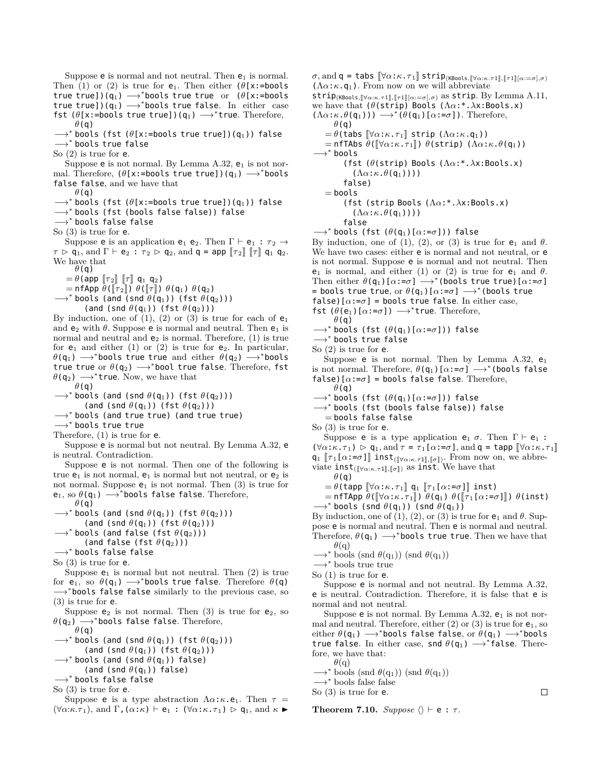Suppose  $e$  is normal and not neutral. Then  $e_1$  is normal. Then (1) or (2) is true for  $e_1$ . Then either ( $\theta$ [x:=bools true true])(q1) *−→<sup>∗</sup>* bools true true or (*θ*[x:=bools true true])(q1) *−→<sup>∗</sup>* bools true false. In either case fst (*θ*[x:=bools true true])(q1) *−→<sup>∗</sup>* true. Therefore, *θ*(q)

*−→<sup>∗</sup>* bools (fst (*θ*[x:=bools true true])(q1)) false *−→<sup>∗</sup>* bools true false

So (2) is true for e.

Suppose  $e$  is not normal. By Lemma A.32,  $e_1$  is not normal. Therefore, (*θ*[x:=bools true true])(q1) *−→<sup>∗</sup>* bools false false, and we have that

*θ*(q)

- *−→<sup>∗</sup>* bools (fst (*θ*[x:=bools true true])(q1)) false
- *−→<sup>∗</sup>* bools (fst (bools false false)) false

*−→<sup>∗</sup>* bools false false

So (3) is true for e.

Suppose **e** is an application **e**<sub>1</sub> **e**<sub>2</sub>. Then  $\Gamma \vdash e_1 : \tau_2 \rightarrow$  $\tau \triangleright q_1$ , and  $\Gamma \vdash e_2 : \tau_2 \triangleright q_2$ , and  $q = app \llbracket \tau_2 \rrbracket \llbracket \tau \rrbracket q_1 q_2$ . We have that

*θ*(q)  $= \theta$ (app  $\llbracket \tau_2 \rrbracket$   $\llbracket \tau \rrbracket$  q<sub>1</sub> q<sub>2</sub>)

 $=$  nfApp  $\theta$ ( $\lbrack \lbrack \tau_2 \rbrack$ )  $\theta$ ( $\lbrack \lbrack \tau \rbrack$ )  $\theta$ ( $\mathsf{q}_1$ )  $\theta$ ( $\mathsf{q}_2$ )

- *−→<sup>∗</sup>* bools (and (snd *θ*(q1)) (fst *θ*(q2)))
	- (and (snd *θ*(q1)) (fst *θ*(q2)))

By induction, one of  $(1)$ ,  $(2)$  or  $(3)$  is true for each of  $e_1$ and  $e_2$  with  $\theta$ . Suppose  $e$  is normal and neutral. Then  $e_1$  is normal and neutral and  $e_2$  is normal. Therefore, (1) is true for  $e_1$  and either (1) or (2) is true for  $e_2$ . In particular, *θ*(q1) *−→<sup>∗</sup>* bools true true and either *θ*(q2) *−→<sup>∗</sup>* bools true true or *θ*(q2) *−→<sup>∗</sup>* bool true false. Therefore, fst *θ*(q2) *−→<sup>∗</sup>* true. Now, we have that

*θ*(q)

*−→<sup>∗</sup>* bools (and (snd *θ*(q1)) (fst *θ*(q2)))

(and (snd *θ*(q1)) (fst *θ*(q2)))

*−→<sup>∗</sup>* bools (and true true) (and true true)

*−→<sup>∗</sup>* bools true true

Therefore, (1) is true for e.

Suppose e is normal but not neutral. By Lemma A.32, e is neutral. Contradiction.

Suppose e is not normal. Then one of the following is true  $e_1$  is not normal,  $e_1$  is normal but not neutral, or  $e_2$  is not normal. Suppose  $e_1$  is not normal. Then  $(3)$  is true for e1, so *θ*(q1) *−→<sup>∗</sup>* bools false false. Therefore, *θ*(q)

*−→<sup>∗</sup>* bools (and (snd *θ*(q1)) (fst *θ*(q2)))

(and (snd *θ*(q1)) (fst *θ*(q2)))

*−→<sup>∗</sup>* bools (and false (fst *θ*(q2)))

(and false (fst *θ*(q2)))

*−→<sup>∗</sup>* bools false false

So (3) is true for e.

Suppose  $e_1$  is normal but not neutral. Then  $(2)$  is true for  $e_1$ , so  $\theta$ (q<sub>1</sub>)  $\longrightarrow$ <sup>\*</sup>bools true false. Therefore  $\theta$ (q) *−→<sup>∗</sup>* bools false false similarly to the previous case, so

(3) is true for e. Suppose  $e_2$  is not normal. Then (3) is true for  $e_2$ , so

*θ*(q2) *−→<sup>∗</sup>* bools false false. Therefore, *θ*(q)

*−→<sup>∗</sup>* bools (and (snd *θ*(q1)) (fst *θ*(q2)))

(and (snd *θ*(q1)) (fst *θ*(q2)))

- *−→<sup>∗</sup>* bools (and (snd *θ*(q1)) false)
- (and (snd  $\theta$ (q<sub>1</sub>)) false)

*−→<sup>∗</sup>* bools false false

So (3) is true for e.

Suppose **e** is a type abstraction  $\Lambda \alpha : \kappa \cdot e_1$ . Then  $\tau =$  $(\forall \alpha:\kappa.\tau_1)$ , and  $\Gamma$ ,  $(\alpha:\kappa) \vdash e_1 : (\forall \alpha:\kappa.\tau_1) \triangleright q_1$ , and  $\kappa \triangleright$ 

strip(KBools*,*J*∀α*:*κ.τ*1K*,*J*τ*1K[*α*:=*σ*]*,σ*) as strip. By Lemma A.11, we have that (*θ*(strip) Bools (Λ*α*:\*.*λ*x:Bools.x)  $(\Lambda \alpha : \kappa \cdot \theta(\mathfrak{q}_1))) \longrightarrow^* (\theta(\mathfrak{q}_1)[\alpha : = \sigma])$ . Therefore, *θ*(q)  $= \theta$ (tabs  $\llbracket \forall \alpha : \kappa . \tau_1 \rrbracket$  strip ( $\Lambda \alpha : \kappa . \mathsf{q}_1$ ))  $=$  nfTAbs  $\theta$ ( $[\forall \alpha:\kappa.\tau_1]$ )  $\theta$ (strip) ( $\Lambda \alpha:\kappa.\theta(q_1)$ ) *−→<sup>∗</sup>* bools (fst (*θ*(strip) Bools (Λ*α*:\*.*λ*x:Bools.x)  $(\Lambda \alpha : \kappa \ldotp \theta(q_1)))$ ) false)  $=$  bools (fst (strip Bools (Λ*α*:\*.*λ*x:Bools.x)  $(\Lambda \alpha$ : $\kappa$ . $\theta$ (q<sub>1</sub>)))) false *−→<sup>∗</sup>* bools (fst (*θ*(q1)[*α*:=*σ*])) false By induction, one of (1), (2), or (3) is true for  $e_1$  and  $\theta$ . We have two cases: either **e** is normal and not neutral, or **e** is not normal. Suppose e is normal and not neutral. Then  $e_1$  is normal, and either (1) or (2) is true for  $e_1$  and  $\theta$ . Then either  $\theta(\mathsf{q}_1)[\alpha:=\sigma] \longrightarrow^*$ (bools true true)[ $\alpha:=\sigma$ ] = bools true true, or *θ*(q1)[*α*:=*σ*] *−→<sup>∗</sup>* (bools true  $f$ alse) $[\alpha:-\sigma]$  = bools true false. In either case,

 $\sigma$ , and  $\mathsf{q}$  = tabs  $\llbracket \forall \alpha : \kappa \cdot \tau_1 \rrbracket$  strip<sub>(KBools,</sub>  $\llbracket \forall \alpha : \kappa \cdot \tau_1 \rrbracket$ ,  $\llbracket \tau_1 \rrbracket$ ,  $\alpha := \sigma, \sigma$ )

 $(\Lambda \alpha : \kappa \cdot \mathsf{q}_1)$ . From now on we will abbreviate

fst  $(\theta(e_1)[\alpha:=\sigma]) \longrightarrow^*$ true. Therefore,

*θ*(q) *−→<sup>∗</sup>* bools (fst (*θ*(q1)[*α*:=*σ*])) false

*−→<sup>∗</sup>* bools true false

```
So (2) is true for e.
```
Suppose **e** is not normal. Then by Lemma A.32,  $e_1$ is not normal. Therefore,  $\theta(\mathsf{q}_1)$  [ $\alpha$ := $\sigma$ ]  $\longrightarrow^*$  (bools false false)[ $\alpha$ := $\sigma$ ] = bools false false. Therefore,

*θ*(q)

*−→<sup>∗</sup>* bools (fst (*θ*(q1)[*α*:=*σ*])) false

*−→<sup>∗</sup>* bools (fst (bools false false)) false

 $=$  bools false false So (3) is true for e.

Suppose **e** is a type application **e**<sub>1</sub>  $\sigma$ . Then  $\Gamma \vdash e_1$ :  $(\forall \alpha : \kappa \cdot \tau_1) \geq q_1$ , and  $\tau = \tau_1[\alpha : = \sigma]$ , and  $q = \text{tapp } [\forall \alpha : \kappa \cdot \tau_1]$  $q_1 \left[ \tau_1[\alpha; -\sigma] \right]$  inst<sub>([ $\forall \alpha: \pi \tau_1$ ],  $\llbracket \sigma \rrbracket$ ). From now on, we abbre-</sub>

viate  $\text{inst}_{(\llbracket \forall \alpha:\kappa.\tau \mathbf{1} \rrbracket, \llbracket \sigma \rrbracket)}$  as  $\text{inst. We have that}$ *θ*(q)

 $\theta = \theta$ (tapp  $\llbracket \forall \alpha : \kappa \cdot \tau_1 \rrbracket$  q<sub>1</sub>  $\llbracket \tau_1 \llbracket \alpha : = \sigma \rrbracket \rrbracket$  inst)

 $=$  nfTApp  $\theta$ ( $\forall \alpha$ : $\kappa$ . $\tau_1$  $\parallel$ )  $\theta$ (q<sub>1</sub>)  $\theta$ ( $\Vert \tau_1$ [ $\alpha$ := $\sigma$ ] $\parallel$ )  $\theta$ (inst)

*−→<sup>∗</sup>* bools (snd *θ*(q1)) (snd *θ*(q1))

By induction, one of  $(1)$ ,  $(2)$ , or  $(3)$  is true for  $e_1$  and  $\theta$ . Suppose e is normal and neutral. Then e is normal and neutral. Therefore,  $\theta$ (q<sub>1</sub>)  $\longrightarrow$ <sup>\*</sup>bools true true. Then we have that

 $\theta$ <sup>(q)</sup>

*−→<sup>∗</sup>* bools (snd *θ*(q1)) (snd *θ*(q1)) *−→<sup>∗</sup>* bools true true

Suppose e is normal and not neutral. By Lemma A.32, e is neutral. Contradiction. Therefore, it is false that e is normal and not neutral.

Suppose  $e$  is not normal. By Lemma A.32,  $e_1$  is not normal and neutral. Therefore, either  $(2)$  or  $(3)$  is true for  $e_1$ , so either *θ*(q1) *−→<sup>∗</sup>* bools false false, or *θ*(q1) *−→<sup>∗</sup>* bools true false. In either case, snd *θ*(q1) *−→<sup>∗</sup>* false. Therefore, we have that:

 $\theta$ <sup>(q)</sup>

*−→<sup>∗</sup>* bools (snd *θ*(q1)) (snd *θ*(q1))

*−→<sup>∗</sup>* bools false false So (3) is true for e.

**Theorem 7.10.** *Suppose*  $\langle \rangle \vdash e : \tau$ .

So (1) is true for e.